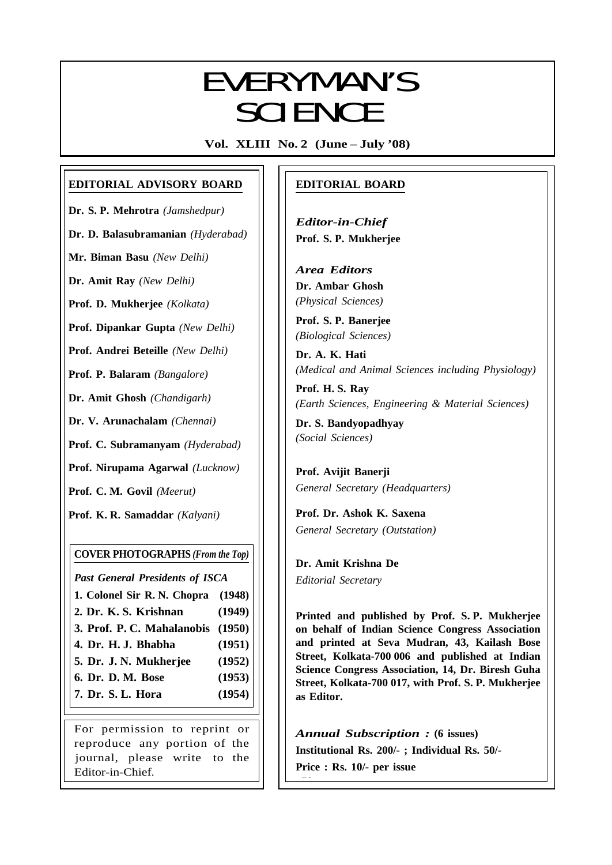# *Everyman's Science* **VOL. XLIII NO. 2, June — July '08** EVERYMAN'S SCIENCE

**Vol. XLIII No. 2 (June – July '08)**

## **EDITORIAL ADVISORY BOARD**

**Dr. S. P. Mehrotra** *(Jamshedpur)*

**Dr. D. Balasubramanian** *(Hyderabad)*

**Mr. Biman Basu** *(New Delhi)*

**Dr. Amit Ray** *(New Delhi)*

**Prof. D. Mukherjee** *(Kolkata)*

**Prof. Dipankar Gupta** *(New Delhi)*

**Prof. Andrei Beteille** *(New Delhi)*

**Prof. P. Balaram** *(Bangalore)*

**Dr. Amit Ghosh** *(Chandigarh)*

**Dr. V. Arunachalam** *(Chennai)*

**Prof. C. Subramanyam** *(Hyderabad)*

**Prof. Nirupama Agarwal** *(Lucknow)*

**Prof. C. M. Govil** *(Meerut)*

**Prof. K. R. Samaddar** *(Kalyani)*

## **COVER PHOTOGRAPHS** *(From the Top)*

## *Past General Presidents of ISCA*

- **1. Colonel Sir R. N. Chopra (1948)**
- **2. Dr. K. S. Krishnan (1949)**
- **3. Prof. P. C. Mahalanobis (1950) 4. Dr. H. J. Bhabha (1951)**
- 
- **5. Dr. J. N. Mukherjee (1952)**
- **6. Dr. D. M. Bose (1953)**
- **7. Dr. S. L. Hora (1954)**

For permission to reprint or reproduce any portion of the journal, please write to the Editor-in-Chief.

## **EDITORIAL BOARD**

*Editor-in-Chief* **Prof. S. P. Mukherjee**

*Area Editors* **Dr. Ambar Ghosh** *(Physical Sciences)*

**Prof. S. P. Banerjee** *(Biological Sciences)*

**Dr. A. K. Hati** *(Medical and Animal Sciences including Physiology)*

**Prof. H. S. Ray** *(Earth Sciences, Engineering & Material Sciences)*

**Dr. S. Bandyopadhyay** *(Social Sciences)*

**Prof. Avijit Banerji** *General Secretary (Headquarters)*

**Prof. Dr. Ashok K. Saxena** *General Secretary (Outstation)*

**Dr. Amit Krishna De** *Editorial Secretary*

73

**Printed and published by Prof. S. P. Mukherjee on behalf of Indian Science Congress Association and printed at Seva Mudran, 43, Kailash Bose Street, Kolkata-700 006 and published at Indian Science Congress Association, 14, Dr. Biresh Guha Street, Kolkata-700 017, with Prof. S. P. Mukherjee as Editor.**

*Annual Subscription :* **(6 issues) Institutional Rs. 200/- ; Individual Rs. 50/- Price : Rs. 10/- per issue**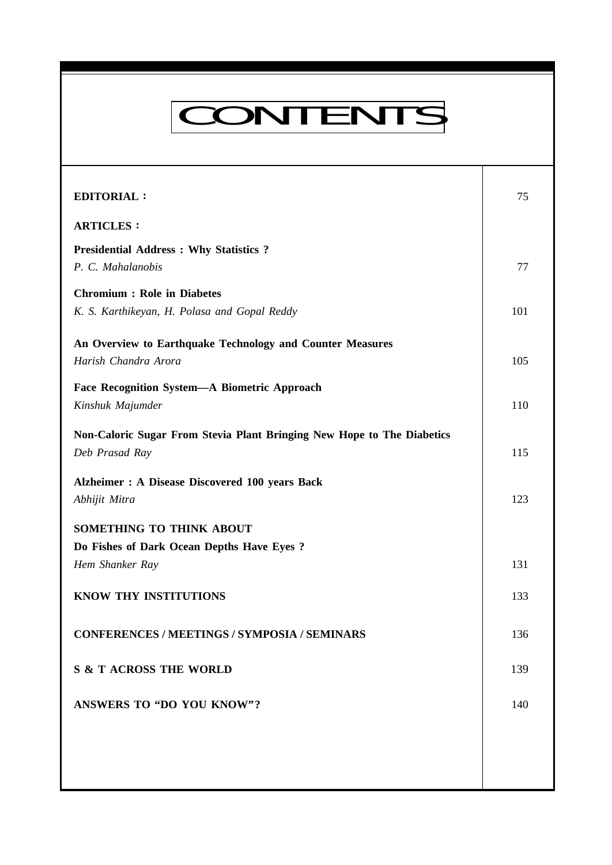# CONTENTS

*Everyman's Science* **VOL. XLIII NO. 2, June — July '08**

| <b>EDITORIAL:</b>                                                                        | 75  |
|------------------------------------------------------------------------------------------|-----|
| <b>ARTICLES:</b>                                                                         |     |
| <b>Presidential Address : Why Statistics ?</b><br>P. C. Mahalanobis                      | 77  |
| <b>Chromium: Role in Diabetes</b>                                                        |     |
| K. S. Karthikeyan, H. Polasa and Gopal Reddy                                             | 101 |
| An Overview to Earthquake Technology and Counter Measures                                |     |
| Harish Chandra Arora                                                                     | 105 |
| Face Recognition System-A Biometric Approach                                             |     |
| Kinshuk Majumder                                                                         | 110 |
| Non-Caloric Sugar From Stevia Plant Bringing New Hope to The Diabetics<br>Deb Prasad Ray | 115 |
| Alzheimer: A Disease Discovered 100 years Back                                           |     |
| Abhijit Mitra                                                                            | 123 |
| SOMETHING TO THINK ABOUT                                                                 |     |
| Do Fishes of Dark Ocean Depths Have Eyes?                                                |     |
| Hem Shanker Ray                                                                          | 131 |
| KNOW THY INSTITUTIONS                                                                    | 133 |
| <b>CONFERENCES / MEETINGS / SYMPOSIA / SEMINARS</b>                                      | 136 |
| <b>S &amp; T ACROSS THE WORLD</b>                                                        | 139 |
| <b>ANSWERS TO "DO YOU KNOW"?</b>                                                         | 140 |
|                                                                                          |     |
|                                                                                          |     |
|                                                                                          |     |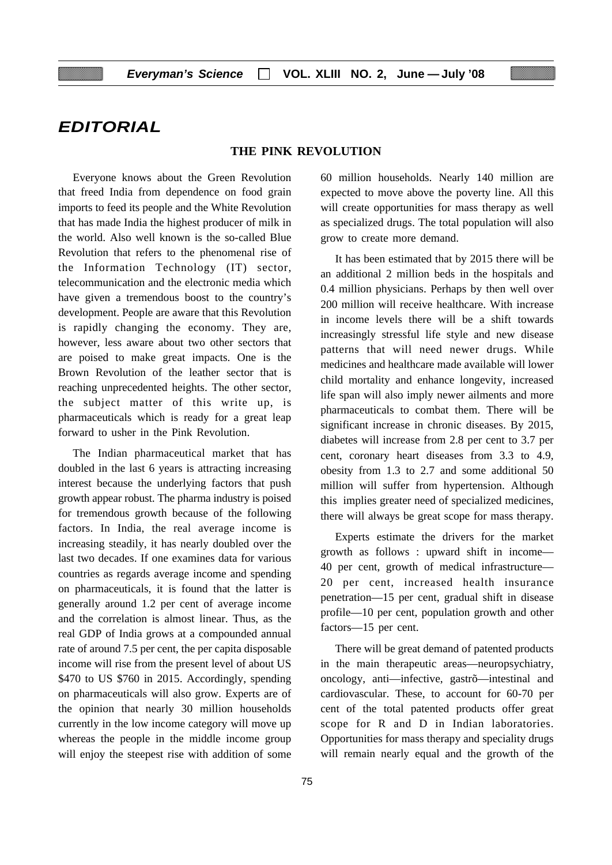## *EDITORIAL*

## **THE PINK REVOLUTION**

Everyone knows about the Green Revolution that freed India from dependence on food grain imports to feed its people and the White Revolution that has made India the highest producer of milk in the world. Also well known is the so-called Blue Revolution that refers to the phenomenal rise of the Information Technology (IT) sector, telecommunication and the electronic media which have given a tremendous boost to the country's development. People are aware that this Revolution is rapidly changing the economy. They are, however, less aware about two other sectors that are poised to make great impacts. One is the Brown Revolution of the leather sector that is reaching unprecedented heights. The other sector, the subject matter of this write up, is pharmaceuticals which is ready for a great leap forward to usher in the Pink Revolution.

The Indian pharmaceutical market that has doubled in the last 6 years is attracting increasing interest because the underlying factors that push growth appear robust. The pharma industry is poised for tremendous growth because of the following factors. In India, the real average income is increasing steadily, it has nearly doubled over the last two decades. If one examines data for various countries as regards average income and spending on pharmaceuticals, it is found that the latter is generally around 1.2 per cent of average income and the correlation is almost linear. Thus, as the real GDP of India grows at a compounded annual rate of around 7.5 per cent, the per capita disposable income will rise from the present level of about US \$470 to US \$760 in 2015. Accordingly, spending on pharmaceuticals will also grow. Experts are of the opinion that nearly 30 million households currently in the low income category will move up whereas the people in the middle income group will enjoy the steepest rise with addition of some 60 million households. Nearly 140 million are expected to move above the poverty line. All this will create opportunities for mass therapy as well as specialized drugs. The total population will also grow to create more demand.

It has been estimated that by 2015 there will be an additional 2 million beds in the hospitals and 0.4 million physicians. Perhaps by then well over 200 million will receive healthcare. With increase in income levels there will be a shift towards increasingly stressful life style and new disease patterns that will need newer drugs. While medicines and healthcare made available will lower child mortality and enhance longevity, increased life span will also imply newer ailments and more pharmaceuticals to combat them. There will be significant increase in chronic diseases. By 2015, diabetes will increase from 2.8 per cent to 3.7 per cent, coronary heart diseases from 3.3 to 4.9, obesity from 1.3 to 2.7 and some additional 50 million will suffer from hypertension. Although this implies greater need of specialized medicines, there will always be great scope for mass therapy.

Experts estimate the drivers for the market growth as follows : upward shift in income— 40 per cent, growth of medical infrastructure— 20 per cent, increased health insurance penetration—15 per cent, gradual shift in disease profile—10 per cent, population growth and other factors—15 per cent.

There will be great demand of patented products in the main therapeutic areas—neuropsychiatry, oncology, anti—infective, gastrõ—intestinal and cardiovascular. These, to account for 60-70 per cent of the total patented products offer great scope for R and D in Indian laboratories. Opportunities for mass therapy and speciality drugs will remain nearly equal and the growth of the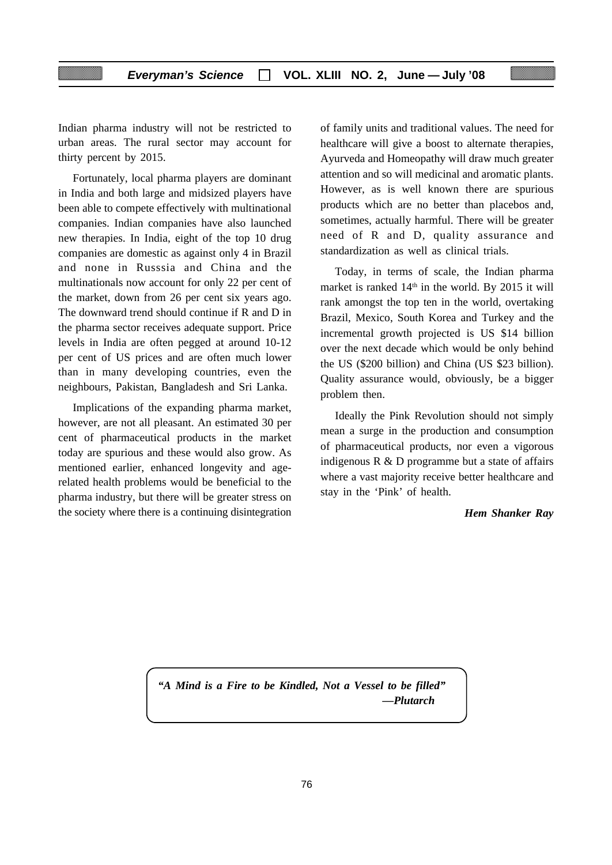Indian pharma industry will not be restricted to urban areas. The rural sector may account for thirty percent by 2015.

Fortunately, local pharma players are dominant in India and both large and midsized players have been able to compete effectively with multinational companies. Indian companies have also launched new therapies. In India, eight of the top 10 drug companies are domestic as against only 4 in Brazil and none in Russsia and China and the multinationals now account for only 22 per cent of the market, down from 26 per cent six years ago. The downward trend should continue if R and D in the pharma sector receives adequate support. Price levels in India are often pegged at around 10-12 per cent of US prices and are often much lower than in many developing countries, even the neighbours, Pakistan, Bangladesh and Sri Lanka.

Implications of the expanding pharma market, however, are not all pleasant. An estimated 30 per cent of pharmaceutical products in the market today are spurious and these would also grow. As mentioned earlier, enhanced longevity and agerelated health problems would be beneficial to the pharma industry, but there will be greater stress on the society where there is a continuing disintegration

of family units and traditional values. The need for healthcare will give a boost to alternate therapies, Ayurveda and Homeopathy will draw much greater attention and so will medicinal and aromatic plants. However, as is well known there are spurious products which are no better than placebos and, sometimes, actually harmful. There will be greater need of R and D, quality assurance and standardization as well as clinical trials.

Today, in terms of scale, the Indian pharma market is ranked 14th in the world. By 2015 it will rank amongst the top ten in the world, overtaking Brazil, Mexico, South Korea and Turkey and the incremental growth projected is US \$14 billion over the next decade which would be only behind the US (\$200 billion) and China (US \$23 billion). Quality assurance would, obviously, be a bigger problem then.

Ideally the Pink Revolution should not simply mean a surge in the production and consumption of pharmaceutical products, nor even a vigorous indigenous R & D programme but a state of affairs where a vast majority receive better healthcare and stay in the 'Pink' of health.

## *Hem Shanker Ray*

*"A Mind is a Fire to be Kindled, Not a Vessel to be filled" —Plutarch*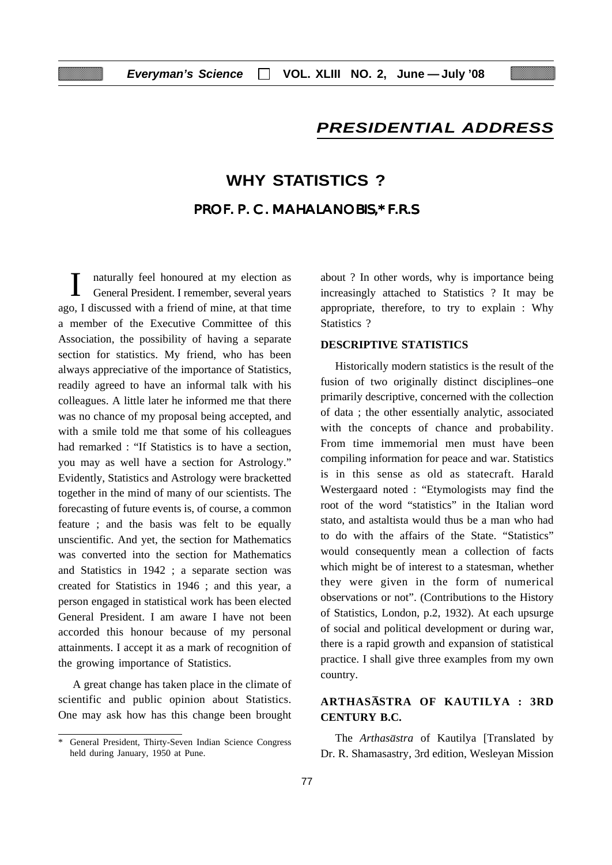## *PRESIDENTIAL ADDRESS*

## **WHY STATISTICS ?** PROF. P. C. MAHALANOBIS,\* F.R.S

naturally feel honoured at my election as General President. I remember, several years ago, I discussed with a friend of mine, at that time a member of the Executive Committee of this Association, the possibility of having a separate section for statistics. My friend, who has been always appreciative of the importance of Statistics, readily agreed to have an informal talk with his colleagues. A little later he informed me that there was no chance of my proposal being accepted, and with a smile told me that some of his colleagues had remarked : "If Statistics is to have a section, you may as well have a section for Astrology." Evidently, Statistics and Astrology were bracketted together in the mind of many of our scientists. The forecasting of future events is, of course, a common feature ; and the basis was felt to be equally unscientific. And yet, the section for Mathematics was converted into the section for Mathematics and Statistics in 1942 ; a separate section was created for Statistics in 1946 ; and this year, a person engaged in statistical work has been elected General President. I am aware I have not been accorded this honour because of my personal attainments. I accept it as a mark of recognition of the growing importance of Statistics.

A great change has taken place in the climate of scientific and public opinion about Statistics. One may ask how has this change been brought about ? In other words, why is importance being increasingly attached to Statistics ? It may be appropriate, therefore, to try to explain : Why Statistics ?

## **DESCRIPTIVE STATISTICS**

Historically modern statistics is the result of the fusion of two originally distinct disciplines–one primarily descriptive, concerned with the collection of data ; the other essentially analytic, associated with the concepts of chance and probability. From time immemorial men must have been compiling information for peace and war. Statistics is in this sense as old as statecraft. Harald Westergaard noted : "Etymologists may find the root of the word "statistics" in the Italian word stato, and astaltista would thus be a man who had to do with the affairs of the State. "Statistics" would consequently mean a collection of facts which might be of interest to a statesman, whether they were given in the form of numerical observations or not". (Contributions to the History of Statistics, London, p.2, 1932). At each upsurge of social and political development or during war, there is a rapid growth and expansion of statistical practice. I shall give three examples from my own country.

## **ARTHASASTRA OF KAUTILYA : 3RD CENTURY B.C.**

The *Arthasāstra* of Kautilya [Translated by Dr. R. Shamasastry, 3rd edition, Wesleyan Mission

General President, Thirty-Seven Indian Science Congress held during January, 1950 at Pune.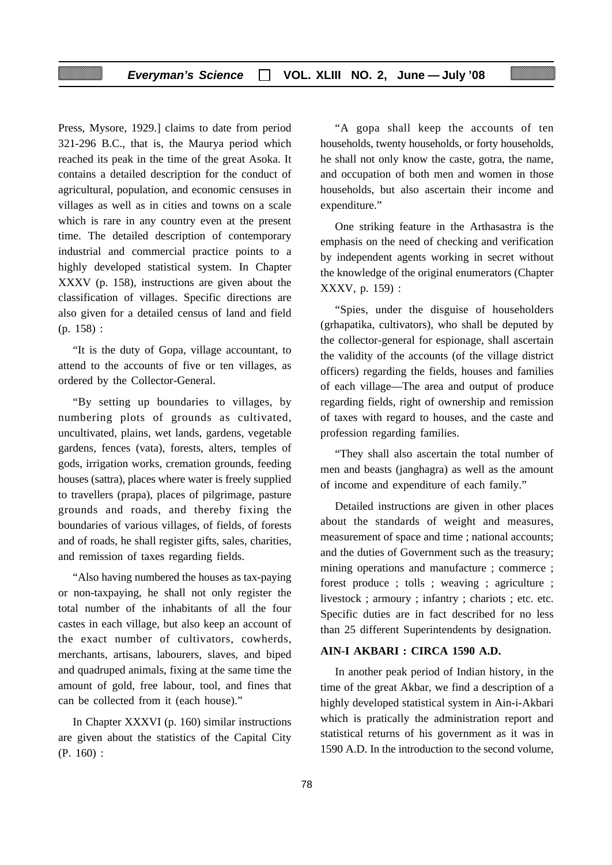## *Everyman's Science* **VOL. XLIII NO. 2, June — July '08**

Press, Mysore, 1929.] claims to date from period 321-296 B.C., that is, the Maurya period which reached its peak in the time of the great Asoka. It contains a detailed description for the conduct of agricultural, population, and economic censuses in villages as well as in cities and towns on a scale which is rare in any country even at the present time. The detailed description of contemporary industrial and commercial practice points to a highly developed statistical system. In Chapter XXXV (p. 158), instructions are given about the classification of villages. Specific directions are also given for a detailed census of land and field (p. 158) :

"It is the duty of Gopa, village accountant, to attend to the accounts of five or ten villages, as ordered by the Collector-General.

"By setting up boundaries to villages, by numbering plots of grounds as cultivated, uncultivated, plains, wet lands, gardens, vegetable gardens, fences (vata), forests, alters, temples of gods, irrigation works, cremation grounds, feeding houses (sattra), places where water is freely supplied to travellers (prapa), places of pilgrimage, pasture grounds and roads, and thereby fixing the boundaries of various villages, of fields, of forests and of roads, he shall register gifts, sales, charities, and remission of taxes regarding fields.

"Also having numbered the houses as tax-paying or non-taxpaying, he shall not only register the total number of the inhabitants of all the four castes in each village, but also keep an account of the exact number of cultivators, cowherds, merchants, artisans, labourers, slaves, and biped and quadruped animals, fixing at the same time the amount of gold, free labour, tool, and fines that can be collected from it (each house)."

In Chapter XXXVI (p. 160) similar instructions are given about the statistics of the Capital City (P. 160) :

"A gopa shall keep the accounts of ten households, twenty households, or forty households, he shall not only know the caste, gotra, the name, and occupation of both men and women in those households, but also ascertain their income and expenditure."

One striking feature in the Arthasastra is the emphasis on the need of checking and verification by independent agents working in secret without the knowledge of the original enumerators (Chapter XXXV, p. 159) :

"Spies, under the disguise of householders (grhapatika, cultivators), who shall be deputed by the collector-general for espionage, shall ascertain the validity of the accounts (of the village district officers) regarding the fields, houses and families of each village—The area and output of produce regarding fields, right of ownership and remission of taxes with regard to houses, and the caste and profession regarding families.

"They shall also ascertain the total number of men and beasts (janghagra) as well as the amount of income and expenditure of each family."

Detailed instructions are given in other places about the standards of weight and measures, measurement of space and time ; national accounts; and the duties of Government such as the treasury; mining operations and manufacture ; commerce ; forest produce ; tolls ; weaving ; agriculture ; livestock ; armoury ; infantry ; chariots ; etc. etc. Specific duties are in fact described for no less than 25 different Superintendents by designation.

## **AIN-I AKBARI : CIRCA 1590 A.D.**

In another peak period of Indian history, in the time of the great Akbar, we find a description of a highly developed statistical system in Ain-i-Akbari which is pratically the administration report and statistical returns of his government as it was in 1590 A.D. In the introduction to the second volume,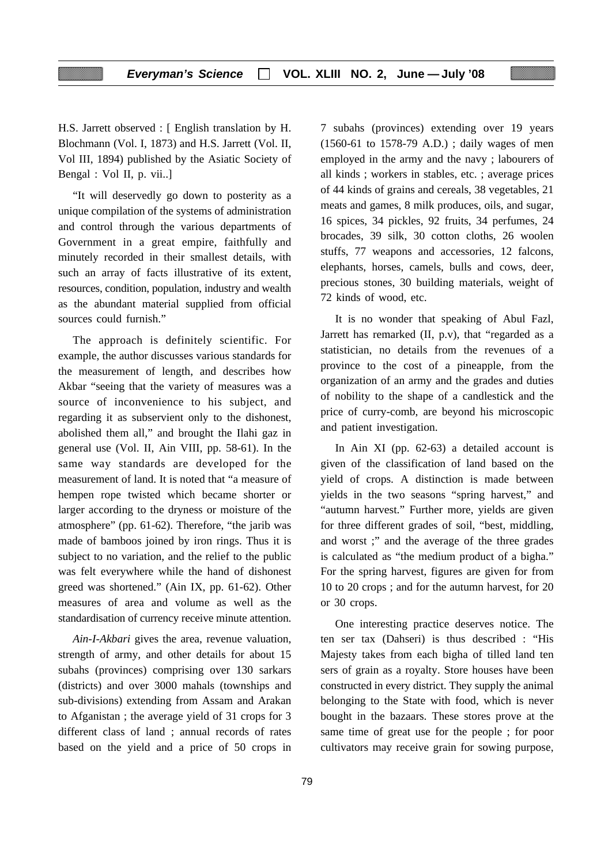H.S. Jarrett observed : [ English translation by H. Blochmann (Vol. I, 1873) and H.S. Jarrett (Vol. II, Vol III, 1894) published by the Asiatic Society of Bengal : Vol II, p. vii..]

"It will deservedly go down to posterity as a unique compilation of the systems of administration and control through the various departments of Government in a great empire, faithfully and minutely recorded in their smallest details, with such an array of facts illustrative of its extent, resources, condition, population, industry and wealth as the abundant material supplied from official sources could furnish."

The approach is definitely scientific. For example, the author discusses various standards for the measurement of length, and describes how Akbar "seeing that the variety of measures was a source of inconvenience to his subject, and regarding it as subservient only to the dishonest, abolished them all," and brought the Ilahi gaz in general use (Vol. II, Ain VIII, pp. 58-61). In the same way standards are developed for the measurement of land. It is noted that "a measure of hempen rope twisted which became shorter or larger according to the dryness or moisture of the atmosphere" (pp. 61-62). Therefore, "the jarib was made of bamboos joined by iron rings. Thus it is subject to no variation, and the relief to the public was felt everywhere while the hand of dishonest greed was shortened." (Ain IX, pp. 61-62). Other measures of area and volume as well as the standardisation of currency receive minute attention.

*Ain-I-Akbari* gives the area, revenue valuation, strength of army, and other details for about 15 subahs (provinces) comprising over 130 sarkars (districts) and over 3000 mahals (townships and sub-divisions) extending from Assam and Arakan to Afganistan ; the average yield of 31 crops for 3 different class of land ; annual records of rates based on the yield and a price of 50 crops in 7 subahs (provinces) extending over 19 years (1560-61 to 1578-79 A.D.) ; daily wages of men employed in the army and the navy ; labourers of all kinds ; workers in stables, etc. ; average prices of 44 kinds of grains and cereals, 38 vegetables, 21 meats and games, 8 milk produces, oils, and sugar, 16 spices, 34 pickles, 92 fruits, 34 perfumes, 24 brocades, 39 silk, 30 cotton cloths, 26 woolen stuffs, 77 weapons and accessories, 12 falcons, elephants, horses, camels, bulls and cows, deer, precious stones, 30 building materials, weight of 72 kinds of wood, etc.

It is no wonder that speaking of Abul Fazl, Jarrett has remarked (II, p.v), that "regarded as a statistician, no details from the revenues of a province to the cost of a pineapple, from the organization of an army and the grades and duties of nobility to the shape of a candlestick and the price of curry-comb, are beyond his microscopic and patient investigation.

In Ain XI (pp. 62-63) a detailed account is given of the classification of land based on the yield of crops. A distinction is made between yields in the two seasons "spring harvest," and "autumn harvest." Further more, yields are given for three different grades of soil, "best, middling, and worst ;" and the average of the three grades is calculated as "the medium product of a bigha." For the spring harvest, figures are given for from 10 to 20 crops ; and for the autumn harvest, for 20 or 30 crops.

One interesting practice deserves notice. The ten ser tax (Dahseri) is thus described : "His Majesty takes from each bigha of tilled land ten sers of grain as a royalty. Store houses have been constructed in every district. They supply the animal belonging to the State with food, which is never bought in the bazaars. These stores prove at the same time of great use for the people ; for poor cultivators may receive grain for sowing purpose,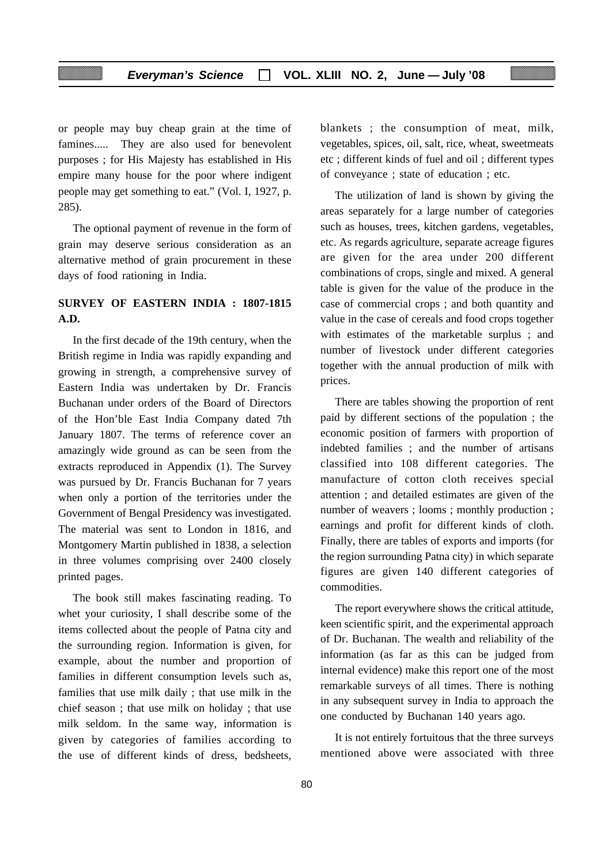or people may buy cheap grain at the time of famines..... They are also used for benevolent purposes ; for His Majesty has established in His empire many house for the poor where indigent people may get something to eat." (Vol. I, 1927, p. 285).

The optional payment of revenue in the form of grain may deserve serious consideration as an alternative method of grain procurement in these days of food rationing in India.

## **SURVEY OF EASTERN INDIA : 1807-1815 A.D.**

In the first decade of the 19th century, when the British regime in India was rapidly expanding and growing in strength, a comprehensive survey of Eastern India was undertaken by Dr. Francis Buchanan under orders of the Board of Directors of the Hon'ble East India Company dated 7th January 1807. The terms of reference cover an amazingly wide ground as can be seen from the extracts reproduced in Appendix (1). The Survey was pursued by Dr. Francis Buchanan for 7 years when only a portion of the territories under the Government of Bengal Presidency was investigated. The material was sent to London in 1816, and Montgomery Martin published in 1838, a selection in three volumes comprising over 2400 closely printed pages.

The book still makes fascinating reading. To whet your curiosity, I shall describe some of the items collected about the people of Patna city and the surrounding region. Information is given, for example, about the number and proportion of families in different consumption levels such as, families that use milk daily ; that use milk in the chief season ; that use milk on holiday ; that use milk seldom. In the same way, information is given by categories of families according to the use of different kinds of dress, bedsheets,

blankets ; the consumption of meat, milk, vegetables, spices, oil, salt, rice, wheat, sweetmeats etc ; different kinds of fuel and oil ; different types of conveyance ; state of education ; etc.

The utilization of land is shown by giving the areas separately for a large number of categories such as houses, trees, kitchen gardens, vegetables, etc. As regards agriculture, separate acreage figures are given for the area under 200 different combinations of crops, single and mixed. A general table is given for the value of the produce in the case of commercial crops ; and both quantity and value in the case of cereals and food crops together with estimates of the marketable surplus ; and number of livestock under different categories together with the annual production of milk with prices.

There are tables showing the proportion of rent paid by different sections of the population ; the economic position of farmers with proportion of indebted families ; and the number of artisans classified into 108 different categories. The manufacture of cotton cloth receives special attention ; and detailed estimates are given of the number of weavers ; looms ; monthly production ; earnings and profit for different kinds of cloth. Finally, there are tables of exports and imports (for the region surrounding Patna city) in which separate figures are given 140 different categories of commodities.

The report everywhere shows the critical attitude, keen scientific spirit, and the experimental approach of Dr. Buchanan. The wealth and reliability of the information (as far as this can be judged from internal evidence) make this report one of the most remarkable surveys of all times. There is nothing in any subsequent survey in India to approach the one conducted by Buchanan 140 years ago.

It is not entirely fortuitous that the three surveys mentioned above were associated with three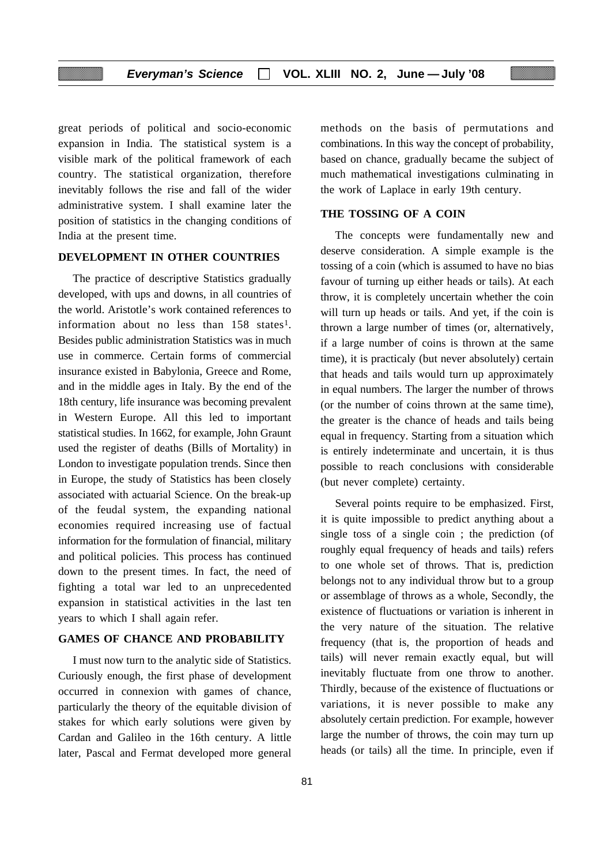great periods of political and socio-economic expansion in India. The statistical system is a visible mark of the political framework of each country. The statistical organization, therefore inevitably follows the rise and fall of the wider administrative system. I shall examine later the position of statistics in the changing conditions of India at the present time.

## **DEVELOPMENT IN OTHER COUNTRIES**

The practice of descriptive Statistics gradually developed, with ups and downs, in all countries of the world. Aristotle's work contained references to information about no less than  $158$  states<sup>1</sup>. Besides public administration Statistics was in much use in commerce. Certain forms of commercial insurance existed in Babylonia, Greece and Rome, and in the middle ages in Italy. By the end of the 18th century, life insurance was becoming prevalent in Western Europe. All this led to important statistical studies. In 1662, for example, John Graunt used the register of deaths (Bills of Mortality) in London to investigate population trends. Since then in Europe, the study of Statistics has been closely associated with actuarial Science. On the break-up of the feudal system, the expanding national economies required increasing use of factual information for the formulation of financial, military and political policies. This process has continued down to the present times. In fact, the need of fighting a total war led to an unprecedented expansion in statistical activities in the last ten years to which I shall again refer.

## **GAMES OF CHANCE AND PROBABILITY**

I must now turn to the analytic side of Statistics. Curiously enough, the first phase of development occurred in connexion with games of chance, particularly the theory of the equitable division of stakes for which early solutions were given by Cardan and Galileo in the 16th century. A little later, Pascal and Fermat developed more general

methods on the basis of permutations and combinations. In this way the concept of probability, based on chance, gradually became the subject of much mathematical investigations culminating in the work of Laplace in early 19th century.

#### **THE TOSSING OF A COIN**

The concepts were fundamentally new and deserve consideration. A simple example is the tossing of a coin (which is assumed to have no bias favour of turning up either heads or tails). At each throw, it is completely uncertain whether the coin will turn up heads or tails. And yet, if the coin is thrown a large number of times (or, alternatively, if a large number of coins is thrown at the same time), it is practicaly (but never absolutely) certain that heads and tails would turn up approximately in equal numbers. The larger the number of throws (or the number of coins thrown at the same time), the greater is the chance of heads and tails being equal in frequency. Starting from a situation which is entirely indeterminate and uncertain, it is thus possible to reach conclusions with considerable (but never complete) certainty.

Several points require to be emphasized. First, it is quite impossible to predict anything about a single toss of a single coin ; the prediction (of roughly equal frequency of heads and tails) refers to one whole set of throws. That is, prediction belongs not to any individual throw but to a group or assemblage of throws as a whole, Secondly, the existence of fluctuations or variation is inherent in the very nature of the situation. The relative frequency (that is, the proportion of heads and tails) will never remain exactly equal, but will inevitably fluctuate from one throw to another. Thirdly, because of the existence of fluctuations or variations, it is never possible to make any absolutely certain prediction. For example, however large the number of throws, the coin may turn up heads (or tails) all the time. In principle, even if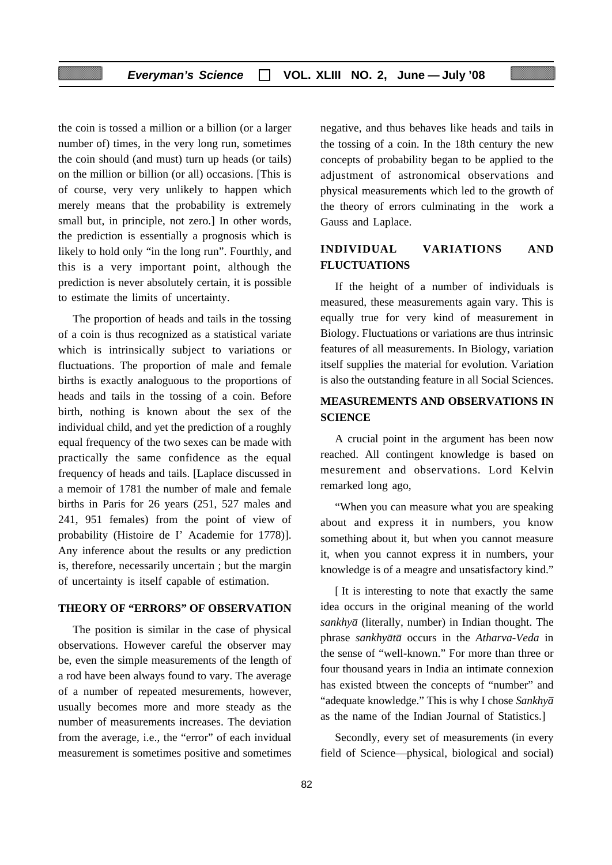the coin is tossed a million or a billion (or a larger number of) times, in the very long run, sometimes the coin should (and must) turn up heads (or tails) on the million or billion (or all) occasions. [This is of course, very very unlikely to happen which merely means that the probability is extremely small but, in principle, not zero.] In other words, the prediction is essentially a prognosis which is likely to hold only "in the long run". Fourthly, and this is a very important point, although the prediction is never absolutely certain, it is possible to estimate the limits of uncertainty.

The proportion of heads and tails in the tossing of a coin is thus recognized as a statistical variate which is intrinsically subject to variations or fluctuations. The proportion of male and female births is exactly analoguous to the proportions of heads and tails in the tossing of a coin. Before birth, nothing is known about the sex of the individual child, and yet the prediction of a roughly equal frequency of the two sexes can be made with practically the same confidence as the equal frequency of heads and tails. [Laplace discussed in a memoir of 1781 the number of male and female births in Paris for 26 years (251, 527 males and 241, 951 females) from the point of view of probability (Histoire de I' Academie for 1778)]. Any inference about the results or any prediction is, therefore, necessarily uncertain ; but the margin of uncertainty is itself capable of estimation.

## **THEORY OF "ERRORS" OF OBSERVATION**

The position is similar in the case of physical observations. However careful the observer may be, even the simple measurements of the length of a rod have been always found to vary. The average of a number of repeated mesurements, however, usually becomes more and more steady as the number of measurements increases. The deviation from the average, i.e., the "error" of each invidual measurement is sometimes positive and sometimes

negative, and thus behaves like heads and tails in the tossing of a coin. In the 18th century the new concepts of probability began to be applied to the adjustment of astronomical observations and physical measurements which led to the growth of the theory of errors culminating in the work a Gauss and Laplace.

## **INDIVIDUAL VARIATIONS AND FLUCTUATIONS**

If the height of a number of individuals is measured, these measurements again vary. This is equally true for very kind of measurement in Biology. Fluctuations or variations are thus intrinsic features of all measurements. In Biology, variation itself supplies the material for evolution. Variation is also the outstanding feature in all Social Sciences.

## **MEASUREMENTS AND OBSERVATIONS IN SCIENCE**

A crucial point in the argument has been now reached. All contingent knowledge is based on mesurement and observations. Lord Kelvin remarked long ago,

"When you can measure what you are speaking about and express it in numbers, you know something about it, but when you cannot measure it, when you cannot express it in numbers, your knowledge is of a meagre and unsatisfactory kind."

[ It is interesting to note that exactly the same idea occurs in the original meaning of the world *sankhya–* (literally, number) in Indian thought. The phrase *sankhyātā* occurs in the *Atharva-Veda* in the sense of "well-known." For more than three or four thousand years in India an intimate connexion has existed btween the concepts of "number" and "adequate knowledge." This is why I chose *Sankhya–* as the name of the Indian Journal of Statistics.]

Secondly, every set of measurements (in every field of Science—physical, biological and social)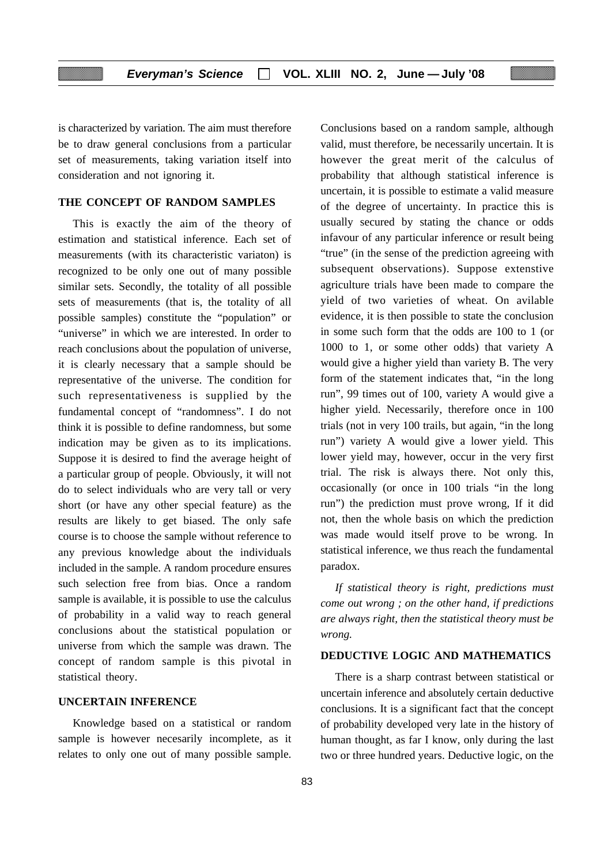is characterized by variation. The aim must therefore be to draw general conclusions from a particular set of measurements, taking variation itself into consideration and not ignoring it.

#### **THE CONCEPT OF RANDOM SAMPLES**

This is exactly the aim of the theory of estimation and statistical inference. Each set of measurements (with its characteristic variaton) is recognized to be only one out of many possible similar sets. Secondly, the totality of all possible sets of measurements (that is, the totality of all possible samples) constitute the "population" or "universe" in which we are interested. In order to reach conclusions about the population of universe, it is clearly necessary that a sample should be representative of the universe. The condition for such representativeness is supplied by the fundamental concept of "randomness". I do not think it is possible to define randomness, but some indication may be given as to its implications. Suppose it is desired to find the average height of a particular group of people. Obviously, it will not do to select individuals who are very tall or very short (or have any other special feature) as the results are likely to get biased. The only safe course is to choose the sample without reference to any previous knowledge about the individuals included in the sample. A random procedure ensures such selection free from bias. Once a random sample is available, it is possible to use the calculus of probability in a valid way to reach general conclusions about the statistical population or universe from which the sample was drawn. The concept of random sample is this pivotal in statistical theory.

#### **UNCERTAIN INFERENCE**

Knowledge based on a statistical or random sample is however necesarily incomplete, as it relates to only one out of many possible sample.

Conclusions based on a random sample, although valid, must therefore, be necessarily uncertain. It is however the great merit of the calculus of probability that although statistical inference is uncertain, it is possible to estimate a valid measure of the degree of uncertainty. In practice this is usually secured by stating the chance or odds infavour of any particular inference or result being "true" (in the sense of the prediction agreeing with subsequent observations). Suppose extenstive agriculture trials have been made to compare the yield of two varieties of wheat. On avilable evidence, it is then possible to state the conclusion in some such form that the odds are 100 to 1 (or 1000 to 1, or some other odds) that variety A would give a higher yield than variety B. The very form of the statement indicates that, "in the long run", 99 times out of 100, variety A would give a higher yield. Necessarily, therefore once in 100 trials (not in very 100 trails, but again, "in the long run") variety A would give a lower yield. This lower yield may, however, occur in the very first trial. The risk is always there. Not only this, occasionally (or once in 100 trials "in the long run") the prediction must prove wrong, If it did not, then the whole basis on which the prediction was made would itself prove to be wrong. In statistical inference, we thus reach the fundamental paradox.

*If statistical theory is right, predictions must come out wrong ; on the other hand, if predictions are always right, then the statistical theory must be wrong.*

#### **DEDUCTIVE LOGIC AND MATHEMATICS**

There is a sharp contrast between statistical or uncertain inference and absolutely certain deductive conclusions. It is a significant fact that the concept of probability developed very late in the history of human thought, as far I know, only during the last two or three hundred years. Deductive logic, on the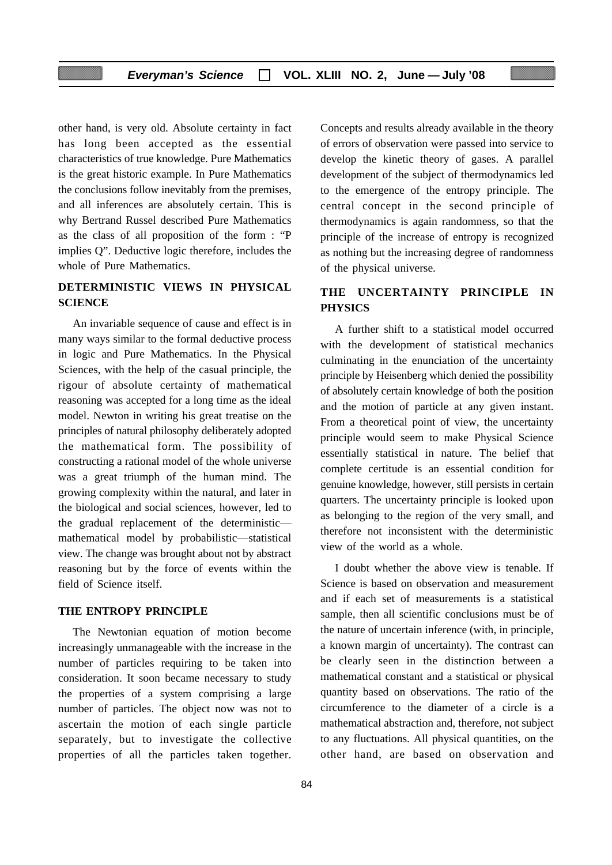other hand, is very old. Absolute certainty in fact has long been accepted as the essential characteristics of true knowledge. Pure Mathematics is the great historic example. In Pure Mathematics the conclusions follow inevitably from the premises, and all inferences are absolutely certain. This is why Bertrand Russel described Pure Mathematics as the class of all proposition of the form : "P implies Q". Deductive logic therefore, includes the whole of Pure Mathematics.

## **DETERMINISTIC VIEWS IN PHYSICAL SCIENCE**

An invariable sequence of cause and effect is in many ways similar to the formal deductive process in logic and Pure Mathematics. In the Physical Sciences, with the help of the casual principle, the rigour of absolute certainty of mathematical reasoning was accepted for a long time as the ideal model. Newton in writing his great treatise on the principles of natural philosophy deliberately adopted the mathematical form. The possibility of constructing a rational model of the whole universe was a great triumph of the human mind. The growing complexity within the natural, and later in the biological and social sciences, however, led to the gradual replacement of the deterministic mathematical model by probabilistic—statistical view. The change was brought about not by abstract reasoning but by the force of events within the field of Science itself.

#### **THE ENTROPY PRINCIPLE**

The Newtonian equation of motion become increasingly unmanageable with the increase in the number of particles requiring to be taken into consideration. It soon became necessary to study the properties of a system comprising a large number of particles. The object now was not to ascertain the motion of each single particle separately, but to investigate the collective properties of all the particles taken together.

Concepts and results already available in the theory of errors of observation were passed into service to develop the kinetic theory of gases. A parallel development of the subject of thermodynamics led to the emergence of the entropy principle. The central concept in the second principle of thermodynamics is again randomness, so that the principle of the increase of entropy is recognized as nothing but the increasing degree of randomness of the physical universe.

## **THE UNCERTAINTY PRINCIPLE IN PHYSICS**

A further shift to a statistical model occurred with the development of statistical mechanics culminating in the enunciation of the uncertainty principle by Heisenberg which denied the possibility of absolutely certain knowledge of both the position and the motion of particle at any given instant. From a theoretical point of view, the uncertainty principle would seem to make Physical Science essentially statistical in nature. The belief that complete certitude is an essential condition for genuine knowledge, however, still persists in certain quarters. The uncertainty principle is looked upon as belonging to the region of the very small, and therefore not inconsistent with the deterministic view of the world as a whole.

I doubt whether the above view is tenable. If Science is based on observation and measurement and if each set of measurements is a statistical sample, then all scientific conclusions must be of the nature of uncertain inference (with, in principle, a known margin of uncertainty). The contrast can be clearly seen in the distinction between a mathematical constant and a statistical or physical quantity based on observations. The ratio of the circumference to the diameter of a circle is a mathematical abstraction and, therefore, not subject to any fluctuations. All physical quantities, on the other hand, are based on observation and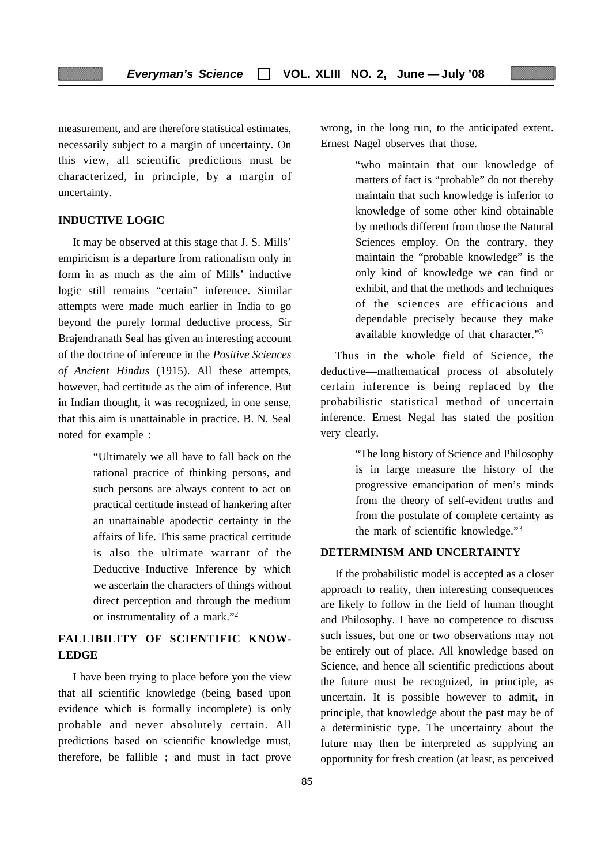measurement, and are therefore statistical estimates, necessarily subject to a margin of uncertainty. On this view, all scientific predictions must be characterized, in principle, by a margin of uncertainty.

## **INDUCTIVE LOGIC**

It may be observed at this stage that J. S. Mills' empiricism is a departure from rationalism only in form in as much as the aim of Mills' inductive logic still remains "certain" inference. Similar attempts were made much earlier in India to go beyond the purely formal deductive process, Sir Brajendranath Seal has given an interesting account of the doctrine of inference in the *Positive Sciences of Ancient Hindus* (1915). All these attempts, however, had certitude as the aim of inference. But in Indian thought, it was recognized, in one sense, that this aim is unattainable in practice. B. N. Seal noted for example :

> "Ultimately we all have to fall back on the rational practice of thinking persons, and such persons are always content to act on practical certitude instead of hankering after an unattainable apodectic certainty in the affairs of life. This same practical certitude is also the ultimate warrant of the Deductive–Inductive Inference by which we ascertain the characters of things without direct perception and through the medium or instrumentality of a mark."2

## **FALLIBILITY OF SCIENTIFIC KNOW-LEDGE**

I have been trying to place before you the view that all scientific knowledge (being based upon evidence which is formally incomplete) is only probable and never absolutely certain. All predictions based on scientific knowledge must, therefore, be fallible ; and must in fact prove

wrong, in the long run, to the anticipated extent. Ernest Nagel observes that those.

> "who maintain that our knowledge of matters of fact is "probable" do not thereby maintain that such knowledge is inferior to knowledge of some other kind obtainable by methods different from those the Natural Sciences employ. On the contrary, they maintain the "probable knowledge" is the only kind of knowledge we can find or exhibit, and that the methods and techniques of the sciences are efficacious and dependable precisely because they make available knowledge of that character."3

Thus in the whole field of Science, the deductive—mathematical process of absolutely certain inference is being replaced by the probabilistic statistical method of uncertain inference. Ernest Negal has stated the position very clearly.

> "The long history of Science and Philosophy is in large measure the history of the progressive emancipation of men's minds from the theory of self-evident truths and from the postulate of complete certainty as the mark of scientific knowledge."3

## **DETERMINISM AND UNCERTAINTY**

If the probabilistic model is accepted as a closer approach to reality, then interesting consequences are likely to follow in the field of human thought and Philosophy. I have no competence to discuss such issues, but one or two observations may not be entirely out of place. All knowledge based on Science, and hence all scientific predictions about the future must be recognized, in principle, as uncertain. It is possible however to admit, in principle, that knowledge about the past may be of a deterministic type. The uncertainty about the future may then be interpreted as supplying an opportunity for fresh creation (at least, as perceived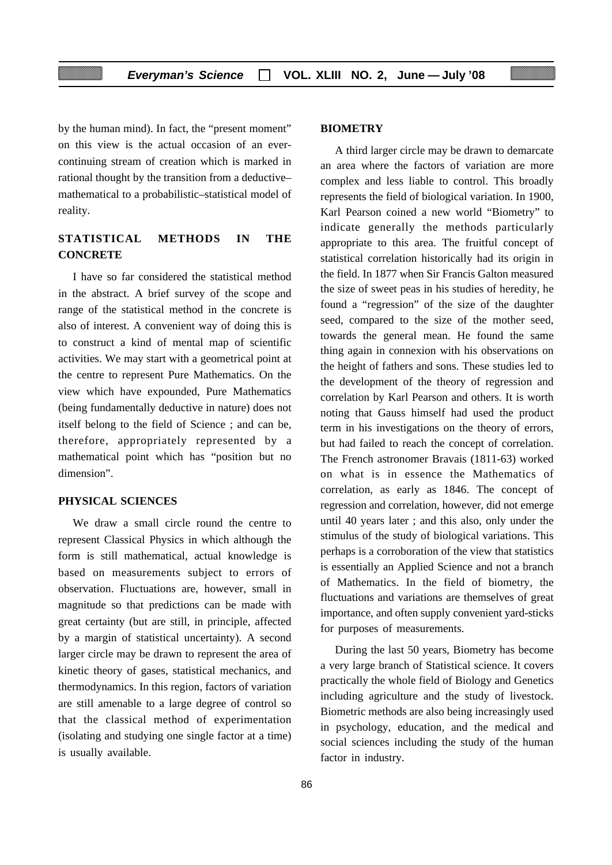by the human mind). In fact, the "present moment" on this view is the actual occasion of an evercontinuing stream of creation which is marked in rational thought by the transition from a deductive– mathematical to a probabilistic–statistical model of reality.

## **STATISTICAL METHODS IN THE CONCRETE**

I have so far considered the statistical method in the abstract. A brief survey of the scope and range of the statistical method in the concrete is also of interest. A convenient way of doing this is to construct a kind of mental map of scientific activities. We may start with a geometrical point at the centre to represent Pure Mathematics. On the view which have expounded, Pure Mathematics (being fundamentally deductive in nature) does not itself belong to the field of Science ; and can be, therefore, appropriately represented by a mathematical point which has "position but no dimension".

#### **PHYSICAL SCIENCES**

We draw a small circle round the centre to represent Classical Physics in which although the form is still mathematical, actual knowledge is based on measurements subject to errors of observation. Fluctuations are, however, small in magnitude so that predictions can be made with great certainty (but are still, in principle, affected by a margin of statistical uncertainty). A second larger circle may be drawn to represent the area of kinetic theory of gases, statistical mechanics, and thermodynamics. In this region, factors of variation are still amenable to a large degree of control so that the classical method of experimentation (isolating and studying one single factor at a time) is usually available.

#### **BIOMETRY**

A third larger circle may be drawn to demarcate an area where the factors of variation are more complex and less liable to control. This broadly represents the field of biological variation. In 1900, Karl Pearson coined a new world "Biometry" to indicate generally the methods particularly appropriate to this area. The fruitful concept of statistical correlation historically had its origin in the field. In 1877 when Sir Francis Galton measured the size of sweet peas in his studies of heredity, he found a "regression" of the size of the daughter seed, compared to the size of the mother seed, towards the general mean. He found the same thing again in connexion with his observations on the height of fathers and sons. These studies led to the development of the theory of regression and correlation by Karl Pearson and others. It is worth noting that Gauss himself had used the product term in his investigations on the theory of errors, but had failed to reach the concept of correlation. The French astronomer Bravais (1811-63) worked on what is in essence the Mathematics of correlation, as early as 1846. The concept of regression and correlation, however, did not emerge until 40 years later ; and this also, only under the stimulus of the study of biological variations. This perhaps is a corroboration of the view that statistics is essentially an Applied Science and not a branch of Mathematics. In the field of biometry, the fluctuations and variations are themselves of great importance, and often supply convenient yard-sticks for purposes of measurements.

During the last 50 years, Biometry has become a very large branch of Statistical science. It covers practically the whole field of Biology and Genetics including agriculture and the study of livestock. Biometric methods are also being increasingly used in psychology, education, and the medical and social sciences including the study of the human factor in industry.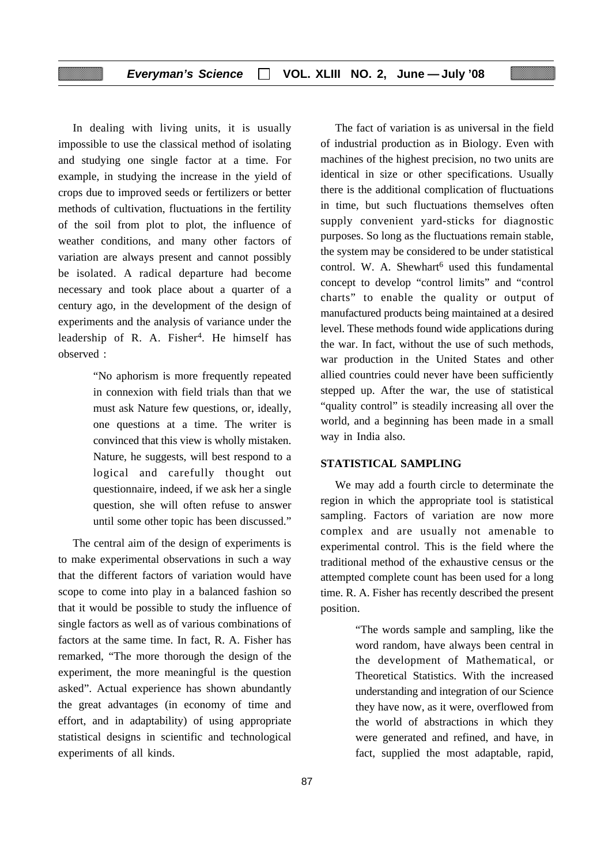## *Everyman's Science* **VOL. XLIII NO. 2, June — July '08**

In dealing with living units, it is usually impossible to use the classical method of isolating and studying one single factor at a time. For example, in studying the increase in the yield of crops due to improved seeds or fertilizers or better methods of cultivation, fluctuations in the fertility of the soil from plot to plot, the influence of weather conditions, and many other factors of variation are always present and cannot possibly be isolated. A radical departure had become necessary and took place about a quarter of a century ago, in the development of the design of experiments and the analysis of variance under the leadership of R. A. Fisher<sup>4</sup>. He himself has observed :

> "No aphorism is more frequently repeated in connexion with field trials than that we must ask Nature few questions, or, ideally, one questions at a time. The writer is convinced that this view is wholly mistaken. Nature, he suggests, will best respond to a logical and carefully thought out questionnaire, indeed, if we ask her a single question, she will often refuse to answer until some other topic has been discussed."

The central aim of the design of experiments is to make experimental observations in such a way that the different factors of variation would have scope to come into play in a balanced fashion so that it would be possible to study the influence of single factors as well as of various combinations of factors at the same time. In fact, R. A. Fisher has remarked, "The more thorough the design of the experiment, the more meaningful is the question asked". Actual experience has shown abundantly the great advantages (in economy of time and effort, and in adaptability) of using appropriate statistical designs in scientific and technological experiments of all kinds.

The fact of variation is as universal in the field of industrial production as in Biology. Even with machines of the highest precision, no two units are identical in size or other specifications. Usually there is the additional complication of fluctuations in time, but such fluctuations themselves often supply convenient yard-sticks for diagnostic purposes. So long as the fluctuations remain stable, the system may be considered to be under statistical control. W. A. Shewhart<sup>6</sup> used this fundamental concept to develop "control limits" and "control charts" to enable the quality or output of manufactured products being maintained at a desired level. These methods found wide applications during the war. In fact, without the use of such methods, war production in the United States and other allied countries could never have been sufficiently stepped up. After the war, the use of statistical "quality control" is steadily increasing all over the world, and a beginning has been made in a small way in India also.

## **STATISTICAL SAMPLING**

We may add a fourth circle to determinate the region in which the appropriate tool is statistical sampling. Factors of variation are now more complex and are usually not amenable to experimental control. This is the field where the traditional method of the exhaustive census or the attempted complete count has been used for a long time. R. A. Fisher has recently described the present position.

> "The words sample and sampling, like the word random, have always been central in the development of Mathematical, or Theoretical Statistics. With the increased understanding and integration of our Science they have now, as it were, overflowed from the world of abstractions in which they were generated and refined, and have, in fact, supplied the most adaptable, rapid,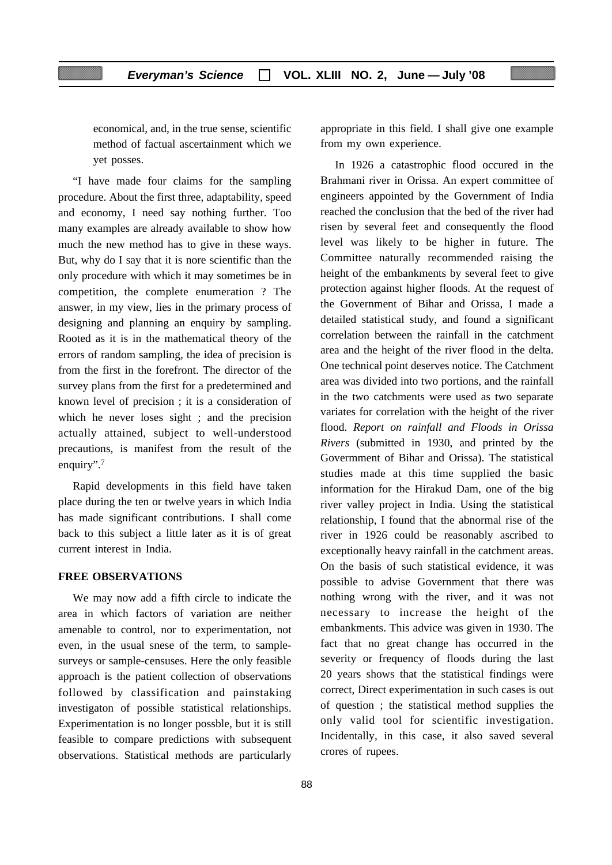economical, and, in the true sense, scientific method of factual ascertainment which we yet posses.

"I have made four claims for the sampling procedure. About the first three, adaptability, speed and economy, I need say nothing further. Too many examples are already available to show how much the new method has to give in these ways. But, why do I say that it is nore scientific than the only procedure with which it may sometimes be in competition, the complete enumeration ? The answer, in my view, lies in the primary process of designing and planning an enquiry by sampling. Rooted as it is in the mathematical theory of the errors of random sampling, the idea of precision is from the first in the forefront. The director of the survey plans from the first for a predetermined and known level of precision ; it is a consideration of which he never loses sight ; and the precision actually attained, subject to well-understood precautions, is manifest from the result of the enquiry".<sup>7</sup>

Rapid developments in this field have taken place during the ten or twelve years in which India has made significant contributions. I shall come back to this subject a little later as it is of great current interest in India.

## **FREE OBSERVATIONS**

We may now add a fifth circle to indicate the area in which factors of variation are neither amenable to control, nor to experimentation, not even, in the usual snese of the term, to samplesurveys or sample-censuses. Here the only feasible approach is the patient collection of observations followed by classification and painstaking investigaton of possible statistical relationships. Experimentation is no longer possble, but it is still feasible to compare predictions with subsequent observations. Statistical methods are particularly engineers appointed by the Government of India reached the conclusion that the bed of the river had risen by several feet and consequently the flood level was likely to be higher in future. The Committee naturally recommended raising the height of the embankments by several feet to give protection against higher floods. At the request of the Government of Bihar and Orissa, I made a detailed statistical study, and found a significant correlation between the rainfall in the catchment area and the height of the river flood in the delta. One technical point deserves notice. The Catchment area was divided into two portions, and the rainfall in the two catchments were used as two separate variates for correlation with the height of the river flood. *Report on rainfall and Floods in Orissa Rivers* (submitted in 1930, and printed by the Govermment of Bihar and Orissa). The statistical studies made at this time supplied the basic information for the Hirakud Dam, one of the big river valley project in India. Using the statistical relationship, I found that the abnormal rise of the river in 1926 could be reasonably ascribed to exceptionally heavy rainfall in the catchment areas. On the basis of such statistical evidence, it was possible to advise Government that there was nothing wrong with the river, and it was not necessary to increase the height of the embankments. This advice was given in 1930. The fact that no great change has occurred in the severity or frequency of floods during the last 20 years shows that the statistical findings were correct, Direct experimentation in such cases is out of question ; the statistical method supplies the only valid tool for scientific investigation. Incidentally, in this case, it also saved several crores of rupees.

appropriate in this field. I shall give one example

In 1926 a catastrophic flood occured in the Brahmani river in Orissa. An expert committee of

from my own experience.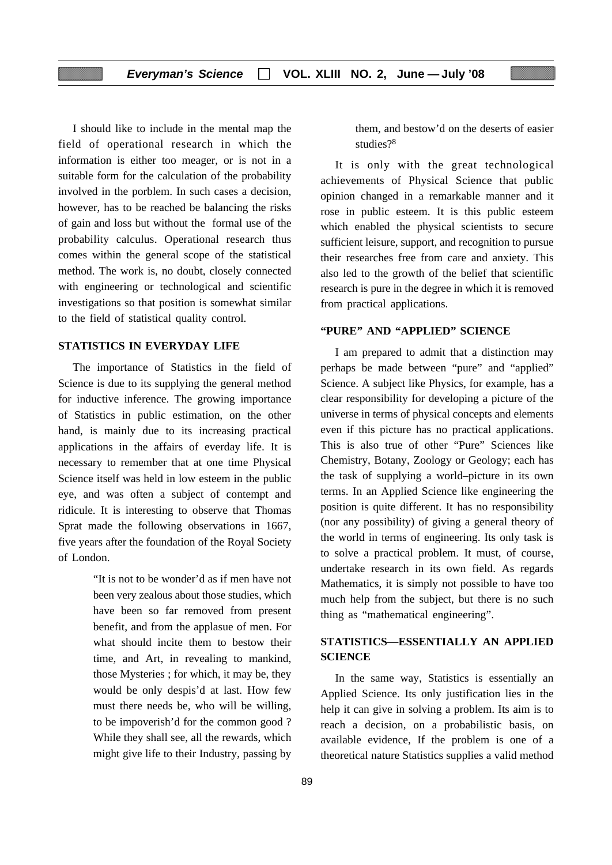I should like to include in the mental map the field of operational research in which the information is either too meager, or is not in a suitable form for the calculation of the probability involved in the porblem. In such cases a decision, however, has to be reached be balancing the risks of gain and loss but without the formal use of the probability calculus. Operational research thus comes within the general scope of the statistical method. The work is, no doubt, closely connected with engineering or technological and scientific investigations so that position is somewhat similar to the field of statistical quality control.

#### **STATISTICS IN EVERYDAY LIFE**

The importance of Statistics in the field of Science is due to its supplying the general method for inductive inference. The growing importance of Statistics in public estimation, on the other hand, is mainly due to its increasing practical applications in the affairs of everday life. It is necessary to remember that at one time Physical Science itself was held in low esteem in the public eye, and was often a subject of contempt and ridicule. It is interesting to observe that Thomas Sprat made the following observations in 1667, five years after the foundation of the Royal Society of London.

> "It is not to be wonder'd as if men have not been very zealous about those studies, which have been so far removed from present benefit, and from the applasue of men. For what should incite them to bestow their time, and Art, in revealing to mankind, those Mysteries ; for which, it may be, they would be only despis'd at last. How few must there needs be, who will be willing, to be impoverish'd for the common good ? While they shall see, all the rewards, which might give life to their Industry, passing by

them, and bestow'd on the deserts of easier studies?8

It is only with the great technological achievements of Physical Science that public opinion changed in a remarkable manner and it rose in public esteem. It is this public esteem which enabled the physical scientists to secure sufficient leisure, support, and recognition to pursue their researches free from care and anxiety. This also led to the growth of the belief that scientific research is pure in the degree in which it is removed from practical applications.

#### **"PURE" AND "APPLIED" SCIENCE**

I am prepared to admit that a distinction may perhaps be made between "pure" and "applied" Science. A subject like Physics, for example, has a clear responsibility for developing a picture of the universe in terms of physical concepts and elements even if this picture has no practical applications. This is also true of other "Pure" Sciences like Chemistry, Botany, Zoology or Geology; each has the task of supplying a world–picture in its own terms. In an Applied Science like engineering the position is quite different. It has no responsibility (nor any possibility) of giving a general theory of the world in terms of engineering. Its only task is to solve a practical problem. It must, of course, undertake research in its own field. As regards Mathematics, it is simply not possible to have too much help from the subject, but there is no such thing as "mathematical engineering".

## **STATISTICS—ESSENTIALLY AN APPLIED SCIENCE**

In the same way, Statistics is essentially an Applied Science. Its only justification lies in the help it can give in solving a problem. Its aim is to reach a decision, on a probabilistic basis, on available evidence, If the problem is one of a theoretical nature Statistics supplies a valid method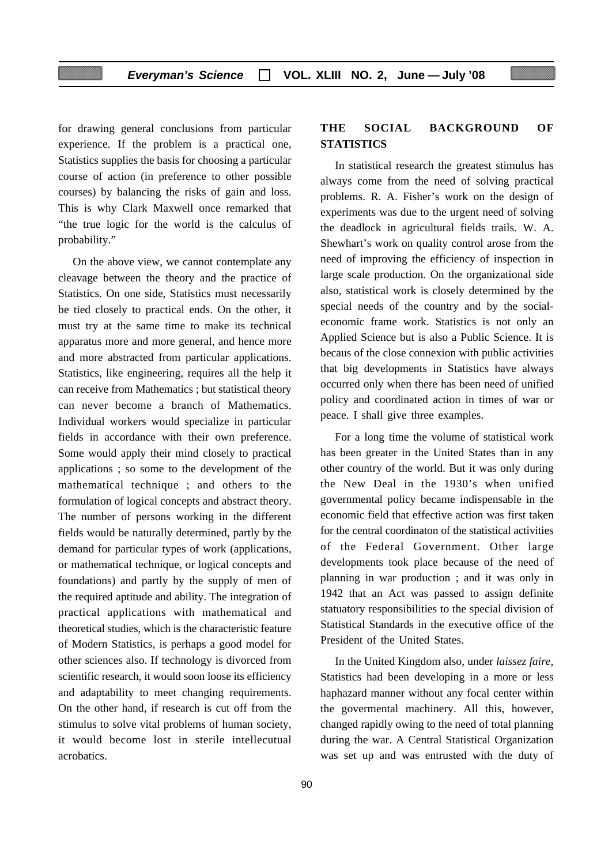for drawing general conclusions from particular experience. If the problem is a practical one, Statistics supplies the basis for choosing a particular course of action (in preference to other possible courses) by balancing the risks of gain and loss. This is why Clark Maxwell once remarked that "the true logic for the world is the calculus of probability."

On the above view, we cannot contemplate any cleavage between the theory and the practice of Statistics. On one side, Statistics must necessarily be tied closely to practical ends. On the other, it must try at the same time to make its technical apparatus more and more general, and hence more and more abstracted from particular applications. Statistics, like engineering, requires all the help it can receive from Mathematics ; but statistical theory can never become a branch of Mathematics. Individual workers would specialize in particular fields in accordance with their own preference. Some would apply their mind closely to practical applications ; so some to the development of the mathematical technique ; and others to the formulation of logical concepts and abstract theory. The number of persons working in the different fields would be naturally determined, partly by the demand for particular types of work (applications, or mathematical technique, or logical concepts and foundations) and partly by the supply of men of the required aptitude and ability. The integration of practical applications with mathematical and theoretical studies, which is the characteristic feature of Modern Statistics, is perhaps a good model for other sciences also. If technology is divorced from scientific research, it would soon loose its efficiency and adaptability to meet changing requirements. On the other hand, if research is cut off from the stimulus to solve vital problems of human society, it would become lost in sterile intellecutual acrobatics.

## **THE SOCIAL BACKGROUND OF STATISTICS**

In statistical research the greatest stimulus has always come from the need of solving practical problems. R. A. Fisher's work on the design of experiments was due to the urgent need of solving the deadlock in agricultural fields trails. W. A. Shewhart's work on quality control arose from the need of improving the efficiency of inspection in large scale production. On the organizational side also, statistical work is closely determined by the special needs of the country and by the socialeconomic frame work. Statistics is not only an Applied Science but is also a Public Science. It is becaus of the close connexion with public activities that big developments in Statistics have always occurred only when there has been need of unified policy and coordinated action in times of war or peace. I shall give three examples.

For a long time the volume of statistical work has been greater in the United States than in any other country of the world. But it was only during the New Deal in the 1930's when unified governmental policy became indispensable in the economic field that effective action was first taken for the central coordinaton of the statistical activities of the Federal Government. Other large developments took place because of the need of planning in war production ; and it was only in 1942 that an Act was passed to assign definite statuatory responsibilities to the special division of Statistical Standards in the executive office of the President of the United States.

In the United Kingdom also, under *laissez faire,* Statistics had been developing in a more or less haphazard manner without any focal center within the govermental machinery. All this, however, changed rapidly owing to the need of total planning during the war. A Central Statistical Organization was set up and was entrusted with the duty of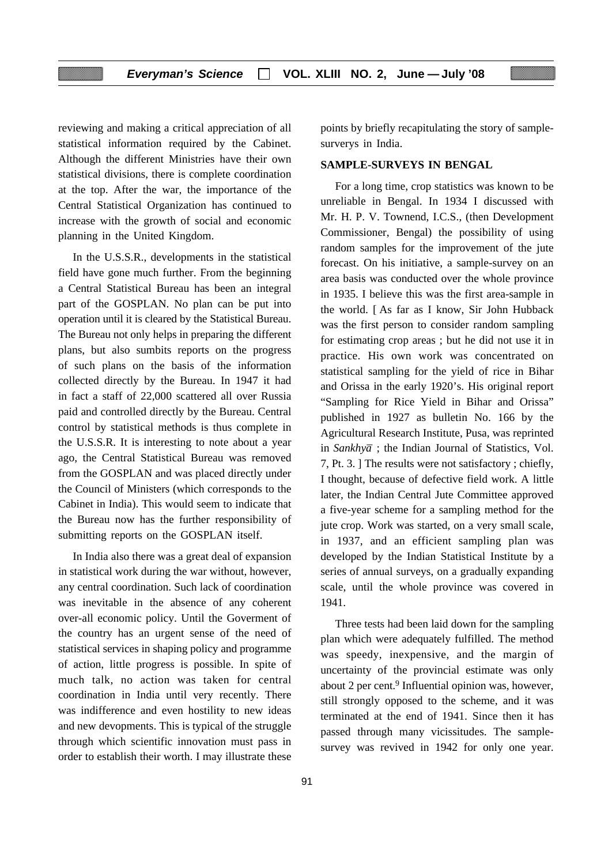reviewing and making a critical appreciation of all statistical information required by the Cabinet. Although the different Ministries have their own statistical divisions, there is complete coordination at the top. After the war, the importance of the Central Statistical Organization has continued to increase with the growth of social and economic planning in the United Kingdom.

In the U.S.S.R., developments in the statistical field have gone much further. From the beginning a Central Statistical Bureau has been an integral part of the GOSPLAN. No plan can be put into operation until it is cleared by the Statistical Bureau. The Bureau not only helps in preparing the different plans, but also sumbits reports on the progress of such plans on the basis of the information collected directly by the Bureau. In 1947 it had in fact a staff of 22,000 scattered all over Russia paid and controlled directly by the Bureau. Central control by statistical methods is thus complete in the U.S.S.R. It is interesting to note about a year ago, the Central Statistical Bureau was removed from the GOSPLAN and was placed directly under the Council of Ministers (which corresponds to the Cabinet in India). This would seem to indicate that the Bureau now has the further responsibility of submitting reports on the GOSPLAN itself.

In India also there was a great deal of expansion in statistical work during the war without, however, any central coordination. Such lack of coordination was inevitable in the absence of any coherent over-all economic policy. Until the Goverment of the country has an urgent sense of the need of statistical services in shaping policy and programme of action, little progress is possible. In spite of much talk, no action was taken for central coordination in India until very recently. There was indifference and even hostility to new ideas and new devopments. This is typical of the struggle through which scientific innovation must pass in order to establish their worth. I may illustrate these

points by briefly recapitulating the story of samplesurverys in India.

## **SAMPLE-SURVEYS IN BENGAL**

For a long time, crop statistics was known to be unreliable in Bengal. In 1934 I discussed with Mr. H. P. V. Townend, I.C.S., (then Development Commissioner, Bengal) the possibility of using random samples for the improvement of the jute forecast. On his initiative, a sample-survey on an area basis was conducted over the whole province in 1935. I believe this was the first area-sample in the world. [ As far as I know, Sir John Hubback was the first person to consider random sampling for estimating crop areas ; but he did not use it in practice. His own work was concentrated on statistical sampling for the yield of rice in Bihar and Orissa in the early 1920's. His original report "Sampling for Rice Yield in Bihar and Orissa" published in 1927 as bulletin No. 166 by the Agricultural Research Institute, Pusa, was reprinted in *Sankhya–* ; the Indian Journal of Statistics, Vol. 7, Pt. 3. ] The results were not satisfactory ; chiefly, I thought, because of defective field work. A little later, the Indian Central Jute Committee approved a five-year scheme for a sampling method for the jute crop. Work was started, on a very small scale, in 1937, and an efficient sampling plan was developed by the Indian Statistical Institute by a series of annual surveys, on a gradually expanding scale, until the whole province was covered in 1941.

Three tests had been laid down for the sampling plan which were adequately fulfilled. The method was speedy, inexpensive, and the margin of uncertainty of the provincial estimate was only about 2 per cent.9 Influential opinion was, however, still strongly opposed to the scheme, and it was terminated at the end of 1941. Since then it has passed through many vicissitudes. The samplesurvey was revived in 1942 for only one year.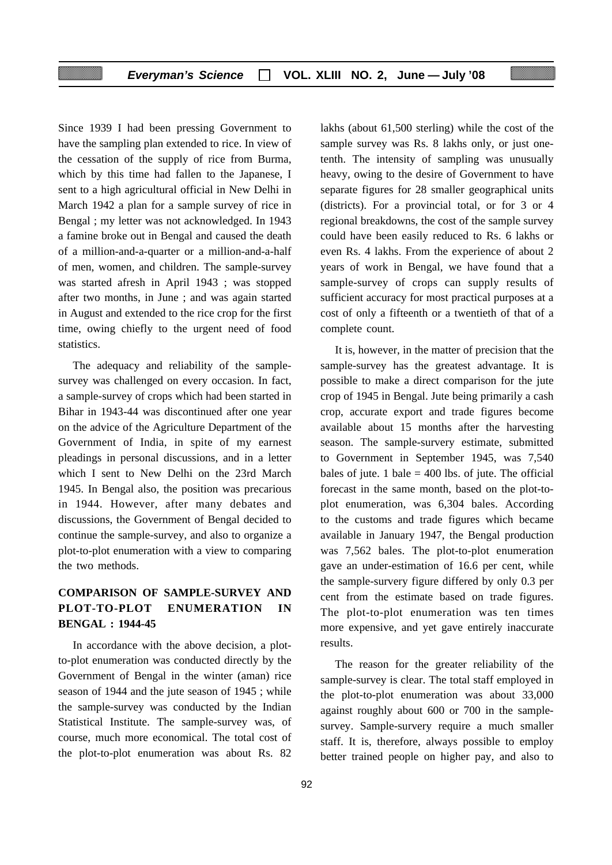## *Everyman's Science* **VOL. XLIII NO. 2, June — July '08**

Since 1939 I had been pressing Government to have the sampling plan extended to rice. In view of the cessation of the supply of rice from Burma, which by this time had fallen to the Japanese, I sent to a high agricultural official in New Delhi in March 1942 a plan for a sample survey of rice in Bengal ; my letter was not acknowledged. In 1943 a famine broke out in Bengal and caused the death of a million-and-a-quarter or a million-and-a-half of men, women, and children. The sample-survey was started afresh in April 1943 ; was stopped after two months, in June ; and was again started in August and extended to the rice crop for the first time, owing chiefly to the urgent need of food statistics.

The adequacy and reliability of the samplesurvey was challenged on every occasion. In fact, a sample-survey of crops which had been started in Bihar in 1943-44 was discontinued after one year on the advice of the Agriculture Department of the Government of India, in spite of my earnest pleadings in personal discussions, and in a letter which I sent to New Delhi on the 23rd March 1945. In Bengal also, the position was precarious in 1944. However, after many debates and discussions, the Government of Bengal decided to continue the sample-survey, and also to organize a plot-to-plot enumeration with a view to comparing the two methods.

## **COMPARISON OF SAMPLE-SURVEY AND PLOT-TO-PLOT ENUMERATION IN BENGAL : 1944-45**

In accordance with the above decision, a plotto-plot enumeration was conducted directly by the Government of Bengal in the winter (aman) rice season of 1944 and the jute season of 1945 ; while the sample-survey was conducted by the Indian Statistical Institute. The sample-survey was, of course, much more economical. The total cost of the plot-to-plot enumeration was about Rs. 82

lakhs (about 61,500 sterling) while the cost of the sample survey was Rs. 8 lakhs only, or just onetenth. The intensity of sampling was unusually heavy, owing to the desire of Government to have separate figures for 28 smaller geographical units (districts). For a provincial total, or for 3 or 4 regional breakdowns, the cost of the sample survey could have been easily reduced to Rs. 6 lakhs or even Rs. 4 lakhs. From the experience of about 2 years of work in Bengal, we have found that a sample-survey of crops can supply results of sufficient accuracy for most practical purposes at a cost of only a fifteenth or a twentieth of that of a complete count.

It is, however, in the matter of precision that the sample-survey has the greatest advantage. It is possible to make a direct comparison for the jute crop of 1945 in Bengal. Jute being primarily a cash crop, accurate export and trade figures become available about 15 months after the harvesting season. The sample-survery estimate, submitted to Government in September 1945, was 7,540 bales of jute. 1 bale  $=$  400 lbs. of jute. The official forecast in the same month, based on the plot-toplot enumeration, was 6,304 bales. According to the customs and trade figures which became available in January 1947, the Bengal production was 7,562 bales. The plot-to-plot enumeration gave an under-estimation of 16.6 per cent, while the sample-survery figure differed by only 0.3 per cent from the estimate based on trade figures. The plot-to-plot enumeration was ten times more expensive, and yet gave entirely inaccurate results.

The reason for the greater reliability of the sample-survey is clear. The total staff employed in the plot-to-plot enumeration was about 33,000 against roughly about 600 or 700 in the samplesurvey. Sample-survery require a much smaller staff. It is, therefore, always possible to employ better trained people on higher pay, and also to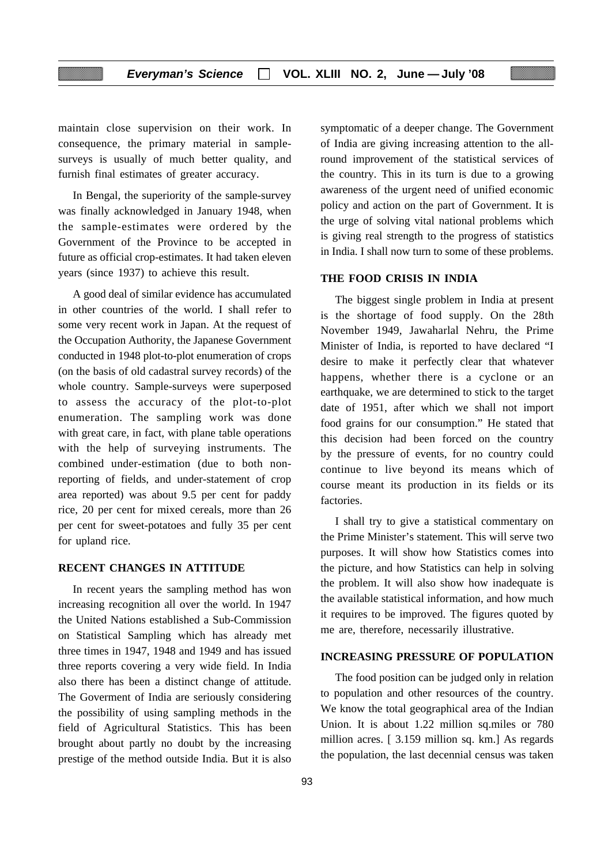maintain close supervision on their work. In consequence, the primary material in samplesurveys is usually of much better quality, and furnish final estimates of greater accuracy.

In Bengal, the superiority of the sample-survey was finally acknowledged in January 1948, when the sample-estimates were ordered by the Government of the Province to be accepted in future as official crop-estimates. It had taken eleven years (since 1937) to achieve this result.

A good deal of similar evidence has accumulated in other countries of the world. I shall refer to some very recent work in Japan. At the request of the Occupation Authority, the Japanese Government conducted in 1948 plot-to-plot enumeration of crops (on the basis of old cadastral survey records) of the whole country. Sample-surveys were superposed to assess the accuracy of the plot-to-plot enumeration. The sampling work was done with great care, in fact, with plane table operations with the help of surveying instruments. The combined under-estimation (due to both nonreporting of fields, and under-statement of crop area reported) was about 9.5 per cent for paddy rice, 20 per cent for mixed cereals, more than 26 per cent for sweet-potatoes and fully 35 per cent for upland rice.

#### **RECENT CHANGES IN ATTITUDE**

In recent years the sampling method has won increasing recognition all over the world. In 1947 the United Nations established a Sub-Commission on Statistical Sampling which has already met three times in 1947, 1948 and 1949 and has issued three reports covering a very wide field. In India also there has been a distinct change of attitude. The Goverment of India are seriously considering the possibility of using sampling methods in the field of Agricultural Statistics. This has been brought about partly no doubt by the increasing prestige of the method outside India. But it is also symptomatic of a deeper change. The Government of India are giving increasing attention to the allround improvement of the statistical services of the country. This in its turn is due to a growing awareness of the urgent need of unified economic policy and action on the part of Government. It is the urge of solving vital national problems which is giving real strength to the progress of statistics in India. I shall now turn to some of these problems.

## **THE FOOD CRISIS IN INDIA**

The biggest single problem in India at present is the shortage of food supply. On the 28th November 1949, Jawaharlal Nehru, the Prime Minister of India, is reported to have declared "I desire to make it perfectly clear that whatever happens, whether there is a cyclone or an earthquake, we are determined to stick to the target date of 1951, after which we shall not import food grains for our consumption." He stated that this decision had been forced on the country by the pressure of events, for no country could continue to live beyond its means which of course meant its production in its fields or its factories.

I shall try to give a statistical commentary on the Prime Minister's statement. This will serve two purposes. It will show how Statistics comes into the picture, and how Statistics can help in solving the problem. It will also show how inadequate is the available statistical information, and how much it requires to be improved. The figures quoted by me are, therefore, necessarily illustrative.

#### **INCREASING PRESSURE OF POPULATION**

The food position can be judged only in relation to population and other resources of the country. We know the total geographical area of the Indian Union. It is about 1.22 million sq.miles or 780 million acres. [ 3.159 million sq. km.] As regards the population, the last decennial census was taken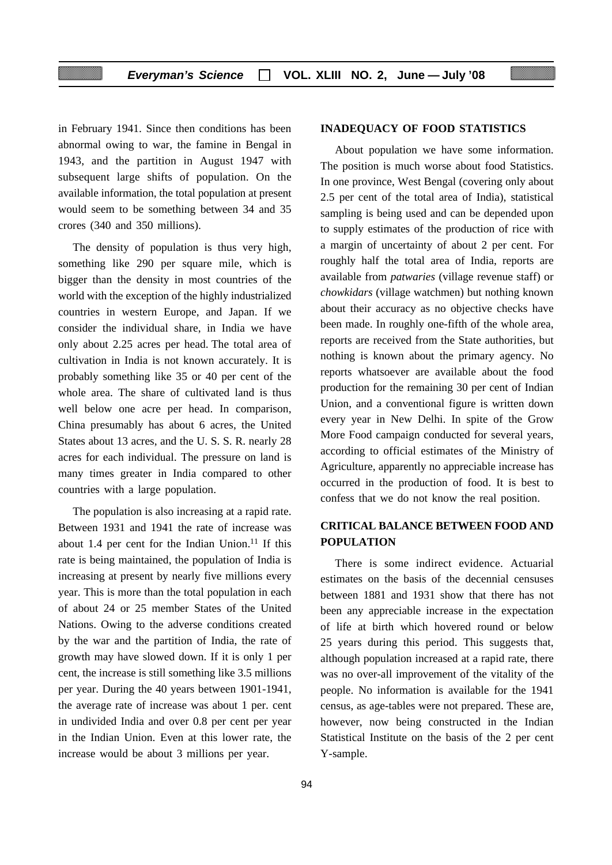in February 1941. Since then conditions has been abnormal owing to war, the famine in Bengal in 1943, and the partition in August 1947 with subsequent large shifts of population. On the available information, the total population at present would seem to be something between 34 and 35 crores (340 and 350 millions).

The density of population is thus very high, something like 290 per square mile, which is bigger than the density in most countries of the world with the exception of the highly industrialized countries in western Europe, and Japan. If we consider the individual share, in India we have only about 2.25 acres per head. The total area of cultivation in India is not known accurately. It is probably something like 35 or 40 per cent of the whole area. The share of cultivated land is thus well below one acre per head. In comparison, China presumably has about 6 acres, the United States about 13 acres, and the U. S. S. R. nearly 28 acres for each individual. The pressure on land is many times greater in India compared to other countries with a large population.

The population is also increasing at a rapid rate. Between 1931 and 1941 the rate of increase was about 1.4 per cent for the Indian Union.<sup>11</sup> If this rate is being maintained, the population of India is increasing at present by nearly five millions every year. This is more than the total population in each of about 24 or 25 member States of the United Nations. Owing to the adverse conditions created by the war and the partition of India, the rate of growth may have slowed down. If it is only 1 per cent, the increase is still something like 3.5 millions per year. During the 40 years between 1901-1941, the average rate of increase was about 1 per. cent in undivided India and over 0.8 per cent per year in the Indian Union. Even at this lower rate, the increase would be about 3 millions per year.

#### **INADEQUACY OF FOOD STATISTICS**

About population we have some information. The position is much worse about food Statistics. In one province, West Bengal (covering only about 2.5 per cent of the total area of India), statistical sampling is being used and can be depended upon to supply estimates of the production of rice with a margin of uncertainty of about 2 per cent. For roughly half the total area of India, reports are available from *patwaries* (village revenue staff) or *chowkidars* (village watchmen) but nothing known about their accuracy as no objective checks have been made. In roughly one-fifth of the whole area, reports are received from the State authorities, but nothing is known about the primary agency. No reports whatsoever are available about the food production for the remaining 30 per cent of Indian Union, and a conventional figure is written down every year in New Delhi. In spite of the Grow More Food campaign conducted for several years, according to official estimates of the Ministry of Agriculture, apparently no appreciable increase has occurred in the production of food. It is best to confess that we do not know the real position.

## **CRITICAL BALANCE BETWEEN FOOD AND POPULATION**

There is some indirect evidence. Actuarial estimates on the basis of the decennial censuses between 1881 and 1931 show that there has not been any appreciable increase in the expectation of life at birth which hovered round or below 25 years during this period. This suggests that, although population increased at a rapid rate, there was no over-all improvement of the vitality of the people. No information is available for the 1941 census, as age-tables were not prepared. These are, however, now being constructed in the Indian Statistical Institute on the basis of the 2 per cent Y-sample.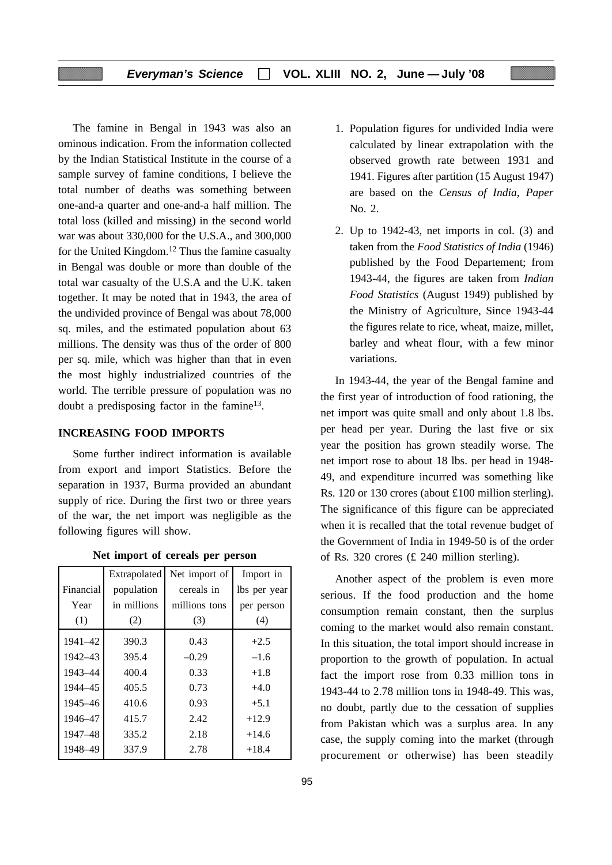## *Everyman's Science* **VOL. XLIII NO. 2, June — July '08**

The famine in Bengal in 1943 was also an ominous indication. From the information collected by the Indian Statistical Institute in the course of a sample survey of famine conditions, I believe the total number of deaths was something between one-and-a quarter and one-and-a half million. The total loss (killed and missing) in the second world war was about 330,000 for the U.S.A., and 300,000 for the United Kingdom.12 Thus the famine casualty in Bengal was double or more than double of the total war casualty of the U.S.A and the U.K. taken together. It may be noted that in 1943, the area of the undivided province of Bengal was about 78,000 sq. miles, and the estimated population about 63 millions. The density was thus of the order of 800 per sq. mile, which was higher than that in even the most highly industrialized countries of the world. The terrible pressure of population was no doubt a predisposing factor in the famine13.

## **INCREASING FOOD IMPORTS**

Some further indirect information is available from export and import Statistics. Before the separation in 1937, Burma provided an abundant supply of rice. During the first two or three years of the war, the net import was negligible as the following figures will show.

|           | Extrapolated | Net import of | Import in    |
|-----------|--------------|---------------|--------------|
| Financial | population   | cereals in    | lbs per year |
| Year      | in millions  | millions tons | per person   |
| (1)       | (2)          | (3)           | (4)          |
| 1941-42   | 390.3        | 0.43          | $+2.5$       |
| 1942-43   | 395.4        | $-0.29$       | $-1.6$       |
| 1943-44   | 400.4        | 0.33          | $+1.8$       |
| 1944-45   | 405.5        | 0.73          | $+4.0$       |
| 1945-46   | 410.6        | 0.93          | $+5.1$       |
| 1946-47   | 415.7        | 2.42          | $+12.9$      |
| 1947-48   | 335.2        | 2.18          | $+14.6$      |
| 1948–49   | 337.9        | 2.78          | $+18.4$      |

|  | Net import of cereals per person |  |  |  |  |
|--|----------------------------------|--|--|--|--|
|--|----------------------------------|--|--|--|--|

- 1. Population figures for undivided India were calculated by linear extrapolation with the observed growth rate between 1931 and 1941. Figures after partition (15 August 1947) are based on the *Census of India, Paper* No. 2.
- 2. Up to 1942-43, net imports in col. (3) and taken from the *Food Statistics of India* (1946) published by the Food Departement; from 1943-44, the figures are taken from *Indian Food Statistics* (August 1949) published by the Ministry of Agriculture, Since 1943-44 the figures relate to rice, wheat, maize, millet, barley and wheat flour, with a few minor variations.

In 1943-44, the year of the Bengal famine and the first year of introduction of food rationing, the net import was quite small and only about 1.8 lbs. per head per year. During the last five or six year the position has grown steadily worse. The net import rose to about 18 lbs. per head in 1948- 49, and expenditure incurred was something like Rs. 120 or 130 crores (about £100 million sterling). The significance of this figure can be appreciated when it is recalled that the total revenue budget of the Government of India in 1949-50 is of the order of Rs. 320 crores (£ 240 million sterling).

Another aspect of the problem is even more serious. If the food production and the home consumption remain constant, then the surplus coming to the market would also remain constant. In this situation, the total import should increase in proportion to the growth of population. In actual fact the import rose from 0.33 million tons in 1943-44 to 2.78 million tons in 1948-49. This was, no doubt, partly due to the cessation of supplies from Pakistan which was a surplus area. In any case, the supply coming into the market (through procurement or otherwise) has been steadily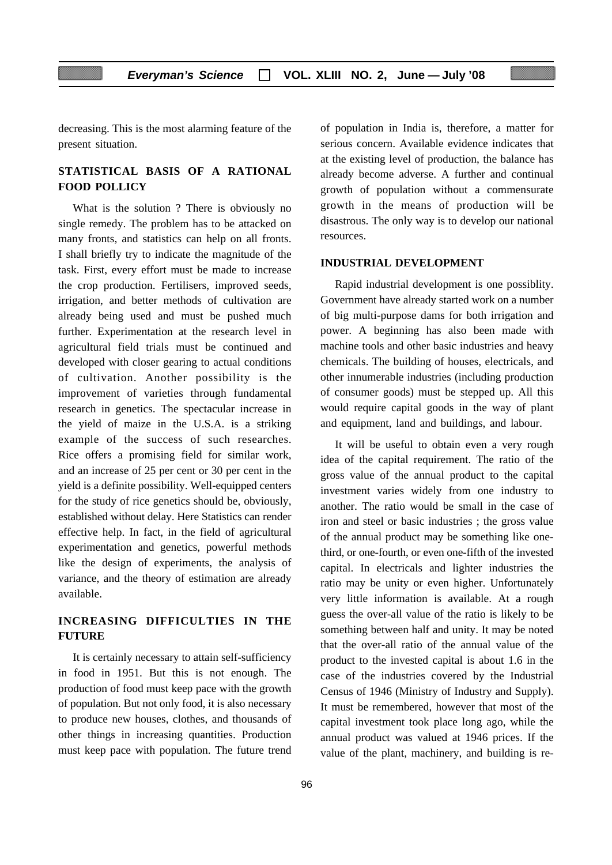decreasing. This is the most alarming feature of the present situation.

## **STATISTICAL BASIS OF A RATIONAL FOOD POLLICY**

What is the solution ? There is obviously no single remedy. The problem has to be attacked on many fronts, and statistics can help on all fronts. I shall briefly try to indicate the magnitude of the task. First, every effort must be made to increase the crop production. Fertilisers, improved seeds, irrigation, and better methods of cultivation are already being used and must be pushed much further. Experimentation at the research level in agricultural field trials must be continued and developed with closer gearing to actual conditions of cultivation. Another possibility is the improvement of varieties through fundamental research in genetics. The spectacular increase in the yield of maize in the U.S.A. is a striking example of the success of such researches. Rice offers a promising field for similar work, and an increase of 25 per cent or 30 per cent in the yield is a definite possibility. Well-equipped centers for the study of rice genetics should be, obviously, established without delay. Here Statistics can render effective help. In fact, in the field of agricultural experimentation and genetics, powerful methods like the design of experiments, the analysis of variance, and the theory of estimation are already available.

## **INCREASING DIFFICULTIES IN THE FUTURE**

It is certainly necessary to attain self-sufficiency in food in 1951. But this is not enough. The production of food must keep pace with the growth of population. But not only food, it is also necessary to produce new houses, clothes, and thousands of other things in increasing quantities. Production must keep pace with population. The future trend of population in India is, therefore, a matter for serious concern. Available evidence indicates that at the existing level of production, the balance has already become adverse. A further and continual growth of population without a commensurate growth in the means of production will be disastrous. The only way is to develop our national resources.

## **INDUSTRIAL DEVELOPMENT**

Rapid industrial development is one possiblity. Government have already started work on a number of big multi-purpose dams for both irrigation and power. A beginning has also been made with machine tools and other basic industries and heavy chemicals. The building of houses, electricals, and other innumerable industries (including production of consumer goods) must be stepped up. All this would require capital goods in the way of plant and equipment, land and buildings, and labour.

It will be useful to obtain even a very rough idea of the capital requirement. The ratio of the gross value of the annual product to the capital investment varies widely from one industry to another. The ratio would be small in the case of iron and steel or basic industries ; the gross value of the annual product may be something like onethird, or one-fourth, or even one-fifth of the invested capital. In electricals and lighter industries the ratio may be unity or even higher. Unfortunately very little information is available. At a rough guess the over-all value of the ratio is likely to be something between half and unity. It may be noted that the over-all ratio of the annual value of the product to the invested capital is about 1.6 in the case of the industries covered by the Industrial Census of 1946 (Ministry of Industry and Supply). It must be remembered, however that most of the capital investment took place long ago, while the annual product was valued at 1946 prices. If the value of the plant, machinery, and building is re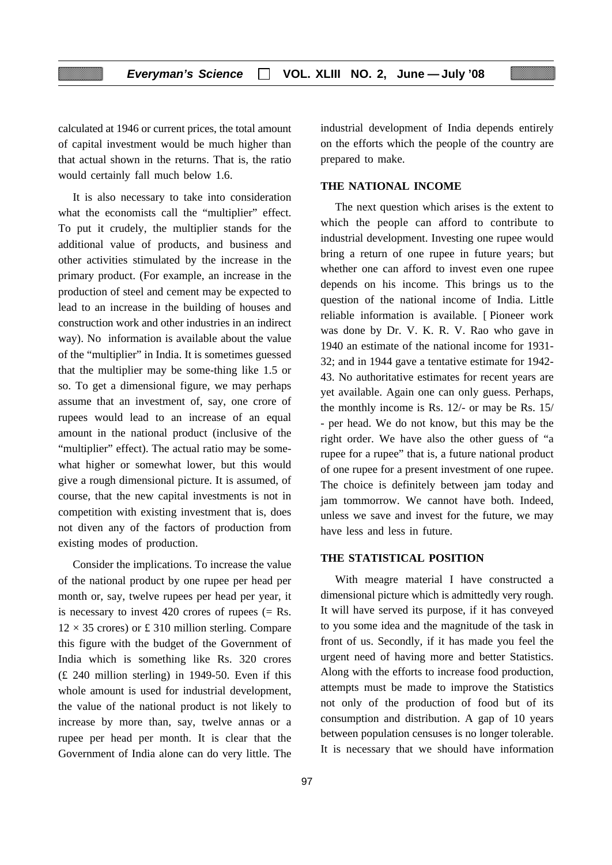calculated at 1946 or current prices, the total amount of capital investment would be much higher than that actual shown in the returns. That is, the ratio would certainly fall much below 1.6.

It is also necessary to take into consideration what the economists call the "multiplier" effect. To put it crudely, the multiplier stands for the additional value of products, and business and other activities stimulated by the increase in the primary product. (For example, an increase in the production of steel and cement may be expected to lead to an increase in the building of houses and construction work and other industries in an indirect way). No information is available about the value of the "multiplier" in India. It is sometimes guessed that the multiplier may be some-thing like 1.5 or so. To get a dimensional figure, we may perhaps assume that an investment of, say, one crore of rupees would lead to an increase of an equal amount in the national product (inclusive of the "multiplier" effect). The actual ratio may be somewhat higher or somewhat lower, but this would give a rough dimensional picture. It is assumed, of course, that the new capital investments is not in competition with existing investment that is, does not diven any of the factors of production from existing modes of production.

Consider the implications. To increase the value of the national product by one rupee per head per month or, say, twelve rupees per head per year, it is necessary to invest  $420$  crores of rupees (= Rs.  $12 \times 35$  crores) or £ 310 million sterling. Compare this figure with the budget of the Government of India which is something like Rs. 320 crores (£ 240 million sterling) in 1949-50. Even if this whole amount is used for industrial development, the value of the national product is not likely to increase by more than, say, twelve annas or a rupee per head per month. It is clear that the Government of India alone can do very little. The

industrial development of India depends entirely on the efforts which the people of the country are prepared to make.

#### **THE NATIONAL INCOME**

The next question which arises is the extent to which the people can afford to contribute to industrial development. Investing one rupee would bring a return of one rupee in future years; but whether one can afford to invest even one rupee depends on his income. This brings us to the question of the national income of India. Little reliable information is available. [ Pioneer work was done by Dr. V. K. R. V. Rao who gave in 1940 an estimate of the national income for 1931- 32; and in 1944 gave a tentative estimate for 1942- 43. No authoritative estimates for recent years are yet available. Again one can only guess. Perhaps, the monthly income is Rs. 12/- or may be Rs. 15/ - per head. We do not know, but this may be the right order. We have also the other guess of "a rupee for a rupee" that is, a future national product of one rupee for a present investment of one rupee. The choice is definitely between jam today and jam tommorrow. We cannot have both. Indeed, unless we save and invest for the future, we may have less and less in future.

#### **THE STATISTICAL POSITION**

With meagre material I have constructed a dimensional picture which is admittedly very rough. It will have served its purpose, if it has conveyed to you some idea and the magnitude of the task in front of us. Secondly, if it has made you feel the urgent need of having more and better Statistics. Along with the efforts to increase food production, attempts must be made to improve the Statistics not only of the production of food but of its consumption and distribution. A gap of 10 years between population censuses is no longer tolerable. It is necessary that we should have information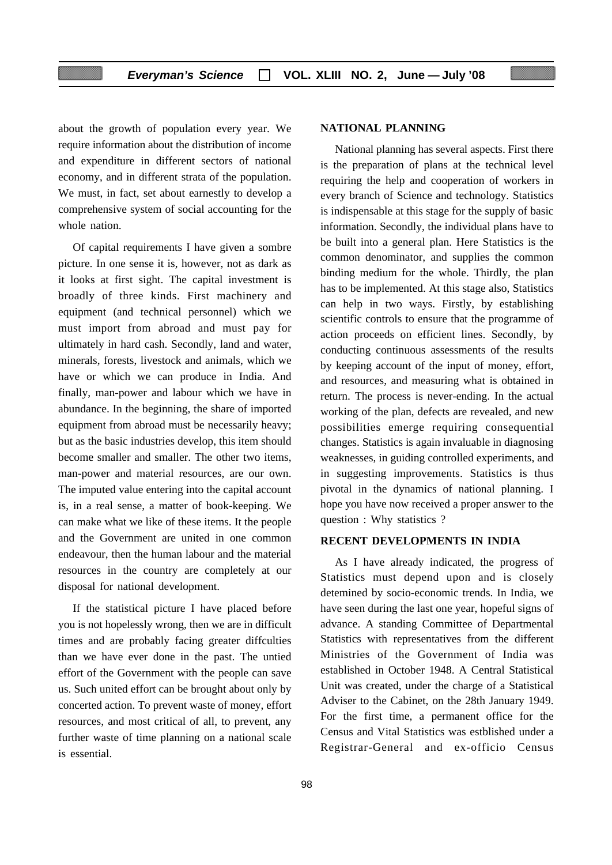about the growth of population every year. We require information about the distribution of income and expenditure in different sectors of national economy, and in different strata of the population. We must, in fact, set about earnestly to develop a comprehensive system of social accounting for the whole nation.

Of capital requirements I have given a sombre picture. In one sense it is, however, not as dark as it looks at first sight. The capital investment is broadly of three kinds. First machinery and equipment (and technical personnel) which we must import from abroad and must pay for ultimately in hard cash. Secondly, land and water, minerals, forests, livestock and animals, which we have or which we can produce in India. And finally, man-power and labour which we have in abundance. In the beginning, the share of imported equipment from abroad must be necessarily heavy; but as the basic industries develop, this item should become smaller and smaller. The other two items, man-power and material resources, are our own. The imputed value entering into the capital account is, in a real sense, a matter of book-keeping. We can make what we like of these items. It the people and the Government are united in one common endeavour, then the human labour and the material resources in the country are completely at our disposal for national development.

If the statistical picture I have placed before you is not hopelessly wrong, then we are in difficult times and are probably facing greater diffculties than we have ever done in the past. The untied effort of the Government with the people can save us. Such united effort can be brought about only by concerted action. To prevent waste of money, effort resources, and most critical of all, to prevent, any further waste of time planning on a national scale is essential.

#### **NATIONAL PLANNING**

National planning has several aspects. First there is the preparation of plans at the technical level requiring the help and cooperation of workers in every branch of Science and technology. Statistics is indispensable at this stage for the supply of basic information. Secondly, the individual plans have to be built into a general plan. Here Statistics is the common denominator, and supplies the common binding medium for the whole. Thirdly, the plan has to be implemented. At this stage also, Statistics can help in two ways. Firstly, by establishing scientific controls to ensure that the programme of action proceeds on efficient lines. Secondly, by conducting continuous assessments of the results by keeping account of the input of money, effort, and resources, and measuring what is obtained in return. The process is never-ending. In the actual working of the plan, defects are revealed, and new possibilities emerge requiring consequential changes. Statistics is again invaluable in diagnosing weaknesses, in guiding controlled experiments, and in suggesting improvements. Statistics is thus pivotal in the dynamics of national planning. I hope you have now received a proper answer to the question : Why statistics ?

### **RECENT DEVELOPMENTS IN INDIA**

As I have already indicated, the progress of Statistics must depend upon and is closely detemined by socio-economic trends. In India, we have seen during the last one year, hopeful signs of advance. A standing Committee of Departmental Statistics with representatives from the different Ministries of the Government of India was established in October 1948. A Central Statistical Unit was created, under the charge of a Statistical Adviser to the Cabinet, on the 28th January 1949. For the first time, a permanent office for the Census and Vital Statistics was estblished under a Registrar-General and ex-officio Census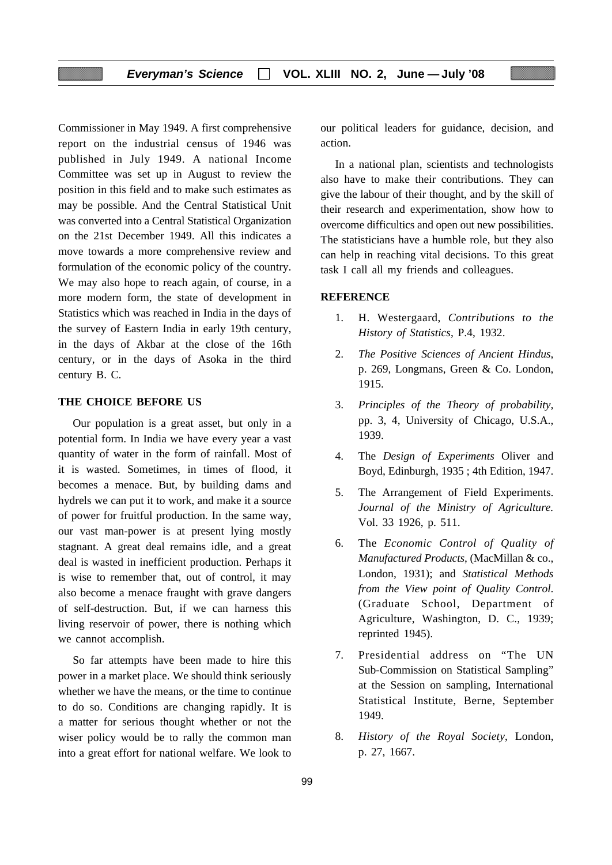Commissioner in May 1949. A first comprehensive report on the industrial census of 1946 was published in July 1949. A national Income Committee was set up in August to review the position in this field and to make such estimates as may be possible. And the Central Statistical Unit was converted into a Central Statistical Organization on the 21st December 1949. All this indicates a move towards a more comprehensive review and formulation of the economic policy of the country. We may also hope to reach again, of course, in a more modern form, the state of development in Statistics which was reached in India in the days of the survey of Eastern India in early 19th century, in the days of Akbar at the close of the 16th century, or in the days of Asoka in the third century B. C.

## **THE CHOICE BEFORE US**

Our population is a great asset, but only in a potential form. In India we have every year a vast quantity of water in the form of rainfall. Most of it is wasted. Sometimes, in times of flood, it becomes a menace. But, by building dams and hydrels we can put it to work, and make it a source of power for fruitful production. In the same way, our vast man-power is at present lying mostly stagnant. A great deal remains idle, and a great deal is wasted in inefficient production. Perhaps it is wise to remember that, out of control, it may also become a menace fraught with grave dangers of self-destruction. But, if we can harness this living reservoir of power, there is nothing which we cannot accomplish.

So far attempts have been made to hire this power in a market place. We should think seriously whether we have the means, or the time to continue to do so. Conditions are changing rapidly. It is a matter for serious thought whether or not the wiser policy would be to rally the common man into a great effort for national welfare. We look to

our political leaders for guidance, decision, and action.

In a national plan, scientists and technologists also have to make their contributions. They can give the labour of their thought, and by the skill of their research and experimentation, show how to overcome difficultics and open out new possibilities. The statisticians have a humble role, but they also can help in reaching vital decisions. To this great task I call all my friends and colleagues.

#### **REFERENCE**

- 1. H. Westergaard, *Contributions to the History of Statistics*, P.4, 1932.
- 2. *The Positive Sciences of Ancient Hindus*, p. 269, Longmans, Green & Co. London, 1915.
- 3. *Principles of the Theory of probability,* pp. 3, 4, University of Chicago, U.S.A., 1939.
- 4. The *Design of Experiments* Oliver and Boyd, Edinburgh, 1935 ; 4th Edition, 1947.
- 5. The Arrangement of Field Experiments. *Journal of the Ministry of Agriculture.* Vol. 33 1926, p. 511.
- 6. The *Economic Control of Quality of Manufactured Products*, (MacMillan & co., London, 1931); and *Statistical Methods from the View point of Quality Control*. (Graduate School, Department of Agriculture, Washington, D. C., 1939; reprinted 1945).
- 7. Presidential address on "The UN Sub-Commission on Statistical Sampling" at the Session on sampling, International Statistical Institute, Berne, September 1949.
- 8. *History of the Royal Society*, London, p. 27, 1667.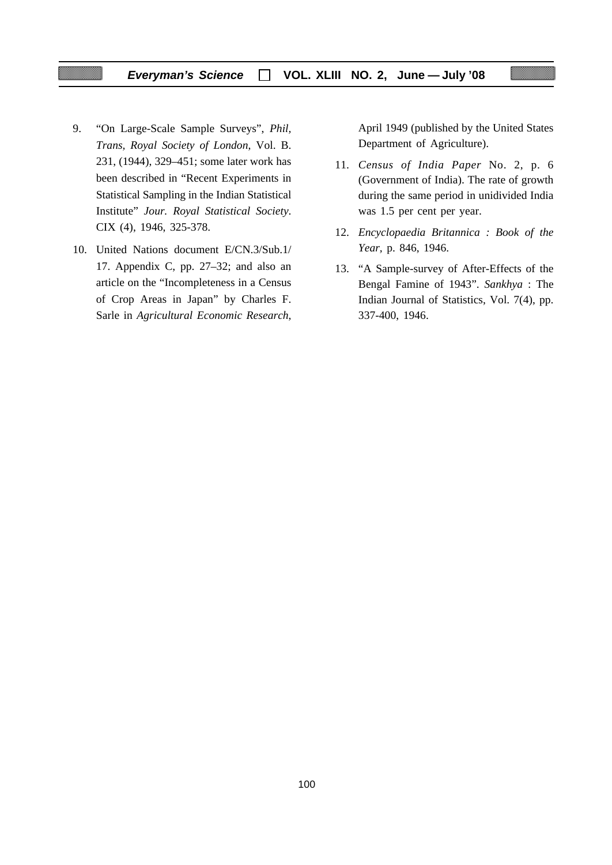## *Everyman's Science* **VOL. XLIII NO. 2, June — July '08**

- 9. "On Large-Scale Sample Surveys", *Phil, Trans, Royal Society of London*, Vol. B. 231, (1944), 329–451; some later work has been described in "Recent Experiments in Statistical Sampling in the Indian Statistical Institute" *Jour. Royal Statistical Society*. CIX (4), 1946, 325-378.
- 10. United Nations document E/CN.3/Sub.1/ 17. Appendix C, pp. 27–32; and also an article on the "Incompleteness in a Census of Crop Areas in Japan" by Charles F. Sarle in *Agricultural Economic Research*,

April 1949 (published by the United States Department of Agriculture).

- 11. *Census of India Paper* No. 2, p. 6 (Government of India). The rate of growth during the same period in unidivided India was 1.5 per cent per year.
- 12. *Encyclopaedia Britannica : Book of the Year,* p. 846, 1946.
- 13. "A Sample-survey of After-Effects of the Bengal Famine of 1943". *Sankhya* : The Indian Journal of Statistics, Vol. 7(4), pp. 337-400, 1946.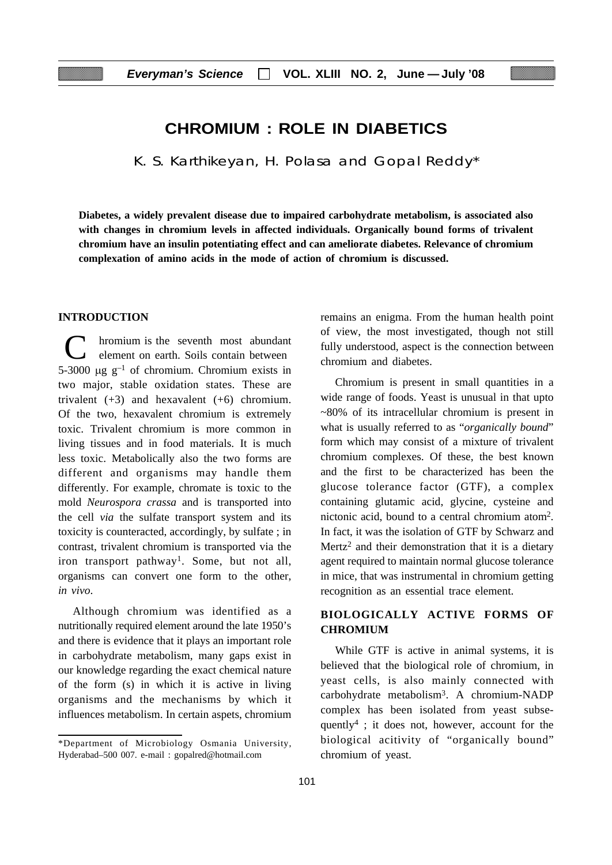## **CHROMIUM : ROLE IN DIABETICS**

K. S. Karthikeyan, H. Polasa and Gopal Reddy\*

**Diabetes, a widely prevalent disease due to impaired carbohydrate metabolism, is associated also with changes in chromium levels in affected individuals. Organically bound forms of trivalent chromium have an insulin potentiating effect and can ameliorate diabetes. Relevance of chromium complexation of amino acids in the mode of action of chromium is discussed.**

## **INTRODUCTION**

C hromium is the seventh most abundant element on earth. Soils contain between 5-3000  $\mu$ g g<sup>-1</sup> of chromium. Chromium exists in two major, stable oxidation states. These are trivalent  $(+3)$  and hexavalent  $(+6)$  chromium. Of the two, hexavalent chromium is extremely toxic. Trivalent chromium is more common in living tissues and in food materials. It is much less toxic. Metabolically also the two forms are different and organisms may handle them differently. For example, chromate is toxic to the mold *Neurospora crassa* and is transported into the cell *via* the sulfate transport system and its toxicity is counteracted, accordingly, by sulfate ; in contrast, trivalent chromium is transported via the iron transport pathway<sup>1</sup>. Some, but not all, organisms can convert one form to the other, *in vivo*.

Although chromium was identified as a nutritionally required element around the late 1950's and there is evidence that it plays an important role in carbohydrate metabolism, many gaps exist in our knowledge regarding the exact chemical nature of the form (s) in which it is active in living organisms and the mechanisms by which it influences metabolism. In certain aspets, chromium remains an enigma. From the human health point of view, the most investigated, though not still fully understood, aspect is the connection between chromium and diabetes.

Chromium is present in small quantities in a wide range of foods. Yeast is unusual in that upto ~80% of its intracellular chromium is present in what is usually referred to as "*organically bound*" form which may consist of a mixture of trivalent chromium complexes. Of these, the best known and the first to be characterized has been the glucose tolerance factor (GTF), a complex containing glutamic acid, glycine, cysteine and nictonic acid, bound to a central chromium atom2. In fact, it was the isolation of GTF by Schwarz and Mertz<sup>2</sup> and their demonstration that it is a dietary agent required to maintain normal glucose tolerance in mice, that was instrumental in chromium getting recognition as an essential trace element.

## **BIOLOGICALLY ACTIVE FORMS OF CHROMIUM**

While GTF is active in animal systems, it is believed that the biological role of chromium, in yeast cells, is also mainly connected with carbohydrate metabolism3. A chromium-NADP complex has been isolated from yeast subsequently<sup>4</sup>; it does not, however, account for the biological acitivity of "organically bound" chromium of yeast.

<sup>\*</sup>Department of Microbiology Osmania University, Hyderabad–500 007. e-mail : gopalred@hotmail.com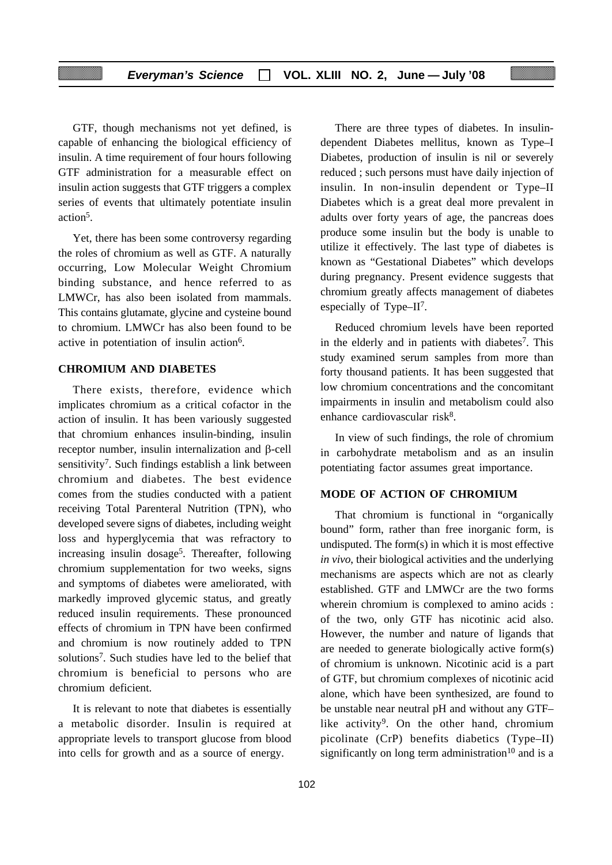GTF, though mechanisms not yet defined, is capable of enhancing the biological efficiency of insulin. A time requirement of four hours following GTF administration for a measurable effect on insulin action suggests that GTF triggers a complex series of events that ultimately potentiate insulin action5.

Yet, there has been some controversy regarding the roles of chromium as well as GTF. A naturally occurring, Low Molecular Weight Chromium binding substance, and hence referred to as LMWCr, has also been isolated from mammals. This contains glutamate, glycine and cysteine bound to chromium. LMWCr has also been found to be active in potentiation of insulin action<sup>6</sup>.

#### **CHROMIUM AND DIABETES**

There exists, therefore, evidence which implicates chromium as a critical cofactor in the action of insulin. It has been variously suggested that chromium enhances insulin-binding, insulin receptor number, insulin internalization and β-cell sensitivity<sup>7</sup>. Such findings establish a link between chromium and diabetes. The best evidence comes from the studies conducted with a patient receiving Total Parenteral Nutrition (TPN), who developed severe signs of diabetes, including weight loss and hyperglycemia that was refractory to increasing insulin dosage<sup>5</sup>. Thereafter, following chromium supplementation for two weeks, signs and symptoms of diabetes were ameliorated, with markedly improved glycemic status, and greatly reduced insulin requirements. These pronounced effects of chromium in TPN have been confirmed and chromium is now routinely added to TPN solutions7. Such studies have led to the belief that chromium is beneficial to persons who are chromium deficient.

It is relevant to note that diabetes is essentially a metabolic disorder. Insulin is required at appropriate levels to transport glucose from blood into cells for growth and as a source of energy.

There are three types of diabetes. In insulindependent Diabetes mellitus, known as Type–I Diabetes, production of insulin is nil or severely reduced ; such persons must have daily injection of insulin. In non-insulin dependent or Type–II Diabetes which is a great deal more prevalent in adults over forty years of age, the pancreas does produce some insulin but the body is unable to utilize it effectively. The last type of diabetes is known as "Gestational Diabetes" which develops during pregnancy. Present evidence suggests that chromium greatly affects management of diabetes especially of Type–II7.

Reduced chromium levels have been reported in the elderly and in patients with diabetes<sup>7</sup>. This study examined serum samples from more than forty thousand patients. It has been suggested that low chromium concentrations and the concomitant impairments in insulin and metabolism could also enhance cardiovascular risk $8$ .

In view of such findings, the role of chromium in carbohydrate metabolism and as an insulin potentiating factor assumes great importance.

#### **MODE OF ACTION OF CHROMIUM**

That chromium is functional in "organically bound" form, rather than free inorganic form, is undisputed. The form(s) in which it is most effective *in vivo*, their biological activities and the underlying mechanisms are aspects which are not as clearly established. GTF and LMWCr are the two forms wherein chromium is complexed to amino acids : of the two, only GTF has nicotinic acid also. However, the number and nature of ligands that are needed to generate biologically active form(s) of chromium is unknown. Nicotinic acid is a part of GTF, but chromium complexes of nicotinic acid alone, which have been synthesized, are found to be unstable near neutral pH and without any GTF– like activity<sup>9</sup>. On the other hand, chromium picolinate (CrP) benefits diabetics (Type–II) significantly on long term administration $10$  and is a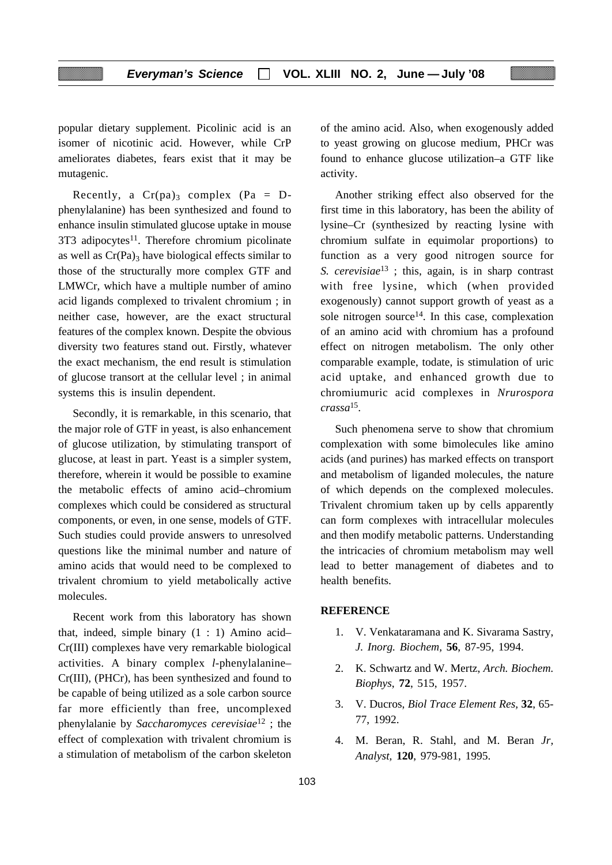## *Everyman's Science* **VOL. XLIII NO. 2, June — July '08**

popular dietary supplement. Picolinic acid is an isomer of nicotinic acid. However, while CrP ameliorates diabetes, fears exist that it may be mutagenic.

Recently, a  $Cr(pa)$ <sub>3</sub> complex (Pa = Dphenylalanine) has been synthesized and found to enhance insulin stimulated glucose uptake in mouse  $3T3$  adipocytes<sup>11</sup>. Therefore chromium picolinate as well as  $Cr(Pa)$ <sub>3</sub> have biological effects similar to those of the structurally more complex GTF and LMWCr, which have a multiple number of amino acid ligands complexed to trivalent chromium ; in neither case, however, are the exact structural features of the complex known. Despite the obvious diversity two features stand out. Firstly, whatever the exact mechanism, the end result is stimulation of glucose transort at the cellular level ; in animal systems this is insulin dependent.

Secondly, it is remarkable, in this scenario, that the major role of GTF in yeast, is also enhancement of glucose utilization, by stimulating transport of glucose, at least in part. Yeast is a simpler system, therefore, wherein it would be possible to examine the metabolic effects of amino acid–chromium complexes which could be considered as structural components, or even, in one sense, models of GTF. Such studies could provide answers to unresolved questions like the minimal number and nature of amino acids that would need to be complexed to trivalent chromium to yield metabolically active molecules.

Recent work from this laboratory has shown that, indeed, simple binary (1 : 1) Amino acid– Cr(III) complexes have very remarkable biological activities. A binary complex *l*-phenylalanine– Cr(III), (PHCr), has been synthesized and found to be capable of being utilized as a sole carbon source far more efficiently than free, uncomplexed phenylalanie by *Saccharomyces cerevisiae*12 ; the effect of complexation with trivalent chromium is a stimulation of metabolism of the carbon skeleton

of the amino acid. Also, when exogenously added to yeast growing on glucose medium, PHCr was found to enhance glucose utilization–a GTF like activity.

Another striking effect also observed for the first time in this laboratory, has been the ability of lysine–Cr (synthesized by reacting lysine with chromium sulfate in equimolar proportions) to function as a very good nitrogen source for *S. cerevisiae*13 ; this, again, is in sharp contrast with free lysine, which (when provided exogenously) cannot support growth of yeast as a sole nitrogen source $14$ . In this case, complexation of an amino acid with chromium has a profound effect on nitrogen metabolism. The only other comparable example, todate, is stimulation of uric acid uptake, and enhanced growth due to chromiumuric acid complexes in *Nrurospora crassa*15.

Such phenomena serve to show that chromium complexation with some bimolecules like amino acids (and purines) has marked effects on transport and metabolism of liganded molecules, the nature of which depends on the complexed molecules. Trivalent chromium taken up by cells apparently can form complexes with intracellular molecules and then modify metabolic patterns. Understanding the intricacies of chromium metabolism may well lead to better management of diabetes and to health benefits.

## **REFERENCE**

- 1. V. Venkataramana and K. Sivarama Sastry, *J. Inorg. Biochem,* **56**, 87-95, 1994.
- 2. K. Schwartz and W. Mertz, *Arch. Biochem. Biophys*, **72**, 515, 1957.
- 3. V. Ducros, *Biol Trace Element Res,* **32**, 65- 77, 1992.
- 4. M. Beran, R. Stahl, and M. Beran *Jr, Analyst,* **120**, 979-981, 1995.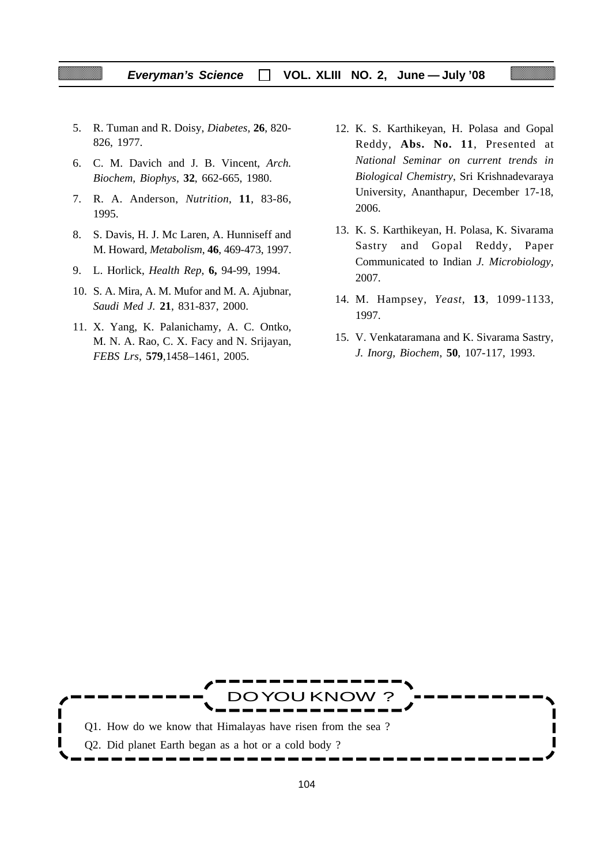## *Everyman's Science* **VOL. XLIII NO. 2, June — July '08**

- 5. R. Tuman and R. Doisy, *Diabetes,* **26**, 820- 826, 1977.
- 6. C. M. Davich and J. B. Vincent, *Arch. Biochem, Biophys*, **32**, 662-665, 1980.
- 7. R. A. Anderson, *Nutrition*, **11**, 83-86, 1995.
- 8. S. Davis, H. J. Mc Laren, A. Hunniseff and M. Howard, *Metabolism*, **46**, 469-473, 1997.
- 9. L. Horlick, *Health Rep*, **6,** 94-99, 1994.
- 10. S. A. Mira, A. M. Mufor and M. A. Ajubnar, *Saudi Med J.* **21**, 831-837, 2000.
- 11. X. Yang, K. Palanichamy, A. C. Ontko, M. N. A. Rao, C. X. Facy and N. Srijayan, *FEBS Lrs*, **579**,1458–1461, 2005.
- 12. K. S. Karthikeyan, H. Polasa and Gopal Reddy, **Abs. No. 11**, Presented at *National Seminar on current trends in Biological Chemistry*, Sri Krishnadevaraya University, Ananthapur, December 17-18, 2006.
- 13. K. S. Karthikeyan, H. Polasa, K. Sivarama Sastry and Gopal Reddy, Paper Communicated to Indian *J. Microbiology,* 2007.
- 14. M. Hampsey, *Yeast*, **13**, 1099-1133, 1997.
- 15. V. Venkataramana and K. Sivarama Sastry, *J. Inorg, Biochem*, **50**, 107-117, 1993.

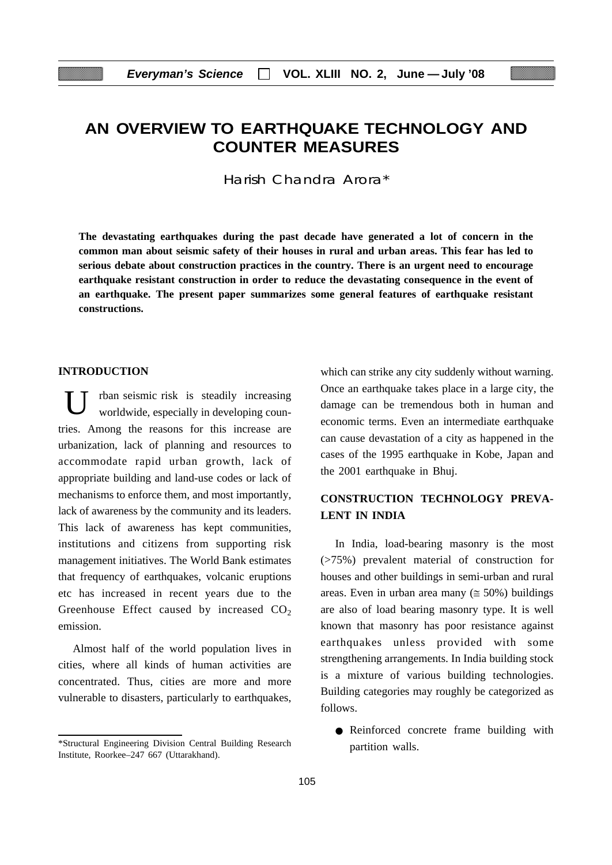## **AN OVERVIEW TO EARTHQUAKE TECHNOLOGY AND COUNTER MEASURES**

Harish Chandra Arora\*

**The devastating earthquakes during the past decade have generated a lot of concern in the common man about seismic safety of their houses in rural and urban areas. This fear has led to serious debate about construction practices in the country. There is an urgent need to encourage earthquake resistant construction in order to reduce the devastating consequence in the event of an earthquake. The present paper summarizes some general features of earthquake resistant constructions.**

## **INTRODUCTION**

rban seismic risk is steadily increasing worldwide, especially in developing countries. Among the reasons for this increase are urbanization, lack of planning and resources to accommodate rapid urban growth, lack of appropriate building and land-use codes or lack of mechanisms to enforce them, and most importantly, lack of awareness by the community and its leaders. This lack of awareness has kept communities, institutions and citizens from supporting risk management initiatives. The World Bank estimates that frequency of earthquakes, volcanic eruptions etc has increased in recent years due to the Greenhouse Effect caused by increased  $CO<sub>2</sub>$ emission.

Almost half of the world population lives in cities, where all kinds of human activities are concentrated. Thus, cities are more and more vulnerable to disasters, particularly to earthquakes, which can strike any city suddenly without warning. Once an earthquake takes place in a large city, the damage can be tremendous both in human and economic terms. Even an intermediate earthquake can cause devastation of a city as happened in the cases of the 1995 earthquake in Kobe, Japan and the 2001 earthquake in Bhuj.

## **CONSTRUCTION TECHNOLOGY PREVA-LENT IN INDIA**

In India, load-bearing masonry is the most (>75%) prevalent material of construction for houses and other buildings in semi-urban and rural areas. Even in urban area many ( $\approx$  50%) buildings are also of load bearing masonry type. It is well known that masonry has poor resistance against earthquakes unless provided with some strengthening arrangements. In India building stock is a mixture of various building technologies. Building categories may roughly be categorized as follows.

● Reinforced concrete frame building with partition walls.

<sup>\*</sup>Structural Engineering Division Central Building Research Institute, Roorkee–247 667 (Uttarakhand).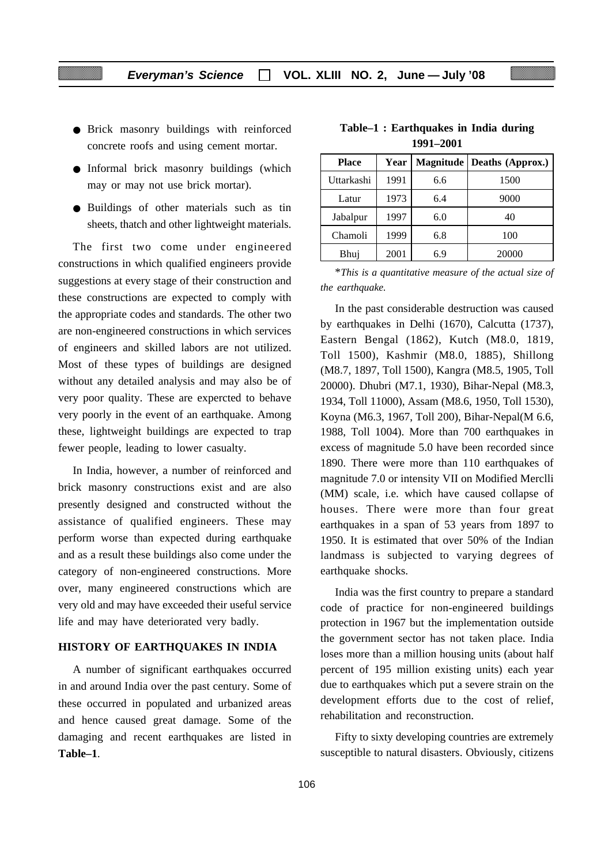- Brick masonry buildings with reinforced concrete roofs and using cement mortar.
- Informal brick masonry buildings (which may or may not use brick mortar).
- Buildings of other materials such as tin sheets, thatch and other lightweight materials.

The first two come under engineered constructions in which qualified engineers provide suggestions at every stage of their construction and these constructions are expected to comply with the appropriate codes and standards. The other two are non-engineered constructions in which services of engineers and skilled labors are not utilized. Most of these types of buildings are designed without any detailed analysis and may also be of very poor quality. These are expercted to behave very poorly in the event of an earthquake. Among these, lightweight buildings are expected to trap fewer people, leading to lower casualty.

In India, however, a number of reinforced and brick masonry constructions exist and are also presently designed and constructed without the assistance of qualified engineers. These may perform worse than expected during earthquake and as a result these buildings also come under the category of non-engineered constructions. More over, many engineered constructions which are very old and may have exceeded their useful service life and may have deteriorated very badly.

#### **HISTORY OF EARTHQUAKES IN INDIA**

A number of significant earthquakes occurred in and around India over the past century. Some of these occurred in populated and urbanized areas and hence caused great damage. Some of the damaging and recent earthquakes are listed in **Table–1**.

| <b>Place</b> | Year |     | Magnitude   Deaths (Approx.) |
|--------------|------|-----|------------------------------|
| Uttarkashi   | 1991 | 6.6 | 1500                         |
| Latur        | 1973 | 6.4 | 9000                         |
| Jabalpur     | 1997 | 6.0 | 40                           |
| Chamoli      | 1999 | 6.8 | 100                          |
| Bhui         | 2001 | 6.9 | 20000                        |

**Table–1 : Earthquakes in India during 1991–2001**

\**This is a quantitative measure of the actual size of the earthquake.*

In the past considerable destruction was caused by earthquakes in Delhi (1670), Calcutta (1737), Eastern Bengal (1862), Kutch (M8.0, 1819, Toll 1500), Kashmir (M8.0, 1885), Shillong (M8.7, 1897, Toll 1500), Kangra (M8.5, 1905, Toll 20000). Dhubri (M7.1, 1930), Bihar-Nepal (M8.3, 1934, Toll 11000), Assam (M8.6, 1950, Toll 1530), Koyna (M6.3, 1967, Toll 200), Bihar-Nepal(M 6.6, 1988, Toll 1004). More than 700 earthquakes in excess of magnitude 5.0 have been recorded since 1890. There were more than 110 earthquakes of magnitude 7.0 or intensity VII on Modified Merclli (MM) scale, i.e. which have caused collapse of houses. There were more than four great earthquakes in a span of 53 years from 1897 to 1950. It is estimated that over 50% of the Indian landmass is subjected to varying degrees of earthquake shocks.

India was the first country to prepare a standard code of practice for non-engineered buildings protection in 1967 but the implementation outside the government sector has not taken place. India loses more than a million housing units (about half percent of 195 million existing units) each year due to earthquakes which put a severe strain on the development efforts due to the cost of relief, rehabilitation and reconstruction.

Fifty to sixty developing countries are extremely susceptible to natural disasters. Obviously, citizens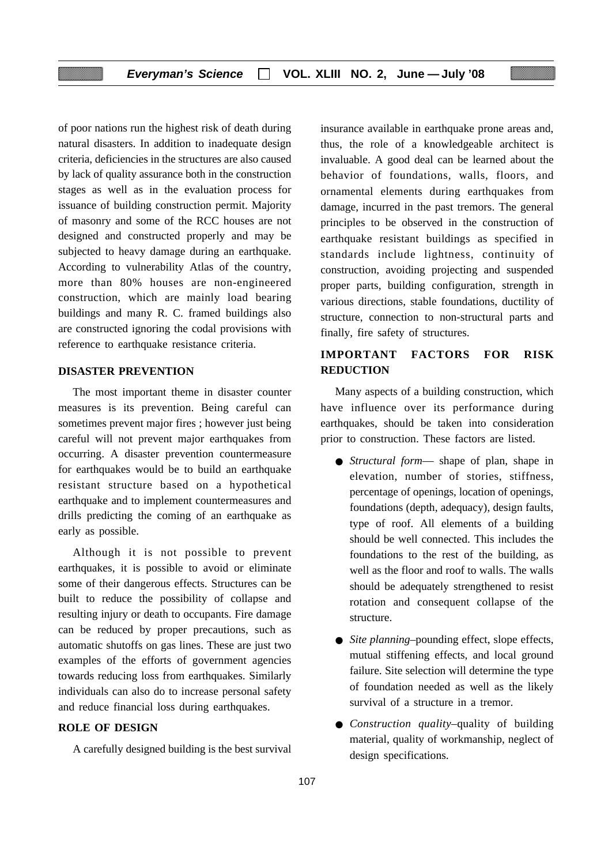of poor nations run the highest risk of death during natural disasters. In addition to inadequate design criteria, deficiencies in the structures are also caused by lack of quality assurance both in the construction stages as well as in the evaluation process for issuance of building construction permit. Majority of masonry and some of the RCC houses are not designed and constructed properly and may be subjected to heavy damage during an earthquake. According to vulnerability Atlas of the country, more than 80% houses are non-engineered construction, which are mainly load bearing buildings and many R. C. framed buildings also are constructed ignoring the codal provisions with reference to earthquake resistance criteria.

## **DISASTER PREVENTION**

The most important theme in disaster counter measures is its prevention. Being careful can sometimes prevent major fires ; however just being careful will not prevent major earthquakes from occurring. A disaster prevention countermeasure for earthquakes would be to build an earthquake resistant structure based on a hypothetical earthquake and to implement countermeasures and drills predicting the coming of an earthquake as early as possible.

Although it is not possible to prevent earthquakes, it is possible to avoid or eliminate some of their dangerous effects. Structures can be built to reduce the possibility of collapse and resulting injury or death to occupants. Fire damage can be reduced by proper precautions, such as automatic shutoffs on gas lines. These are just two examples of the efforts of government agencies towards reducing loss from earthquakes. Similarly individuals can also do to increase personal safety and reduce financial loss during earthquakes.

## **ROLE OF DESIGN**

A carefully designed building is the best survival

insurance available in earthquake prone areas and, thus, the role of a knowledgeable architect is invaluable. A good deal can be learned about the behavior of foundations, walls, floors, and ornamental elements during earthquakes from damage, incurred in the past tremors. The general principles to be observed in the construction of earthquake resistant buildings as specified in standards include lightness, continuity of construction, avoiding projecting and suspended proper parts, building configuration, strength in various directions, stable foundations, ductility of structure, connection to non-structural parts and finally, fire safety of structures.

## **IMPORTANT FACTORS FOR RISK REDUCTION**

Many aspects of a building construction, which have influence over its performance during earthquakes, should be taken into consideration prior to construction. These factors are listed.

- *Structural form* shape of plan, shape in elevation, number of stories, stiffness, percentage of openings, location of openings, foundations (depth, adequacy), design faults, type of roof. All elements of a building should be well connected. This includes the foundations to the rest of the building, as well as the floor and roof to walls. The walls should be adequately strengthened to resist rotation and consequent collapse of the structure.
- *Site planning*–pounding effect, slope effects, mutual stiffening effects, and local ground failure. Site selection will determine the type of foundation needed as well as the likely survival of a structure in a tremor.
- *Construction quality*–quality of building material, quality of workmanship, neglect of design specifications.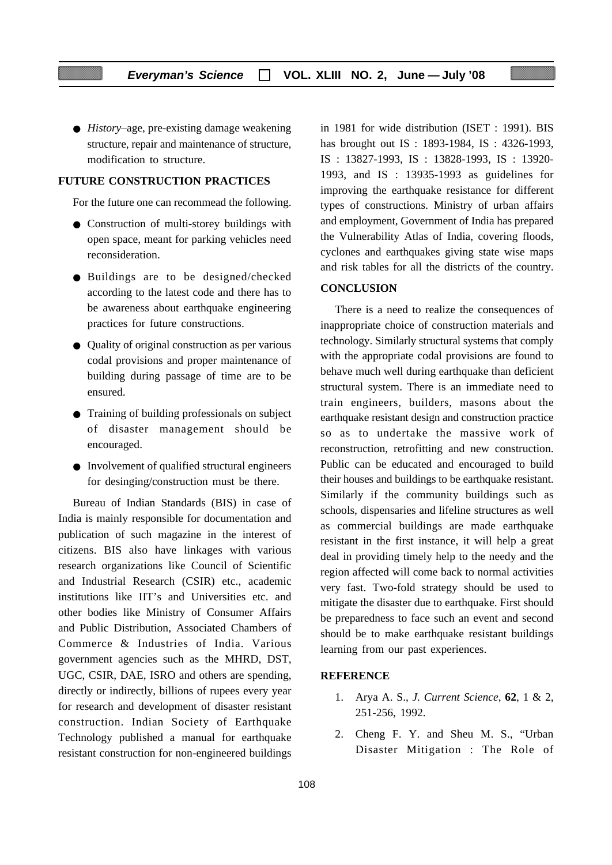● *History*–age, pre-existing damage weakening structure, repair and maintenance of structure, modification to structure.

#### **FUTURE CONSTRUCTION PRACTICES**

For the future one can recommead the following.

- Construction of multi-storey buildings with open space, meant for parking vehicles need reconsideration.
- Buildings are to be designed/checked according to the latest code and there has to be awareness about earthquake engineering practices for future constructions.
- Quality of original construction as per various codal provisions and proper maintenance of building during passage of time are to be ensured.
- Training of building professionals on subject of disaster management should be encouraged.
- Involvement of qualified structural engineers for desinging/construction must be there.

Bureau of Indian Standards (BIS) in case of India is mainly responsible for documentation and publication of such magazine in the interest of citizens. BIS also have linkages with various research organizations like Council of Scientific and Industrial Research (CSIR) etc., academic institutions like IIT's and Universities etc. and other bodies like Ministry of Consumer Affairs and Public Distribution, Associated Chambers of Commerce & Industries of India. Various government agencies such as the MHRD, DST, UGC, CSIR, DAE, ISRO and others are spending, directly or indirectly, billions of rupees every year for research and development of disaster resistant construction. Indian Society of Earthquake Technology published a manual for earthquake resistant construction for non-engineered buildings

in 1981 for wide distribution (ISET : 1991). BIS has brought out IS : 1893-1984, IS : 4326-1993, IS : 13827-1993, IS : 13828-1993, IS : 13920- 1993, and IS : 13935-1993 as guidelines for improving the earthquake resistance for different types of constructions. Ministry of urban affairs and employment, Government of India has prepared the Vulnerability Atlas of India, covering floods, cyclones and earthquakes giving state wise maps and risk tables for all the districts of the country.

## **CONCLUSION**

There is a need to realize the consequences of inappropriate choice of construction materials and technology. Similarly structural systems that comply with the appropriate codal provisions are found to behave much well during earthquake than deficient structural system. There is an immediate need to train engineers, builders, masons about the earthquake resistant design and construction practice so as to undertake the massive work of reconstruction, retrofitting and new construction. Public can be educated and encouraged to build their houses and buildings to be earthquake resistant. Similarly if the community buildings such as schools, dispensaries and lifeline structures as well as commercial buildings are made earthquake resistant in the first instance, it will help a great deal in providing timely help to the needy and the region affected will come back to normal activities very fast. Two-fold strategy should be used to mitigate the disaster due to earthquake. First should be preparedness to face such an event and second should be to make earthquake resistant buildings learning from our past experiences.

#### **REFERENCE**

- 1. Arya A. S., *J. Current Science*, **62**, 1 & 2, 251-256, 1992.
- 2. Cheng F. Y. and Sheu M. S., "Urban Disaster Mitigation : The Role of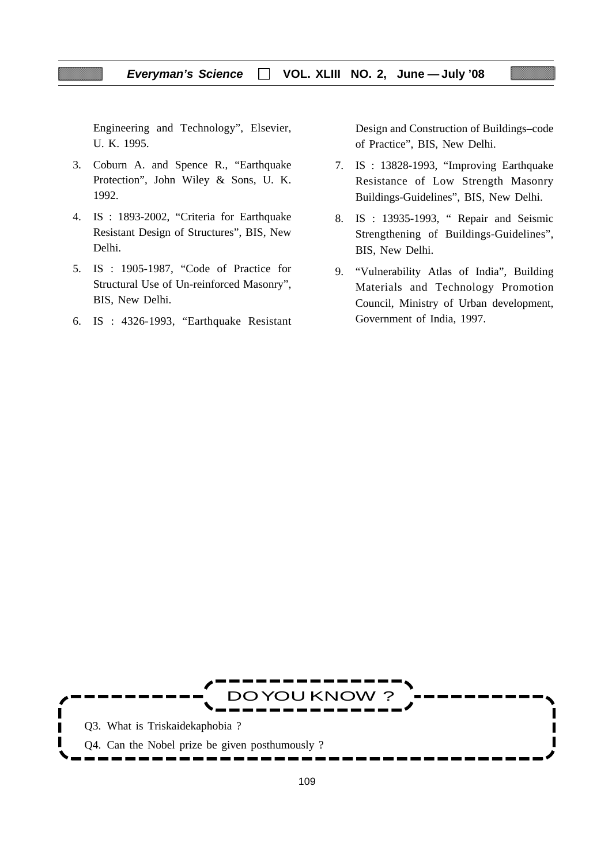Engineering and Technology", Elsevier, U. K. 1995.

- 3. Coburn A. and Spence R., "Earthquake Protection", John Wiley & Sons, U. K. 1992.
- 4. IS : 1893-2002, "Criteria for Earthquake Resistant Design of Structures", BIS, New Delhi.
- 5. IS : 1905-1987, "Code of Practice for Structural Use of Un-reinforced Masonry", BIS, New Delhi.
- 6. IS : 4326-1993, "Earthquake Resistant

Design and Construction of Buildings–code of Practice", BIS, New Delhi.

- 7. IS : 13828-1993, "Improving Earthquake Resistance of Low Strength Masonry Buildings-Guidelines", BIS, New Delhi.
- 8. IS : 13935-1993, " Repair and Seismic Strengthening of Buildings-Guidelines", BIS, New Delhi.
- 9. "Vulnerability Atlas of India", Building Materials and Technology Promotion Council, Ministry of Urban development, Government of India, 1997.

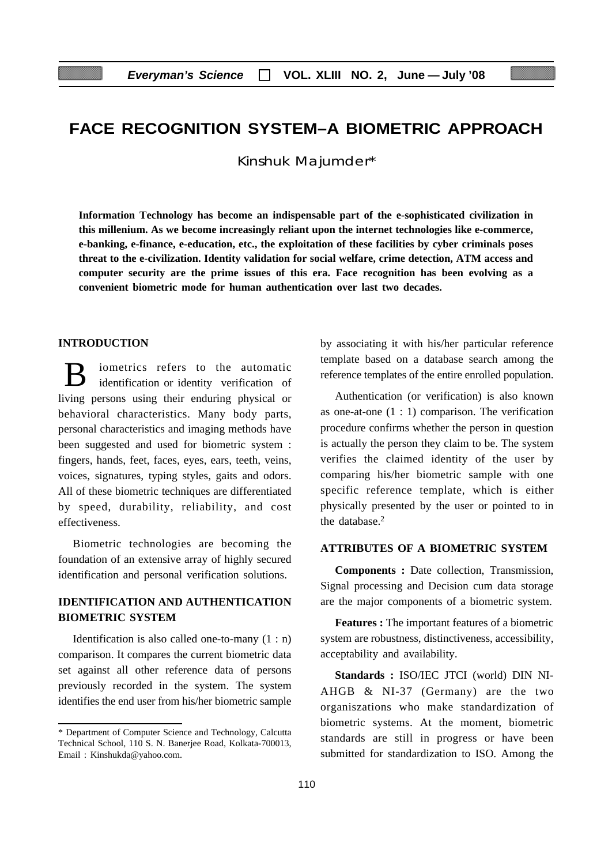# **FACE RECOGNITION SYSTEM–A BIOMETRIC APPROACH**

Kinshuk Majumder\*

**Information Technology has become an indispensable part of the e-sophisticated civilization in this millenium. As we become increasingly reliant upon the internet technologies like e-commerce, e-banking, e-finance, e-education, etc., the exploitation of these facilities by cyber criminals poses threat to the e-civilization. Identity validation for social welfare, crime detection, ATM access and computer security are the prime issues of this era. Face recognition has been evolving as a convenient biometric mode for human authentication over last two decades.**

#### **INTRODUCTION**

iometrics refers to the automatic identification or identity verification of living persons using their enduring physical or behavioral characteristics. Many body parts, personal characteristics and imaging methods have been suggested and used for biometric system : fingers, hands, feet, faces, eyes, ears, teeth, veins, voices, signatures, typing styles, gaits and odors. All of these biometric techniques are differentiated by speed, durability, reliability, and cost effectiveness.

Biometric technologies are becoming the foundation of an extensive array of highly secured identification and personal verification solutions.

# **IDENTIFICATION AND AUTHENTICATION BIOMETRIC SYSTEM**

Identification is also called one-to-many  $(1 : n)$ comparison. It compares the current biometric data set against all other reference data of persons previously recorded in the system. The system identifies the end user from his/her biometric sample

by associating it with his/her particular reference template based on a database search among the reference templates of the entire enrolled population.

Authentication (or verification) is also known as one-at-one  $(1:1)$  comparison. The verification procedure confirms whether the person in question is actually the person they claim to be. The system verifies the claimed identity of the user by comparing his/her biometric sample with one specific reference template, which is either physically presented by the user or pointed to in the database.2

#### **ATTRIBUTES OF A BIOMETRIC SYSTEM**

**Components :** Date collection, Transmission, Signal processing and Decision cum data storage are the major components of a biometric system.

**Features :** The important features of a biometric system are robustness, distinctiveness, accessibility, acceptability and availability.

**Standards :** ISO/IEC JTCI (world) DIN NI-AHGB & NI-37 (Germany) are the two organiszations who make standardization of biometric systems. At the moment, biometric standards are still in progress or have been submitted for standardization to ISO. Among the

<sup>\*</sup> Department of Computer Science and Technology, Calcutta Technical School, 110 S. N. Banerjee Road, Kolkata-700013, Email : Kinshukda@yahoo.com.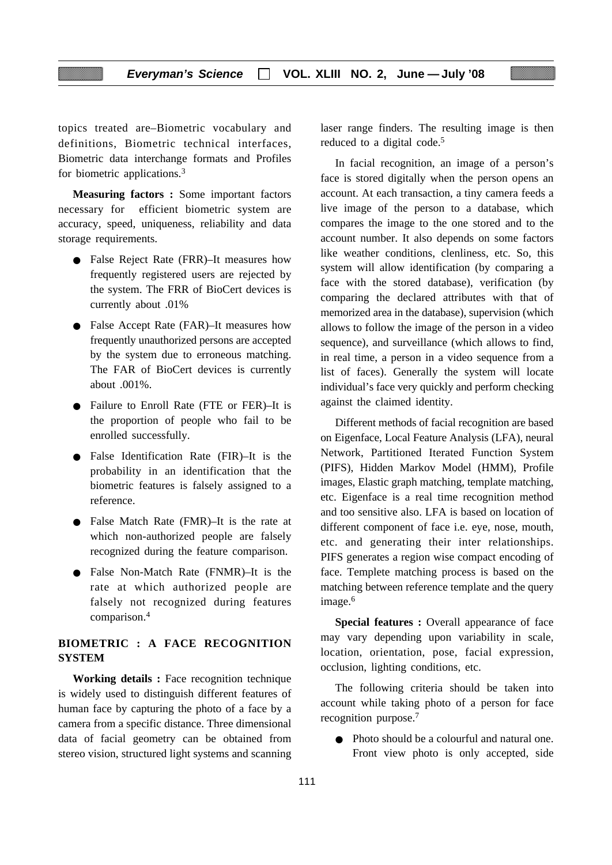topics treated are–Biometric vocabulary and definitions, Biometric technical interfaces, Biometric data interchange formats and Profiles for biometric applications.<sup>3</sup>

**Measuring factors :** Some important factors necessary for efficient biometric system are accuracy, speed, uniqueness, reliability and data storage requirements.

- False Reject Rate (FRR)–It measures how frequently registered users are rejected by the system. The FRR of BioCert devices is currently about .01%
- False Accept Rate (FAR)–It measures how frequently unauthorized persons are accepted by the system due to erroneous matching. The FAR of BioCert devices is currently about .001%.
- Failure to Enroll Rate (FTE or FER)–It is the proportion of people who fail to be enrolled successfully.
- False Identification Rate (FIR)–It is the probability in an identification that the biometric features is falsely assigned to a reference.
- False Match Rate (FMR)–It is the rate at which non-authorized people are falsely recognized during the feature comparison.
- False Non-Match Rate (FNMR)–It is the rate at which authorized people are falsely not recognized during features comparison.4

# **BIOMETRIC : A FACE RECOGNITION SYSTEM**

**Working details :** Face recognition technique is widely used to distinguish different features of human face by capturing the photo of a face by a camera from a specific distance. Three dimensional data of facial geometry can be obtained from stereo vision, structured light systems and scanning

laser range finders. The resulting image is then reduced to a digital code.<sup>5</sup>

In facial recognition, an image of a person's face is stored digitally when the person opens an account. At each transaction, a tiny camera feeds a live image of the person to a database, which compares the image to the one stored and to the account number. It also depends on some factors like weather conditions, clenliness, etc. So, this system will allow identification (by comparing a face with the stored database), verification (by comparing the declared attributes with that of memorized area in the database), supervision (which allows to follow the image of the person in a video sequence), and surveillance (which allows to find, in real time, a person in a video sequence from a list of faces). Generally the system will locate individual's face very quickly and perform checking against the claimed identity.

Different methods of facial recognition are based on Eigenface, Local Feature Analysis (LFA), neural Network, Partitioned Iterated Function System (PIFS), Hidden Markov Model (HMM), Profile images, Elastic graph matching, template matching, etc. Eigenface is a real time recognition method and too sensitive also. LFA is based on location of different component of face i.e. eye, nose, mouth, etc. and generating their inter relationships. PIFS generates a region wise compact encoding of face. Templete matching process is based on the matching between reference template and the query image.<sup>6</sup>

**Special features :** Overall appearance of face may vary depending upon variability in scale, location, orientation, pose, facial expression, occlusion, lighting conditions, etc.

The following criteria should be taken into account while taking photo of a person for face recognition purpose.7

● Photo should be a colourful and natural one. Front view photo is only accepted, side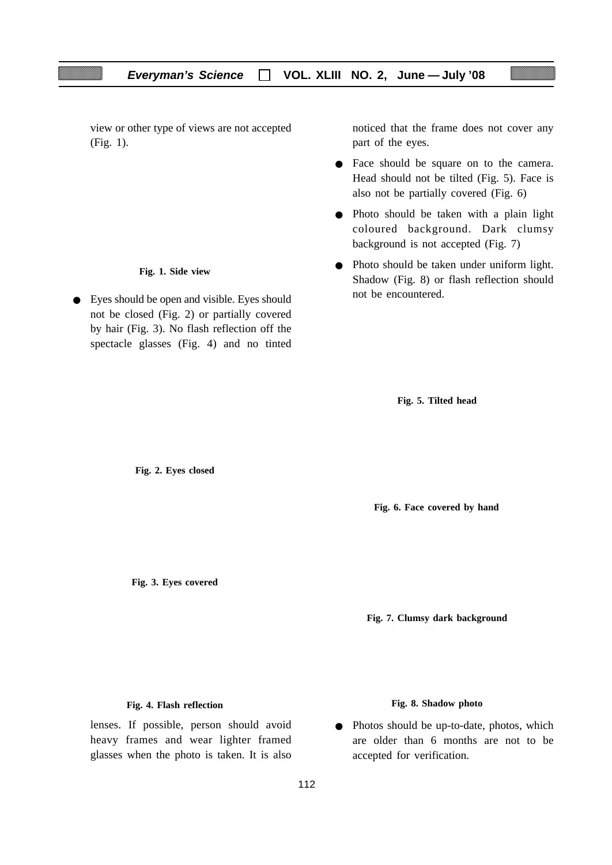view or other type of views are not accepted (Fig. 1).

● Eyes should be open and visible. Eyes should not be encountered. not be closed (Fig. 2) or partially covered by hair (Fig. 3). No flash reflection off the spectacle glasses (Fig. 4) and no tinted

noticed that the frame does not cover any part of the eyes.

- Face should be square on to the camera. Head should not be tilted (Fig. 5). Face is also not be partially covered (Fig. 6)
- Photo should be taken with a plain light coloured background. Dark clumsy background is not accepted (Fig. 7)
- Photo should be taken under uniform light. Shadow (Fig. 8) or flash reflection should

**Fig. 5. Tilted head**

**Fig. 2. Eyes closed**

**Fig. 6. Face covered by hand**

**Fig. 3. Eyes covered**

**Fig. 7. Clumsy dark background**

**Fig. 4. Flash reflection**

lenses. If possible, person should avoid heavy frames and wear lighter framed glasses when the photo is taken. It is also

**Fig. 8. Shadow photo**

● Photos should be up-to-date, photos, which are older than 6 months are not to be accepted for verification.

# **Fig. 1. Side view**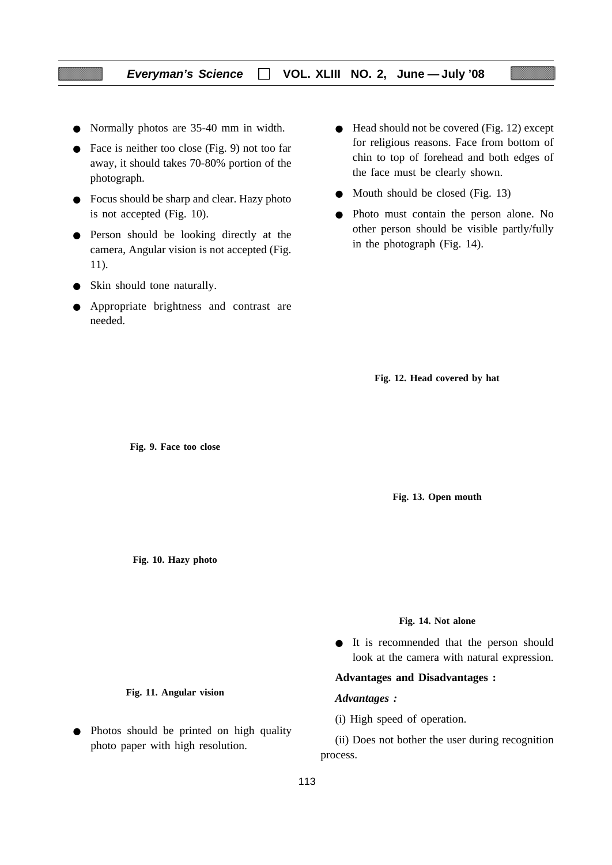- Normally photos are 35-40 mm in width.
- Face is neither too close (Fig. 9) not too far away, it should takes 70-80% portion of the photograph.
- Focus should be sharp and clear. Hazy photo is not accepted (Fig. 10).
- Person should be looking directly at the camera, Angular vision is not accepted (Fig. 11).
- Skin should tone naturally.
- Appropriate brightness and contrast are needed.
- Head should not be covered (Fig. 12) except for religious reasons. Face from bottom of chin to top of forehead and both edges of the face must be clearly shown.
- Mouth should be closed (Fig. 13)
- Photo must contain the person alone. No other person should be visible partly/fully in the photograph (Fig. 14).

**Fig. 12. Head covered by hat**

**Fig. 9. Face too close**

**Fig. 13. Open mouth**

**Fig. 10. Hazy photo**

#### **Fig. 14. Not alone**

● It is recomnended that the person should look at the camera with natural expression.

#### **Advantages and Disadvantages :**

#### *Advantages :*

(i) High speed of operation.

(ii) Does not bother the user during recognition process.

#### **Fig. 11. Angular vision**

Photos should be printed on high quality photo paper with high resolution.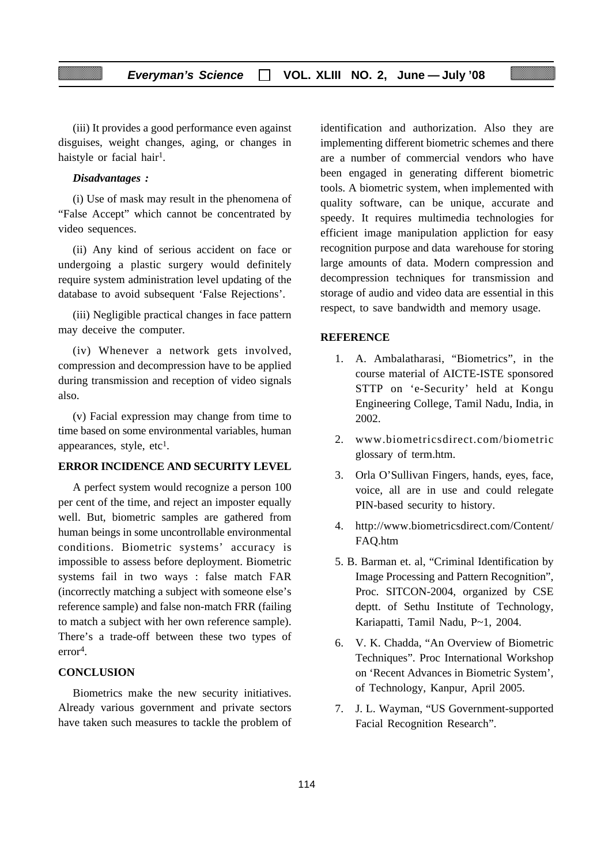(iii) It provides a good performance even against disguises, weight changes, aging, or changes in haistyle or facial hair<sup>1</sup>.

#### *Disadvantages :*

(i) Use of mask may result in the phenomena of "False Accept" which cannot be concentrated by video sequences.

(ii) Any kind of serious accident on face or undergoing a plastic surgery would definitely require system administration level updating of the database to avoid subsequent 'False Rejections'.

(iii) Negligible practical changes in face pattern may deceive the computer.

(iv) Whenever a network gets involved, compression and decompression have to be applied during transmission and reception of video signals also.

(v) Facial expression may change from time to time based on some environmental variables, human appearances, style,  $etc<sup>1</sup>$ .

#### **ERROR INCIDENCE AND SECURITY LEVEL**

A perfect system would recognize a person 100 per cent of the time, and reject an imposter equally well. But, biometric samples are gathered from human beings in some uncontrollable environmental conditions. Biometric systems' accuracy is impossible to assess before deployment. Biometric systems fail in two ways : false match FAR (incorrectly matching a subject with someone else's reference sample) and false non-match FRR (failing to match a subject with her own reference sample). There's a trade-off between these two types of  $error<sup>4</sup>$ .

#### **CONCLUSION**

Biometrics make the new security initiatives. Already various government and private sectors have taken such measures to tackle the problem of identification and authorization. Also they are implementing different biometric schemes and there are a number of commercial vendors who have been engaged in generating different biometric tools. A biometric system, when implemented with quality software, can be unique, accurate and speedy. It requires multimedia technologies for efficient image manipulation appliction for easy recognition purpose and data warehouse for storing large amounts of data. Modern compression and decompression techniques for transmission and storage of audio and video data are essential in this respect, to save bandwidth and memory usage.

#### **REFERENCE**

- 1. A. Ambalatharasi, "Biometrics", in the course material of AICTE-ISTE sponsored STTP on 'e-Security' held at Kongu Engineering College, Tamil Nadu, India, in 2002.
- 2. www.biometricsdirect.com/biometric glossary of term.htm.
- 3. Orla O'Sullivan Fingers, hands, eyes, face, voice, all are in use and could relegate PIN-based security to history.
- 4. http://www.biometricsdirect.com/Content/ FAQ.htm
- 5. B. Barman et. al, "Criminal Identification by Image Processing and Pattern Recognition", Proc. SITCON-2004, organized by CSE deptt. of Sethu Institute of Technology, Kariapatti, Tamil Nadu, P~1, 2004.
- 6. V. K. Chadda, "An Overview of Biometric Techniques". Proc International Workshop on 'Recent Advances in Biometric System', of Technology, Kanpur, April 2005.
- 7. J. L. Wayman, "US Government-supported Facial Recognition Research".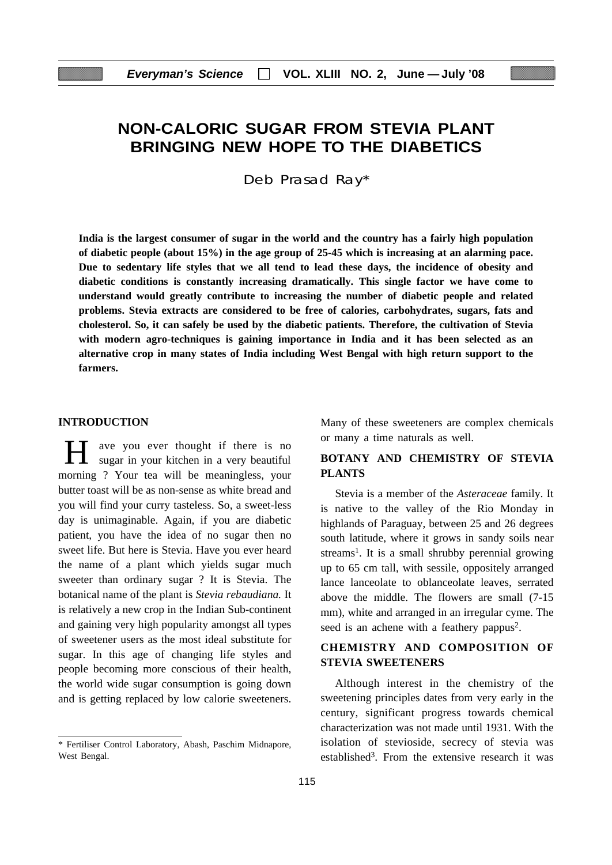# **NON-CALORIC SUGAR FROM STEVIA PLANT BRINGING NEW HOPE TO THE DIABETICS**

Deb Prasad Ray\*

**India is the largest consumer of sugar in the world and the country has a fairly high population of diabetic people (about 15%) in the age group of 25-45 which is increasing at an alarming pace. Due to sedentary life styles that we all tend to lead these days, the incidence of obesity and diabetic conditions is constantly increasing dramatically. This single factor we have come to understand would greatly contribute to increasing the number of diabetic people and related problems. Stevia extracts are considered to be free of calories, carbohydrates, sugars, fats and cholesterol. So, it can safely be used by the diabetic patients. Therefore, the cultivation of Stevia with modern agro-techniques is gaining importance in India and it has been selected as an alternative crop in many states of India including West Bengal with high return support to the farmers.**

# **INTRODUCTION**

H ave you ever thought if there is no sugar in your kitchen in a very beautiful morning ? Your tea will be meaningless, your butter toast will be as non-sense as white bread and you will find your curry tasteless. So, a sweet-less day is unimaginable. Again, if you are diabetic patient, you have the idea of no sugar then no sweet life. But here is Stevia. Have you ever heard the name of a plant which yields sugar much sweeter than ordinary sugar ? It is Stevia. The botanical name of the plant is *Stevia rebaudiana.* It is relatively a new crop in the Indian Sub-continent and gaining very high popularity amongst all types of sweetener users as the most ideal substitute for sugar. In this age of changing life styles and people becoming more conscious of their health, the world wide sugar consumption is going down and is getting replaced by low calorie sweeteners.

Many of these sweeteners are complex chemicals or many a time naturals as well.

# **BOTANY AND CHEMISTRY OF STEVIA PLANTS**

Stevia is a member of the *Asteraceae* family. It is native to the valley of the Rio Monday in highlands of Paraguay, between 25 and 26 degrees south latitude, where it grows in sandy soils near streams<sup>1</sup>. It is a small shrubby perennial growing up to 65 cm tall, with sessile, oppositely arranged lance lanceolate to oblanceolate leaves, serrated above the middle. The flowers are small (7-15 mm), white and arranged in an irregular cyme. The seed is an achene with a feathery pappus<sup>2</sup>.

#### **CHEMISTRY AND COMPOSITION OF STEVIA SWEETENERS**

Although interest in the chemistry of the sweetening principles dates from very early in the century, significant progress towards chemical characterization was not made until 1931. With the isolation of stevioside, secrecy of stevia was established3. From the extensive research it was

<sup>\*</sup> Fertiliser Control Laboratory, Abash, Paschim Midnapore, West Bengal.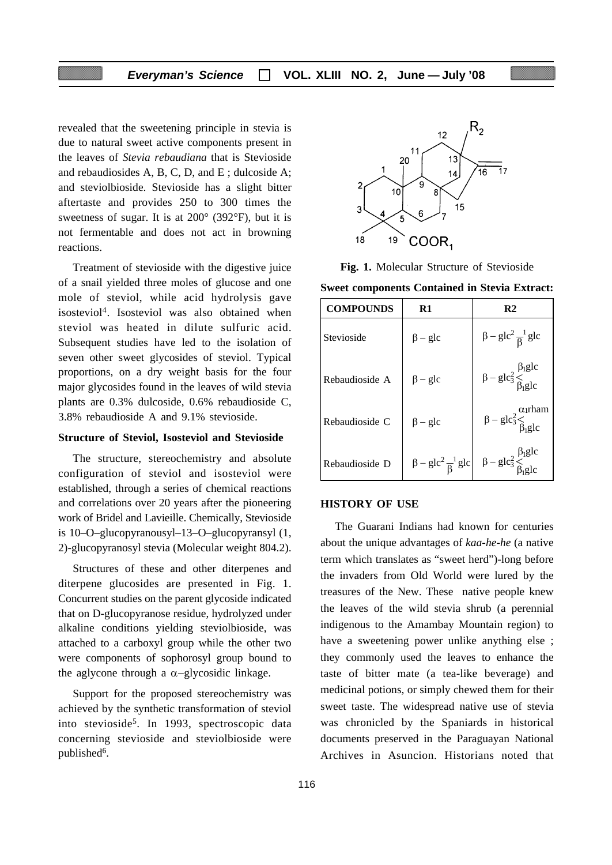revealed that the sweetening principle in stevia is due to natural sweet active components present in the leaves of *Stevia rebaudiana* that is Stevioside and rebaudiosides A, B, C, D, and E ; dulcoside A; and steviolbioside. Stevioside has a slight bitter aftertaste and provides 250 to 300 times the sweetness of sugar. It is at 200° (392°F), but it is not fermentable and does not act in browning reactions.

Treatment of stevioside with the digestive juice of a snail yielded three moles of glucose and one mole of steviol, while acid hydrolysis gave isosteviol<sup>4</sup>. Isosteviol was also obtained when steviol was heated in dilute sulfuric acid. Subsequent studies have led to the isolation of seven other sweet glycosides of steviol. Typical proportions, on a dry weight basis for the four major glycosides found in the leaves of wild stevia plants are 0.3% dulcoside, 0.6% rebaudioside C, 3.8% rebaudioside A and 9.1% stevioside.

#### **Structure of Steviol, Isosteviol and Stevioside**

The structure, stereochemistry and absolute configuration of steviol and isosteviol were established, through a series of chemical reactions and correlations over 20 years after the pioneering work of Bridel and Lavieille. Chemically, Stevioside is 10–O–glucopyranousyl–13–O–glucopyransyl (1, 2)-glucopyranosyl stevia (Molecular weight 804.2).

Structures of these and other diterpenes and diterpene glucosides are presented in Fig. 1. Concurrent studies on the parent glycoside indicated that on D-glucopyranose residue, hydrolyzed under alkaline conditions yielding steviolbioside, was attached to a carboxyl group while the other two were components of sophorosyl group bound to the aglycone through a  $\alpha$ -glycosidic linkage.

Support for the proposed stereochemistry was achieved by the synthetic transformation of steviol into stevioside<sup>5</sup>. In 1993, spectroscopic data concerning stevioside and steviolbioside were published<sup>6</sup>.



**Fig. 1.** Molecular Structure of Stevioside

**Sweet components Contained in Stevia Extract:**

| <b>COMPOUNDS</b> | R1            | R <sub>2</sub>                                                                      |
|------------------|---------------|-------------------------------------------------------------------------------------|
| Stevioside       | $\beta$ – glc | $\beta - glc^2 \frac{1}{\beta} glc$                                                 |
| Rebaudioside A   | $\beta$ – glc | $\beta - glc_3^2 \leq \beta_1 glc$                                                  |
| Rebaudioside C   | $\beta$ – glc | $\beta - glc_3^2 \leq \beta_1 glc$                                                  |
| Rebaudioside D   |               | $\beta - glc^2 \frac{1}{\beta} glc \left  \beta - glc_3^2 \right  \leq \beta_1 glc$ |

#### **HISTORY OF USE**

The Guarani Indians had known for centuries about the unique advantages of *kaa-he-he* (a native term which translates as "sweet herd")-long before the invaders from Old World were lured by the treasures of the New. These native people knew the leaves of the wild stevia shrub (a perennial indigenous to the Amambay Mountain region) to have a sweetening power unlike anything else ; they commonly used the leaves to enhance the taste of bitter mate (a tea-like beverage) and medicinal potions, or simply chewed them for their sweet taste. The widespread native use of stevia was chronicled by the Spaniards in historical documents preserved in the Paraguayan National Archives in Asuncion. Historians noted that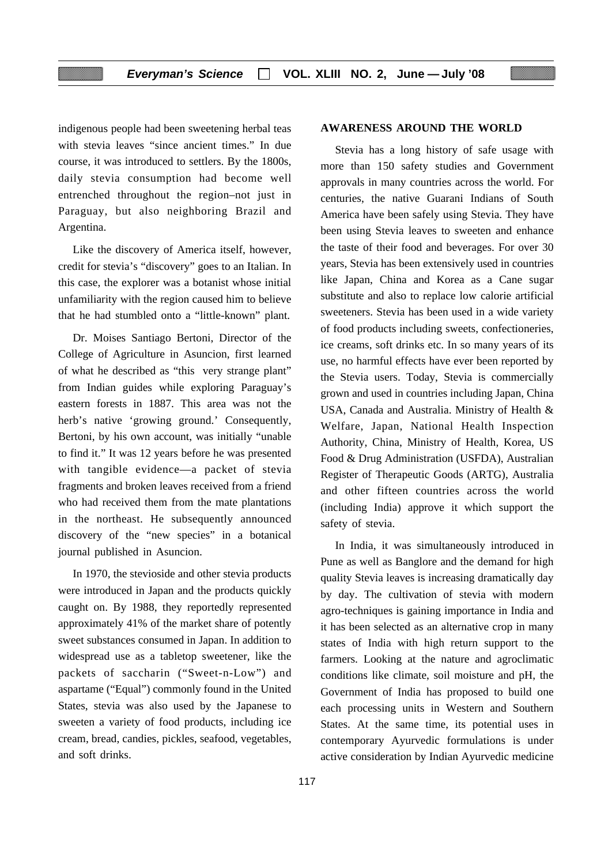indigenous people had been sweetening herbal teas with stevia leaves "since ancient times." In due course, it was introduced to settlers. By the 1800s, daily stevia consumption had become well entrenched throughout the region–not just in Paraguay, but also neighboring Brazil and Argentina.

Like the discovery of America itself, however, credit for stevia's "discovery" goes to an Italian. In this case, the explorer was a botanist whose initial unfamiliarity with the region caused him to believe that he had stumbled onto a "little-known" plant.

Dr. Moises Santiago Bertoni, Director of the College of Agriculture in Asuncion, first learned of what he described as "this very strange plant" from Indian guides while exploring Paraguay's eastern forests in 1887. This area was not the herb's native 'growing ground.' Consequently, Bertoni, by his own account, was initially "unable to find it." It was 12 years before he was presented with tangible evidence—a packet of stevia fragments and broken leaves received from a friend who had received them from the mate plantations in the northeast. He subsequently announced discovery of the "new species" in a botanical journal published in Asuncion.

In 1970, the stevioside and other stevia products were introduced in Japan and the products quickly caught on. By 1988, they reportedly represented approximately 41% of the market share of potently sweet substances consumed in Japan. In addition to widespread use as a tabletop sweetener, like the packets of saccharin ("Sweet-n-Low") and aspartame ("Equal") commonly found in the United States, stevia was also used by the Japanese to sweeten a variety of food products, including ice cream, bread, candies, pickles, seafood, vegetables, and soft drinks.

#### **AWARENESS AROUND THE WORLD**

Stevia has a long history of safe usage with more than 150 safety studies and Government approvals in many countries across the world. For centuries, the native Guarani Indians of South America have been safely using Stevia. They have been using Stevia leaves to sweeten and enhance the taste of their food and beverages. For over 30 years, Stevia has been extensively used in countries like Japan, China and Korea as a Cane sugar substitute and also to replace low calorie artificial sweeteners. Stevia has been used in a wide variety of food products including sweets, confectioneries, ice creams, soft drinks etc. In so many years of its use, no harmful effects have ever been reported by the Stevia users. Today, Stevia is commercially grown and used in countries including Japan, China USA, Canada and Australia. Ministry of Health & Welfare, Japan, National Health Inspection Authority, China, Ministry of Health, Korea, US Food & Drug Administration (USFDA), Australian Register of Therapeutic Goods (ARTG), Australia and other fifteen countries across the world (including India) approve it which support the safety of stevia.

In India, it was simultaneously introduced in Pune as well as Banglore and the demand for high quality Stevia leaves is increasing dramatically day by day. The cultivation of stevia with modern agro-techniques is gaining importance in India and it has been selected as an alternative crop in many states of India with high return support to the farmers. Looking at the nature and agroclimatic conditions like climate, soil moisture and pH, the Government of India has proposed to build one each processing units in Western and Southern States. At the same time, its potential uses in contemporary Ayurvedic formulations is under active consideration by Indian Ayurvedic medicine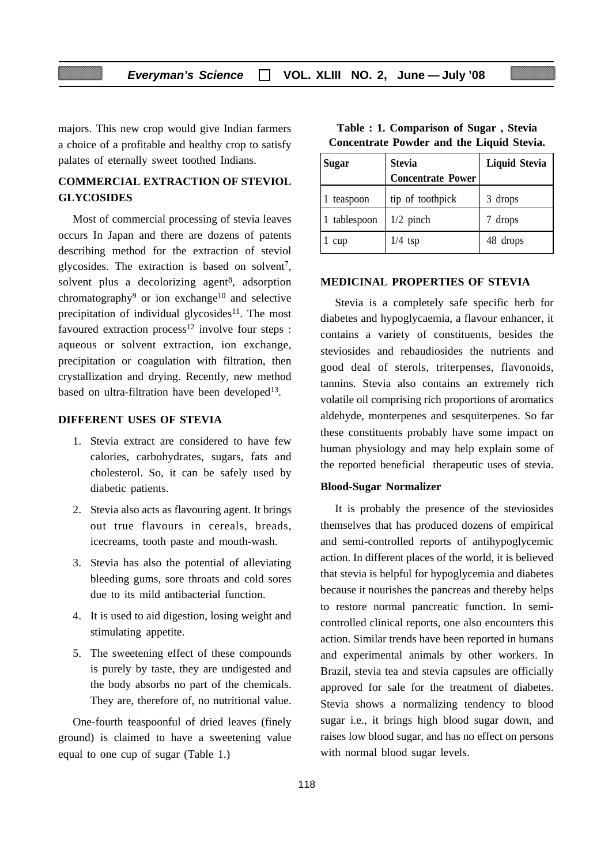majors. This new crop would give Indian farmers a choice of a profitable and healthy crop to satisfy palates of eternally sweet toothed Indians.

# **COMMERCIAL EXTRACTION OF STEVIOL GLYCOSIDES**

Most of commercial processing of stevia leaves occurs In Japan and there are dozens of patents describing method for the extraction of steviol glycosides. The extraction is based on solvent<sup>7</sup>, solvent plus a decolorizing agent<sup>8</sup>, adsorption chromatography<sup>9</sup> or ion exchange<sup>10</sup> and selective precipitation of individual glycosides<sup>11</sup>. The most favoured extraction process<sup>12</sup> involve four steps : aqueous or solvent extraction, ion exchange, precipitation or coagulation with filtration, then crystallization and drying. Recently, new method based on ultra-filtration have been developed $13$ .

### **DIFFERENT USES OF STEVIA**

- 1. Stevia extract are considered to have few calories, carbohydrates, sugars, fats and cholesterol. So, it can be safely used by diabetic patients.
- 2. Stevia also acts as flavouring agent. It brings out true flavours in cereals, breads, icecreams, tooth paste and mouth-wash.
- 3. Stevia has also the potential of alleviating bleeding gums, sore throats and cold sores due to its mild antibacterial function.
- 4. It is used to aid digestion, losing weight and stimulating appetite.
- 5. The sweetening effect of these compounds is purely by taste, they are undigested and the body absorbs no part of the chemicals. They are, therefore of, no nutritional value.

One-fourth teaspoonful of dried leaves (finely ground) is claimed to have a sweetening value equal to one cup of sugar (Table 1.)

| <b>Sugar</b> | <b>Stevia</b>            | <b>Liquid Stevia</b> |
|--------------|--------------------------|----------------------|
|              | <b>Concentrate Power</b> |                      |
| teaspoon     | tip of toothpick         | 3 drops              |
| tablespoon   | $1/2$ pinch              | 7 drops              |
| cup          | $1/4$ tsp                | 48 drops             |

|                                           | Table : 1. Comparison of Sugar, Stevia |  |
|-------------------------------------------|----------------------------------------|--|
| Concentrate Powder and the Liquid Stevia. |                                        |  |

#### **MEDICINAL PROPERTIES OF STEVIA**

Stevia is a completely safe specific herb for diabetes and hypoglycaemia, a flavour enhancer, it contains a variety of constituents, besides the steviosides and rebaudiosides the nutrients and good deal of sterols, triterpenses, flavonoids, tannins. Stevia also contains an extremely rich volatile oil comprising rich proportions of aromatics aldehyde, monterpenes and sesquiterpenes. So far these constituents probably have some impact on human physiology and may help explain some of the reported beneficial therapeutic uses of stevia.

#### **Blood-Sugar Normalizer**

It is probably the presence of the steviosides themselves that has produced dozens of empirical and semi-controlled reports of antihypoglycemic action. In different places of the world, it is believed that stevia is helpful for hypoglycemia and diabetes because it nourishes the pancreas and thereby helps to restore normal pancreatic function. In semicontrolled clinical reports, one also encounters this action. Similar trends have been reported in humans and experimental animals by other workers. In Brazil, stevia tea and stevia capsules are officially approved for sale for the treatment of diabetes. Stevia shows a normalizing tendency to blood sugar i.e., it brings high blood sugar down, and raises low blood sugar, and has no effect on persons with normal blood sugar levels.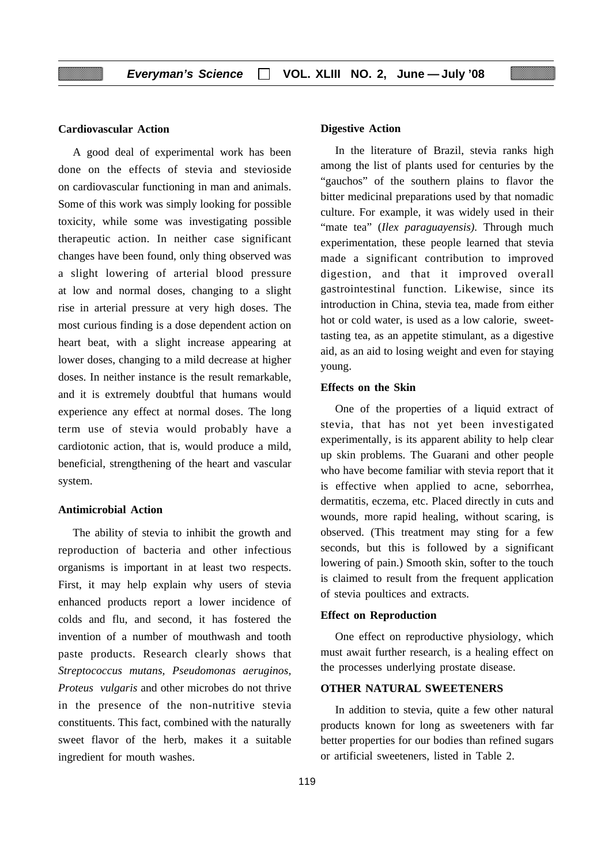#### **Cardiovascular Action**

A good deal of experimental work has been done on the effects of stevia and stevioside on cardiovascular functioning in man and animals. Some of this work was simply looking for possible toxicity, while some was investigating possible therapeutic action. In neither case significant changes have been found, only thing observed was a slight lowering of arterial blood pressure at low and normal doses, changing to a slight rise in arterial pressure at very high doses. The most curious finding is a dose dependent action on heart beat, with a slight increase appearing at lower doses, changing to a mild decrease at higher doses. In neither instance is the result remarkable, and it is extremely doubtful that humans would experience any effect at normal doses. The long term use of stevia would probably have a cardiotonic action, that is, would produce a mild, beneficial, strengthening of the heart and vascular system.

#### **Antimicrobial Action**

The ability of stevia to inhibit the growth and reproduction of bacteria and other infectious organisms is important in at least two respects. First, it may help explain why users of stevia enhanced products report a lower incidence of colds and flu, and second, it has fostered the invention of a number of mouthwash and tooth paste products. Research clearly shows that *Streptococcus mutans, Pseudomonas aeruginos, Proteus vulgaris* and other microbes do not thrive in the presence of the non-nutritive stevia constituents. This fact, combined with the naturally sweet flavor of the herb, makes it a suitable ingredient for mouth washes.

#### **Digestive Action**

In the literature of Brazil, stevia ranks high among the list of plants used for centuries by the "gauchos" of the southern plains to flavor the bitter medicinal preparations used by that nomadic culture. For example, it was widely used in their "mate tea" (*Ilex paraguayensis).* Through much experimentation, these people learned that stevia made a significant contribution to improved digestion, and that it improved overall gastrointestinal function. Likewise, since its introduction in China, stevia tea, made from either hot or cold water, is used as a low calorie, sweettasting tea, as an appetite stimulant, as a digestive aid, as an aid to losing weight and even for staying young.

#### **Effects on the Skin**

One of the properties of a liquid extract of stevia, that has not yet been investigated experimentally, is its apparent ability to help clear up skin problems. The Guarani and other people who have become familiar with stevia report that it is effective when applied to acne, seborrhea, dermatitis, eczema, etc. Placed directly in cuts and wounds, more rapid healing, without scaring, is observed. (This treatment may sting for a few seconds, but this is followed by a significant lowering of pain.) Smooth skin, softer to the touch is claimed to result from the frequent application of stevia poultices and extracts.

#### **Effect on Reproduction**

One effect on reproductive physiology, which must await further research, is a healing effect on the processes underlying prostate disease.

## **OTHER NATURAL SWEETENERS**

In addition to stevia, quite a few other natural products known for long as sweeteners with far better properties for our bodies than refined sugars or artificial sweeteners, listed in Table 2.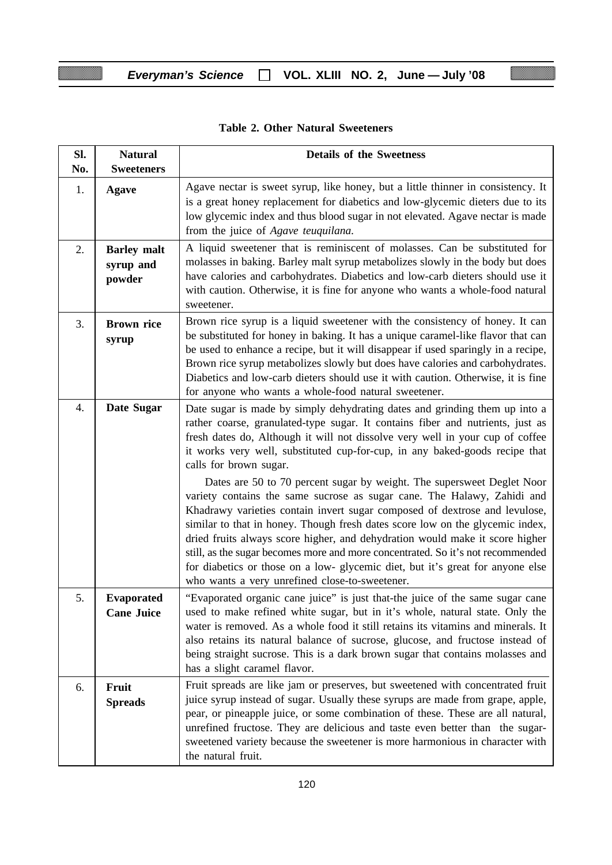| SI. | <b>Natural</b>                            | <b>Details of the Sweetness</b>                                                                                                                                                                                                                                                                                                                                                                                                                                                                                                                                                                                                                                                                                                                                                                                                                                                                                                                                                   |
|-----|-------------------------------------------|-----------------------------------------------------------------------------------------------------------------------------------------------------------------------------------------------------------------------------------------------------------------------------------------------------------------------------------------------------------------------------------------------------------------------------------------------------------------------------------------------------------------------------------------------------------------------------------------------------------------------------------------------------------------------------------------------------------------------------------------------------------------------------------------------------------------------------------------------------------------------------------------------------------------------------------------------------------------------------------|
| No. | <b>Sweeteners</b>                         |                                                                                                                                                                                                                                                                                                                                                                                                                                                                                                                                                                                                                                                                                                                                                                                                                                                                                                                                                                                   |
| 1.  | <b>Agave</b>                              | Agave nectar is sweet syrup, like honey, but a little thinner in consistency. It<br>is a great honey replacement for diabetics and low-glycemic dieters due to its<br>low glycemic index and thus blood sugar in not elevated. Agave nectar is made<br>from the juice of Agave teuquilana.                                                                                                                                                                                                                                                                                                                                                                                                                                                                                                                                                                                                                                                                                        |
| 2.  | <b>Barley malt</b><br>syrup and<br>powder | A liquid sweetener that is reminiscent of molasses. Can be substituted for<br>molasses in baking. Barley malt syrup metabolizes slowly in the body but does<br>have calories and carbohydrates. Diabetics and low-carb dieters should use it<br>with caution. Otherwise, it is fine for anyone who wants a whole-food natural<br>sweetener.                                                                                                                                                                                                                                                                                                                                                                                                                                                                                                                                                                                                                                       |
| 3.  | <b>Brown rice</b><br>syrup                | Brown rice syrup is a liquid sweetener with the consistency of honey. It can<br>be substituted for honey in baking. It has a unique caramel-like flavor that can<br>be used to enhance a recipe, but it will disappear if used sparingly in a recipe,<br>Brown rice syrup metabolizes slowly but does have calories and carbohydrates.<br>Diabetics and low-carb dieters should use it with caution. Otherwise, it is fine<br>for anyone who wants a whole-food natural sweetener.                                                                                                                                                                                                                                                                                                                                                                                                                                                                                                |
| 4.  | Date Sugar                                | Date sugar is made by simply dehydrating dates and grinding them up into a<br>rather coarse, granulated-type sugar. It contains fiber and nutrients, just as<br>fresh dates do, Although it will not dissolve very well in your cup of coffee<br>it works very well, substituted cup-for-cup, in any baked-goods recipe that<br>calls for brown sugar.<br>Dates are 50 to 70 percent sugar by weight. The supersweet Deglet Noor<br>variety contains the same sucrose as sugar cane. The Halawy, Zahidi and<br>Khadrawy varieties contain invert sugar composed of dextrose and levulose,<br>similar to that in honey. Though fresh dates score low on the glycemic index,<br>dried fruits always score higher, and dehydration would make it score higher<br>still, as the sugar becomes more and more concentrated. So it's not recommended<br>for diabetics or those on a low- glycemic diet, but it's great for anyone else<br>who wants a very unrefined close-to-sweetener. |
| 5.  | <b>Evaporated</b><br><b>Cane Juice</b>    | "Evaporated organic cane juice" is just that-the juice of the same sugar cane<br>used to make refined white sugar, but in it's whole, natural state. Only the<br>water is removed. As a whole food it still retains its vitamins and minerals. It<br>also retains its natural balance of sucrose, glucose, and fructose instead of<br>being straight sucrose. This is a dark brown sugar that contains molasses and<br>has a slight caramel flavor.                                                                                                                                                                                                                                                                                                                                                                                                                                                                                                                               |
| 6.  | Fruit<br><b>Spreads</b>                   | Fruit spreads are like jam or preserves, but sweetened with concentrated fruit<br>juice syrup instead of sugar. Usually these syrups are made from grape, apple,<br>pear, or pineapple juice, or some combination of these. These are all natural,<br>unrefined fructose. They are delicious and taste even better than the sugar-<br>sweetened variety because the sweetener is more harmonious in character with<br>the natural fruit.                                                                                                                                                                                                                                                                                                                                                                                                                                                                                                                                          |

## **Table 2. Other Natural Sweeteners**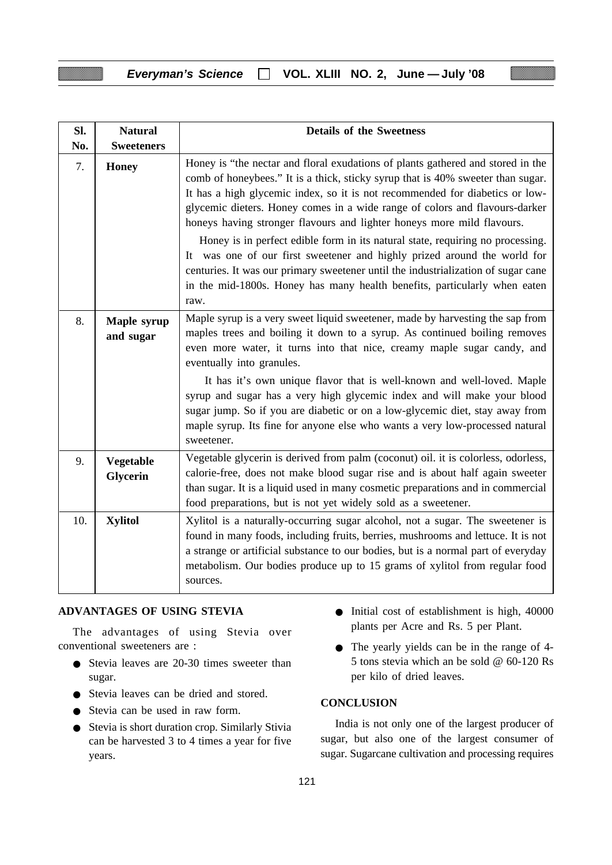| SI. | <b>Natural</b>           | <b>Details of the Sweetness</b>                                                                                                                                                                                                                                                                                                                                                                                                                                                                                                                                                                       |
|-----|--------------------------|-------------------------------------------------------------------------------------------------------------------------------------------------------------------------------------------------------------------------------------------------------------------------------------------------------------------------------------------------------------------------------------------------------------------------------------------------------------------------------------------------------------------------------------------------------------------------------------------------------|
| No. | <b>Sweeteners</b>        |                                                                                                                                                                                                                                                                                                                                                                                                                                                                                                                                                                                                       |
| 7.  | <b>Honey</b>             | Honey is "the nectar and floral exudations of plants gathered and stored in the<br>comb of honeybees." It is a thick, sticky syrup that is 40% sweeter than sugar.<br>It has a high glycemic index, so it is not recommended for diabetics or low-<br>glycemic dieters. Honey comes in a wide range of colors and flavours-darker<br>honeys having stronger flavours and lighter honeys more mild flavours.<br>Honey is in perfect edible form in its natural state, requiring no processing.                                                                                                         |
|     |                          | It was one of our first sweetener and highly prized around the world for<br>centuries. It was our primary sweetener until the industrialization of sugar cane<br>in the mid-1800s. Honey has many health benefits, particularly when eaten<br>raw.                                                                                                                                                                                                                                                                                                                                                    |
| 8.  | Maple syrup<br>and sugar | Maple syrup is a very sweet liquid sweetener, made by harvesting the sap from<br>maples trees and boiling it down to a syrup. As continued boiling removes<br>even more water, it turns into that nice, creamy maple sugar candy, and<br>eventually into granules.<br>It has it's own unique flavor that is well-known and well-loved. Maple<br>syrup and sugar has a very high glycemic index and will make your blood<br>sugar jump. So if you are diabetic or on a low-glycemic diet, stay away from<br>maple syrup. Its fine for anyone else who wants a very low-processed natural<br>sweetener. |
| 9.  | Vegetable<br>Glycerin    | Vegetable glycerin is derived from palm (coconut) oil. it is colorless, odorless,<br>calorie-free, does not make blood sugar rise and is about half again sweeter<br>than sugar. It is a liquid used in many cosmetic preparations and in commercial<br>food preparations, but is not yet widely sold as a sweetener.                                                                                                                                                                                                                                                                                 |
| 10. | <b>Xylitol</b>           | Xylitol is a naturally-occurring sugar alcohol, not a sugar. The sweetener is<br>found in many foods, including fruits, berries, mushrooms and lettuce. It is not<br>a strange or artificial substance to our bodies, but is a normal part of everyday<br>metabolism. Our bodies produce up to 15 grams of xylitol from regular food<br>sources.                                                                                                                                                                                                                                                      |

### **ADVANTAGES OF USING STEVIA**

The advantages of using Stevia over conventional sweeteners are :

- Stevia leaves are 20-30 times sweeter than sugar.
- Stevia leaves can be dried and stored.
- Stevia can be used in raw form.
- Stevia is short duration crop. Similarly Stivia can be harvested 3 to 4 times a year for five years.
- Initial cost of establishment is high, 40000 plants per Acre and Rs. 5 per Plant.
- The yearly yields can be in the range of 4- 5 tons stevia which an be sold @ 60-120 Rs per kilo of dried leaves.

#### **CONCLUSION**

India is not only one of the largest producer of sugar, but also one of the largest consumer of sugar. Sugarcane cultivation and processing requires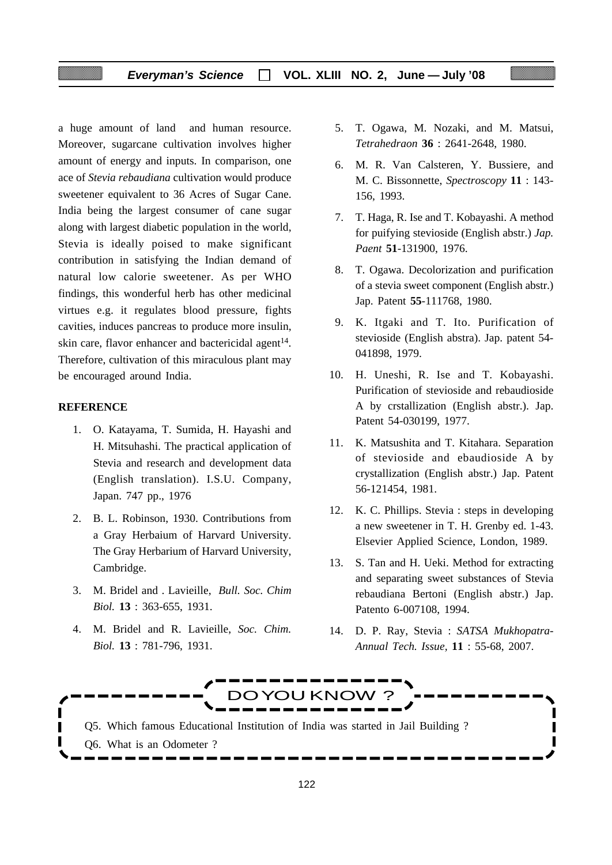a huge amount of land and human resource. Moreover, sugarcane cultivation involves higher amount of energy and inputs. In comparison, one ace of *Stevia rebaudiana* cultivation would produce sweetener equivalent to 36 Acres of Sugar Cane. India being the largest consumer of cane sugar along with largest diabetic population in the world, Stevia is ideally poised to make significant contribution in satisfying the Indian demand of natural low calorie sweetener. As per WHO findings, this wonderful herb has other medicinal virtues e.g. it regulates blood pressure, fights cavities, induces pancreas to produce more insulin, skin care, flavor enhancer and bactericidal agent<sup>14</sup>. Therefore, cultivation of this miraculous plant may be encouraged around India.

#### **REFERENCE**

- 1. O. Katayama, T. Sumida, H. Hayashi and H. Mitsuhashi. The practical application of Stevia and research and development data (English translation). I.S.U. Company, Japan. 747 pp., 1976
- 2. B. L. Robinson, 1930. Contributions from a Gray Herbaium of Harvard University. The Gray Herbarium of Harvard University, Cambridge.
- 3. M. Bridel and . Lavieille, *Bull. Soc. Chim Biol.* **13** : 363-655, 1931.
- 4. M. Bridel and R. Lavieille, *Soc. Chim. Biol.* **13** : 781-796, 1931.
- 5. T. Ogawa, M. Nozaki, and M. Matsui, *Tetrahedraon* **36** : 2641-2648, 1980.
- 6. M. R. Van Calsteren, Y. Bussiere, and M. C. Bissonnette, *Spectroscopy* **11** : 143- 156, 1993.
- 7. T. Haga, R. Ise and T. Kobayashi. A method for puifying stevioside (English abstr.) *Jap. Paent* **51**-131900, 1976.
- 8. T. Ogawa. Decolorization and purification of a stevia sweet component (English abstr.) Jap. Patent **55**-111768, 1980.
- 9. K. Itgaki and T. Ito. Purification of stevioside (English abstra). Jap. patent 54- 041898, 1979.
- 10. H. Uneshi, R. Ise and T. Kobayashi. Purification of stevioside and rebaudioside A by crstallization (English abstr.). Jap. Patent 54-030199, 1977.
- 11. K. Matsushita and T. Kitahara. Separation of stevioside and ebaudioside A by crystallization (English abstr.) Jap. Patent 56-121454, 1981.
- 12. K. C. Phillips. Stevia : steps in developing a new sweetener in T. H. Grenby ed. 1-43. Elsevier Applied Science, London, 1989.
- 13. S. Tan and H. Ueki. Method for extracting and separating sweet substances of Stevia rebaudiana Bertoni (English abstr.) Jap. Patento 6-007108, 1994.
- 14. D. P. Ray, Stevia : *SATSA Mukhopatra-Annual Tech. Issue,* **11** : 55-68, 2007.

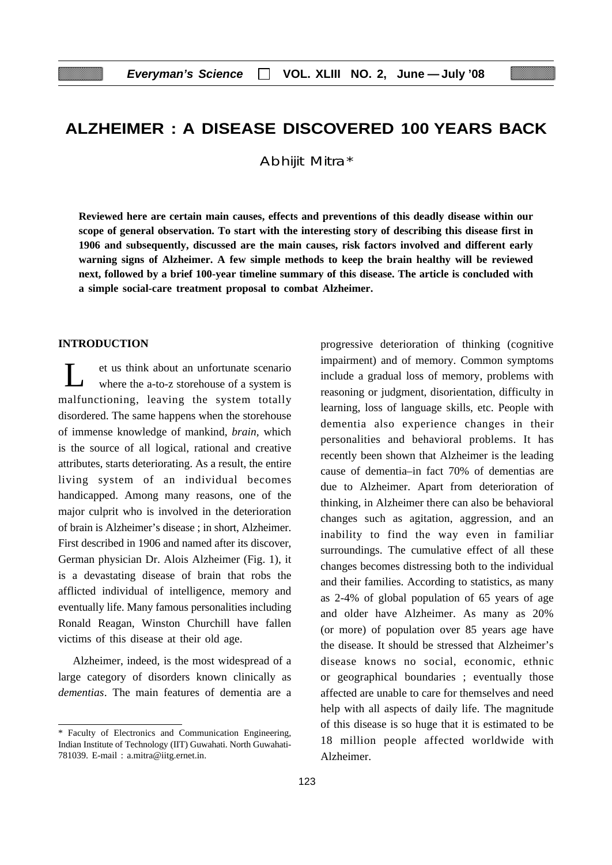# **ALZHEIMER : A DISEASE DISCOVERED 100 YEARS BACK**

Abhijit Mitra\*

**Reviewed here are certain main causes, effects and preventions of this deadly disease within our scope of general observation. To start with the interesting story of describing this disease first in 1906 and subsequently, discussed are the main causes, risk factors involved and different early warning signs of Alzheimer. A few simple methods to keep the brain healthy will be reviewed next, followed by a brief 100-year timeline summary of this disease. The article is concluded with a simple social-care treatment proposal to combat Alzheimer.**

# **INTRODUCTION**

L et us think about an unfortunate scenario where the a-to-z storehouse of a system is malfunctioning, leaving the system totally disordered. The same happens when the storehouse of immense knowledge of mankind, *brain,* which is the source of all logical, rational and creative attributes, starts deteriorating. As a result, the entire living system of an individual becomes handicapped. Among many reasons, one of the major culprit who is involved in the deterioration of brain is Alzheimer's disease ; in short, Alzheimer. First described in 1906 and named after its discover, German physician Dr. Alois Alzheimer (Fig. 1), it is a devastating disease of brain that robs the afflicted individual of intelligence, memory and eventually life. Many famous personalities including Ronald Reagan, Winston Churchill have fallen victims of this disease at their old age.

Alzheimer, indeed, is the most widespread of a large category of disorders known clinically as *dementias*. The main features of dementia are a progressive deterioration of thinking (cognitive impairment) and of memory. Common symptoms include a gradual loss of memory, problems with reasoning or judgment, disorientation, difficulty in learning, loss of language skills, etc. People with dementia also experience changes in their personalities and behavioral problems. It has recently been shown that Alzheimer is the leading cause of dementia–in fact 70% of dementias are due to Alzheimer. Apart from deterioration of thinking, in Alzheimer there can also be behavioral changes such as agitation, aggression, and an inability to find the way even in familiar surroundings. The cumulative effect of all these changes becomes distressing both to the individual and their families. According to statistics, as many as 2-4% of global population of 65 years of age and older have Alzheimer. As many as 20% (or more) of population over 85 years age have the disease. It should be stressed that Alzheimer's disease knows no social, economic, ethnic or geographical boundaries ; eventually those affected are unable to care for themselves and need help with all aspects of daily life. The magnitude of this disease is so huge that it is estimated to be 18 million people affected worldwide with Alzheimer.

<sup>\*</sup> Faculty of Electronics and Communication Engineering, Indian Institute of Technology (IIT) Guwahati. North Guwahati-781039. E-mail : a.mitra@iitg.ernet.in.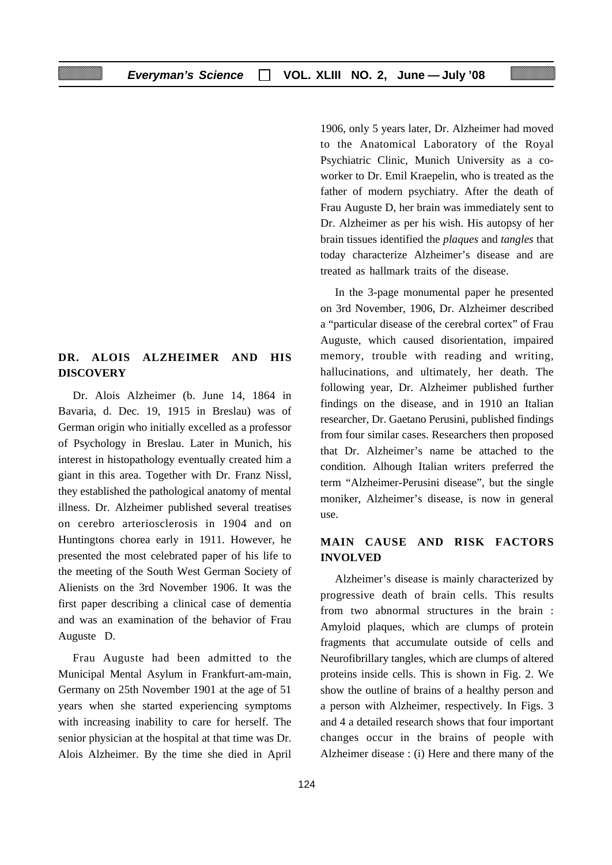## **DR. ALOIS ALZHEIMER AND HIS DISCOVERY**

Dr. Alois Alzheimer (b. June 14, 1864 in Bavaria, d. Dec. 19, 1915 in Breslau) was of German origin who initially excelled as a professor of Psychology in Breslau. Later in Munich, his interest in histopathology eventually created him a giant in this area. Together with Dr. Franz Nissl, they established the pathological anatomy of mental illness. Dr. Alzheimer published several treatises on cerebro arteriosclerosis in 1904 and on Huntingtons chorea early in 1911. However, he presented the most celebrated paper of his life to the meeting of the South West German Society of Alienists on the 3rd November 1906. It was the first paper describing a clinical case of dementia and was an examination of the behavior of Frau Auguste D.

Frau Auguste had been admitted to the Municipal Mental Asylum in Frankfurt-am-main, Germany on 25th November 1901 at the age of 51 years when she started experiencing symptoms with increasing inability to care for herself. The senior physician at the hospital at that time was Dr. Alois Alzheimer. By the time she died in April 1906, only 5 years later, Dr. Alzheimer had moved to the Anatomical Laboratory of the Royal Psychiatric Clinic, Munich University as a coworker to Dr. Emil Kraepelin, who is treated as the father of modern psychiatry. After the death of Frau Auguste D, her brain was immediately sent to Dr. Alzheimer as per his wish. His autopsy of her brain tissues identified the *plaques* and *tangles* that today characterize Alzheimer's disease and are treated as hallmark traits of the disease.

In the 3-page monumental paper he presented on 3rd November, 1906, Dr. Alzheimer described a "particular disease of the cerebral cortex" of Frau Auguste, which caused disorientation, impaired memory, trouble with reading and writing, hallucinations, and ultimately, her death. The following year, Dr. Alzheimer published further findings on the disease, and in 1910 an Italian researcher, Dr. Gaetano Perusini, published findings from four similar cases. Researchers then proposed that Dr. Alzheimer's name be attached to the condition. Alhough Italian writers preferred the term "Alzheimer-Perusini disease", but the single moniker, Alzheimer's disease, is now in general use.

# **MAIN CAUSE AND RISK FACTORS INVOLVED**

Alzheimer's disease is mainly characterized by progressive death of brain cells. This results from two abnormal structures in the brain : Amyloid plaques, which are clumps of protein fragments that accumulate outside of cells and Neurofibrillary tangles, which are clumps of altered proteins inside cells. This is shown in Fig. 2. We show the outline of brains of a healthy person and a person with Alzheimer, respectively. In Figs. 3 and 4 a detailed research shows that four important changes occur in the brains of people with Alzheimer disease : (i) Here and there many of the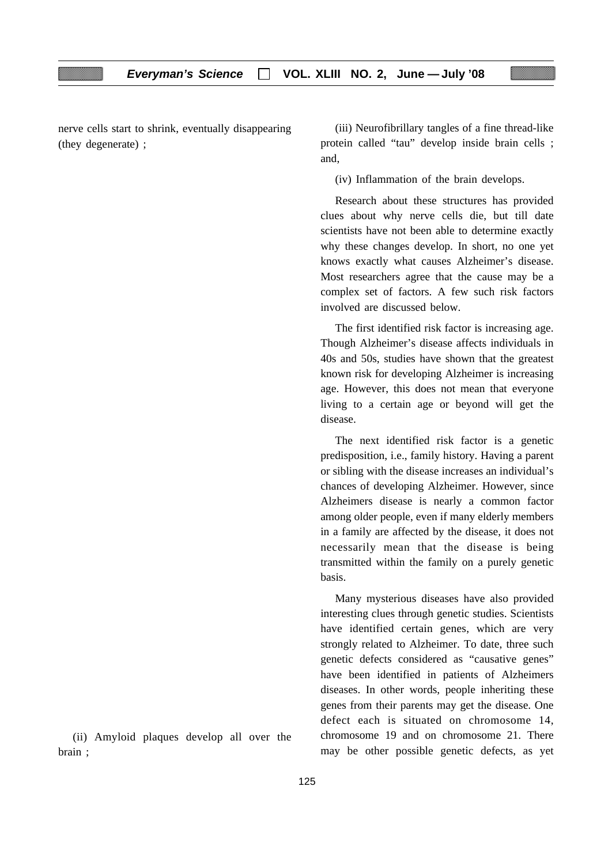nerve cells start to shrink, eventually disappearing (they degenerate) ;

(iii) Neurofibrillary tangles of a fine thread-like protein called "tau" develop inside brain cells ; and,

(iv) Inflammation of the brain develops.

Research about these structures has provided clues about why nerve cells die, but till date scientists have not been able to determine exactly why these changes develop. In short, no one yet knows exactly what causes Alzheimer's disease. Most researchers agree that the cause may be a complex set of factors. A few such risk factors involved are discussed below.

The first identified risk factor is increasing age. Though Alzheimer's disease affects individuals in 40s and 50s, studies have shown that the greatest known risk for developing Alzheimer is increasing age. However, this does not mean that everyone living to a certain age or beyond will get the disease.

The next identified risk factor is a genetic predisposition, i.e., family history. Having a parent or sibling with the disease increases an individual's chances of developing Alzheimer. However, since Alzheimers disease is nearly a common factor among older people, even if many elderly members in a family are affected by the disease, it does not necessarily mean that the disease is being transmitted within the family on a purely genetic basis.

Many mysterious diseases have also provided interesting clues through genetic studies. Scientists have identified certain genes, which are very strongly related to Alzheimer. To date, three such genetic defects considered as "causative genes" have been identified in patients of Alzheimers diseases. In other words, people inheriting these genes from their parents may get the disease. One defect each is situated on chromosome 14, chromosome 19 and on chromosome 21. There may be other possible genetic defects, as yet

(ii) Amyloid plaques develop all over the brain ;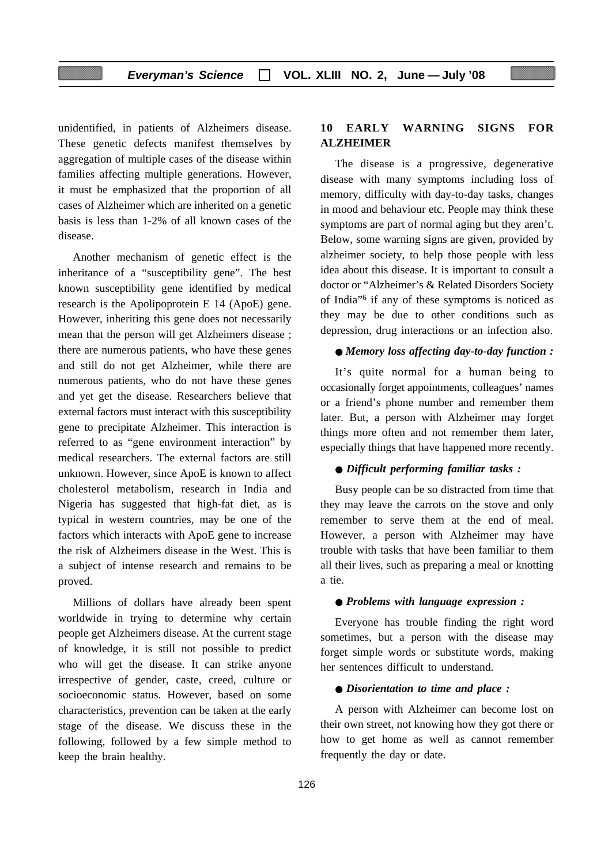unidentified, in patients of Alzheimers disease. These genetic defects manifest themselves by aggregation of multiple cases of the disease within families affecting multiple generations. However, it must be emphasized that the proportion of all cases of Alzheimer which are inherited on a genetic basis is less than 1-2% of all known cases of the disease.

Another mechanism of genetic effect is the inheritance of a "susceptibility gene". The best known susceptibility gene identified by medical research is the Apolipoprotein E 14 (ApoE) gene. However, inheriting this gene does not necessarily mean that the person will get Alzheimers disease ; there are numerous patients, who have these genes and still do not get Alzheimer, while there are numerous patients, who do not have these genes and yet get the disease. Researchers believe that external factors must interact with this susceptibility gene to precipitate Alzheimer. This interaction is referred to as "gene environment interaction" by medical researchers. The external factors are still unknown. However, since ApoE is known to affect cholesterol metabolism, research in India and Nigeria has suggested that high-fat diet, as is typical in western countries, may be one of the factors which interacts with ApoE gene to increase the risk of Alzheimers disease in the West. This is a subject of intense research and remains to be proved.

Millions of dollars have already been spent worldwide in trying to determine why certain people get Alzheimers disease. At the current stage of knowledge, it is still not possible to predict who will get the disease. It can strike anyone irrespective of gender, caste, creed, culture or socioeconomic status. However, based on some characteristics, prevention can be taken at the early stage of the disease. We discuss these in the following, followed by a few simple method to keep the brain healthy.

# **10 EARLY WARNING SIGNS FOR ALZHEIMER**

The disease is a progressive, degenerative disease with many symptoms including loss of memory, difficulty with day-to-day tasks, changes in mood and behaviour etc. People may think these symptoms are part of normal aging but they aren't. Below, some warning signs are given, provided by alzheimer society, to help those people with less idea about this disease. It is important to consult a doctor or "Alzheimer's & Related Disorders Society of India"6 if any of these symptoms is noticed as they may be due to other conditions such as depression, drug interactions or an infection also.

#### ● *Memory loss affecting day-to-day function :*

It's quite normal for a human being to occasionally forget appointments, colleagues' names or a friend's phone number and remember them later. But, a person with Alzheimer may forget things more often and not remember them later, especially things that have happened more recently.

#### ● *Difficult performing familiar tasks :*

Busy people can be so distracted from time that they may leave the carrots on the stove and only remember to serve them at the end of meal. However, a person with Alzheimer may have trouble with tasks that have been familiar to them all their lives, such as preparing a meal or knotting a tie.

#### ● *Problems with language expression :*

Everyone has trouble finding the right word sometimes, but a person with the disease may forget simple words or substitute words, making her sentences difficult to understand.

#### ● *Disorientation to time and place :*

A person with Alzheimer can become lost on their own street, not knowing how they got there or how to get home as well as cannot remember frequently the day or date.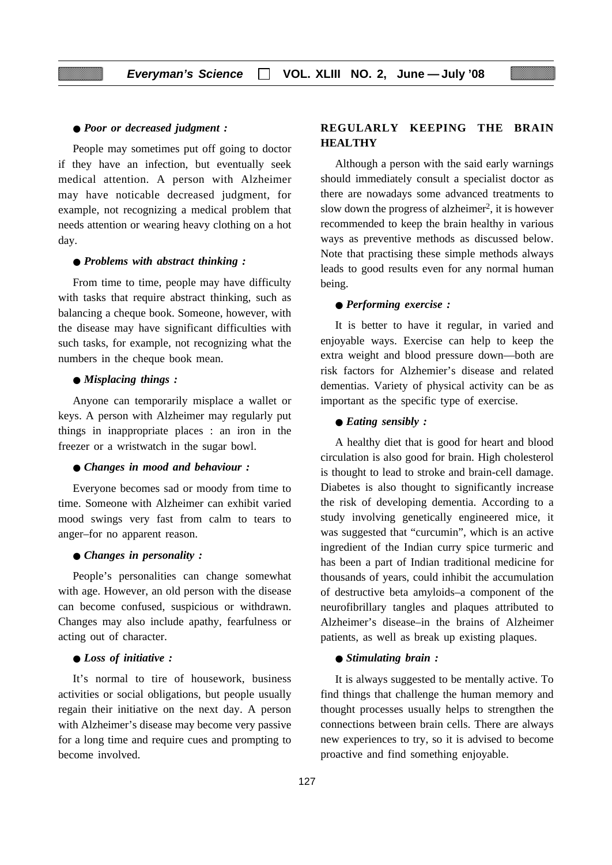#### ● *Poor or decreased judgment :*

People may sometimes put off going to doctor if they have an infection, but eventually seek medical attention. A person with Alzheimer may have noticable decreased judgment, for example, not recognizing a medical problem that needs attention or wearing heavy clothing on a hot day.

#### ● *Problems with abstract thinking :*

From time to time, people may have difficulty with tasks that require abstract thinking, such as balancing a cheque book. Someone, however, with the disease may have significant difficulties with such tasks, for example, not recognizing what the numbers in the cheque book mean.

#### ● *Misplacing things :*

Anyone can temporarily misplace a wallet or keys. A person with Alzheimer may regularly put things in inappropriate places : an iron in the freezer or a wristwatch in the sugar bowl.

#### ● *Changes in mood and behaviour :*

Everyone becomes sad or moody from time to time. Someone with Alzheimer can exhibit varied mood swings very fast from calm to tears to anger–for no apparent reason.

#### ● *Changes in personality :*

People's personalities can change somewhat with age. However, an old person with the disease can become confused, suspicious or withdrawn. Changes may also include apathy, fearfulness or acting out of character.

#### ● *Loss of initiative :*

It's normal to tire of housework, business activities or social obligations, but people usually regain their initiative on the next day. A person with Alzheimer's disease may become very passive for a long time and require cues and prompting to become involved.

# **REGULARLY KEEPING THE BRAIN HEALTHY**

Although a person with the said early warnings should immediately consult a specialist doctor as there are nowadays some advanced treatments to slow down the progress of alzheimer<sup>2</sup>, it is however recommended to keep the brain healthy in various ways as preventive methods as discussed below. Note that practising these simple methods always leads to good results even for any normal human being.

#### ● *Performing exercise :*

It is better to have it regular, in varied and enjoyable ways. Exercise can help to keep the extra weight and blood pressure down—both are risk factors for Alzhemier's disease and related dementias. Variety of physical activity can be as important as the specific type of exercise.

#### ● *Eating sensibly :*

A healthy diet that is good for heart and blood circulation is also good for brain. High cholesterol is thought to lead to stroke and brain-cell damage. Diabetes is also thought to significantly increase the risk of developing dementia. According to a study involving genetically engineered mice, it was suggested that "curcumin", which is an active ingredient of the Indian curry spice turmeric and has been a part of Indian traditional medicine for thousands of years, could inhibit the accumulation of destructive beta amyloids–a component of the neurofibrillary tangles and plaques attributed to Alzheimer's disease–in the brains of Alzheimer patients, as well as break up existing plaques.

#### ● *Stimulating brain :*

It is always suggested to be mentally active. To find things that challenge the human memory and thought processes usually helps to strengthen the connections between brain cells. There are always new experiences to try, so it is advised to become proactive and find something enjoyable.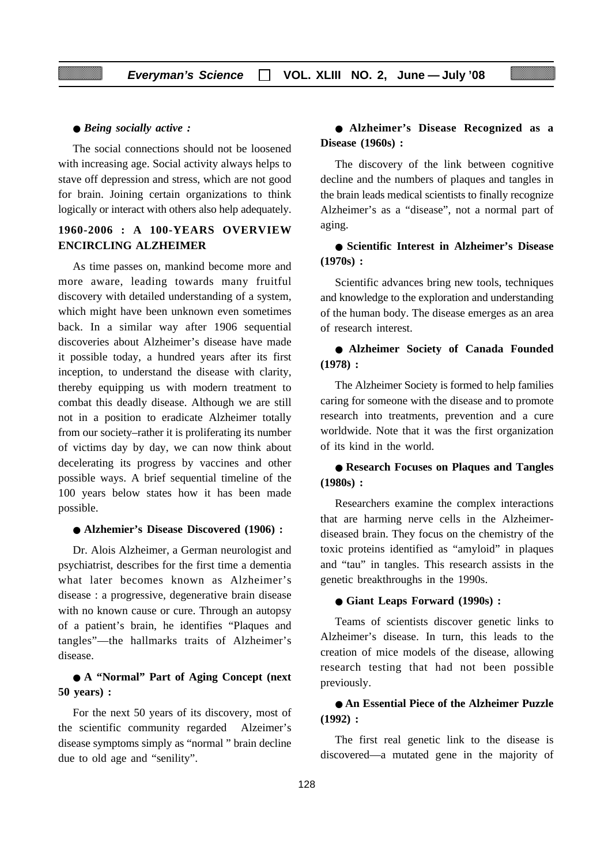#### ● *Being socially active :*

The social connections should not be loosened with increasing age. Social activity always helps to stave off depression and stress, which are not good for brain. Joining certain organizations to think logically or interact with others also help adequately.

# **1960-2006 : A 100-YEARS OVERVIEW ENCIRCLING ALZHEIMER**

As time passes on, mankind become more and more aware, leading towards many fruitful discovery with detailed understanding of a system, which might have been unknown even sometimes back. In a similar way after 1906 sequential discoveries about Alzheimer's disease have made it possible today, a hundred years after its first inception, to understand the disease with clarity, thereby equipping us with modern treatment to combat this deadly disease. Although we are still not in a position to eradicate Alzheimer totally from our society–rather it is proliferating its number of victims day by day, we can now think about decelerating its progress by vaccines and other possible ways. A brief sequential timeline of the 100 years below states how it has been made possible.

#### ● **Alzhemier's Disease Discovered (1906) :**

Dr. Alois Alzheimer, a German neurologist and psychiatrist, describes for the first time a dementia what later becomes known as Alzheimer's disease : a progressive, degenerative brain disease with no known cause or cure. Through an autopsy of a patient's brain, he identifies "Plaques and tangles"—the hallmarks traits of Alzheimer's disease.

## ● **A "Normal" Part of Aging Concept (next 50 years) :**

For the next 50 years of its discovery, most of the scientific community regarded Alzeimer's disease symptoms simply as "normal " brain decline due to old age and "senility".

# ● **Alzheimer's Disease Recognized as a Disease (1960s) :**

The discovery of the link between cognitive decline and the numbers of plaques and tangles in the brain leads medical scientists to finally recognize Alzheimer's as a "disease", not a normal part of aging.

# ● **Scientific Interest in Alzheimer's Disease (1970s) :**

Scientific advances bring new tools, techniques and knowledge to the exploration and understanding of the human body. The disease emerges as an area of research interest.

# ● **Alzheimer Society of Canada Founded (1978) :**

The Alzheimer Society is formed to help families caring for someone with the disease and to promote research into treatments, prevention and a cure worldwide. Note that it was the first organization of its kind in the world.

# ● **Research Focuses on Plaques and Tangles (1980s) :**

Researchers examine the complex interactions that are harming nerve cells in the Alzheimerdiseased brain. They focus on the chemistry of the toxic proteins identified as "amyloid" in plaques and "tau" in tangles. This research assists in the genetic breakthroughs in the 1990s.

#### ● **Giant Leaps Forward (1990s) :**

Teams of scientists discover genetic links to Alzheimer's disease. In turn, this leads to the creation of mice models of the disease, allowing research testing that had not been possible previously.

# ● **An Essential Piece of the Alzheimer Puzzle (1992) :**

The first real genetic link to the disease is discovered—a mutated gene in the majority of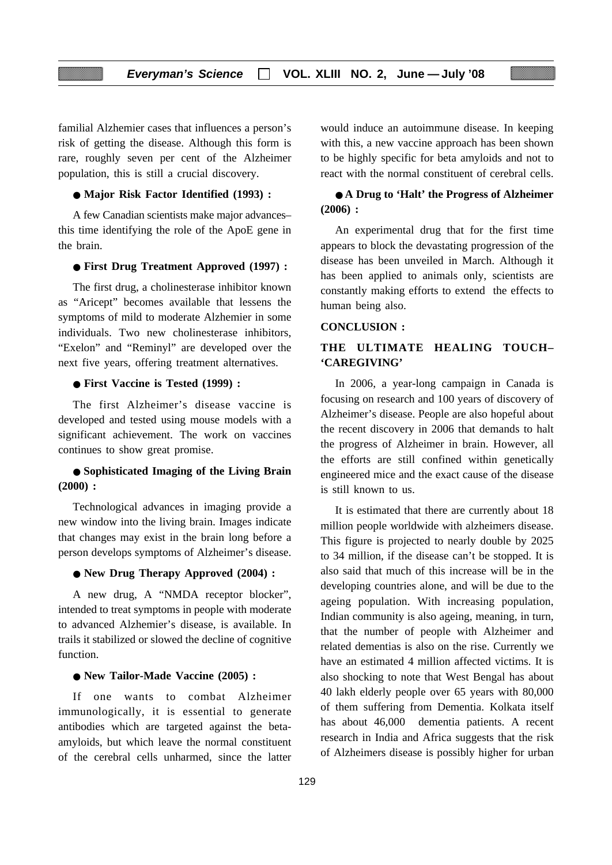familial Alzhemier cases that influences a person's risk of getting the disease. Although this form is rare, roughly seven per cent of the Alzheimer population, this is still a crucial discovery.

#### ● **Major Risk Factor Identified (1993) :**

A few Canadian scientists make major advances– this time identifying the role of the ApoE gene in the brain.

#### ● **First Drug Treatment Approved (1997) :**

The first drug, a cholinesterase inhibitor known as "Aricept" becomes available that lessens the symptoms of mild to moderate Alzhemier in some individuals. Two new cholinesterase inhibitors, "Exelon" and "Reminyl" are developed over the next five years, offering treatment alternatives.

#### ● **First Vaccine is Tested (1999) :**

The first Alzheimer's disease vaccine is developed and tested using mouse models with a significant achievement. The work on vaccines continues to show great promise.

# ● **Sophisticated Imaging of the Living Brain (2000) :**

Technological advances in imaging provide a new window into the living brain. Images indicate that changes may exist in the brain long before a person develops symptoms of Alzheimer's disease.

#### ● **New Drug Therapy Approved (2004) :**

A new drug, A "NMDA receptor blocker", intended to treat symptoms in people with moderate to advanced Alzhemier's disease, is available. In trails it stabilized or slowed the decline of cognitive function.

#### ● **New Tailor-Made Vaccine (2005) :**

If one wants to combat Alzheimer immunologically, it is essential to generate antibodies which are targeted against the betaamyloids, but which leave the normal constituent of the cerebral cells unharmed, since the latter would induce an autoimmune disease. In keeping with this, a new vaccine approach has been shown to be highly specific for beta amyloids and not to react with the normal constituent of cerebral cells.

# ● **A Drug to 'Halt' the Progress of Alzheimer (2006) :**

An experimental drug that for the first time appears to block the devastating progression of the disease has been unveiled in March. Although it has been applied to animals only, scientists are constantly making efforts to extend the effects to human being also.

#### **CONCLUSION :**

# **THE ULTIMATE HEALING TOUCH– 'CAREGIVING'**

In 2006, a year-long campaign in Canada is focusing on research and 100 years of discovery of Alzheimer's disease. People are also hopeful about the recent discovery in 2006 that demands to halt the progress of Alzheimer in brain. However, all the efforts are still confined within genetically engineered mice and the exact cause of the disease is still known to us.

It is estimated that there are currently about 18 million people worldwide with alzheimers disease. This figure is projected to nearly double by 2025 to 34 million, if the disease can't be stopped. It is also said that much of this increase will be in the developing countries alone, and will be due to the ageing population. With increasing population, Indian community is also ageing, meaning, in turn, that the number of people with Alzheimer and related dementias is also on the rise. Currently we have an estimated 4 million affected victims. It is also shocking to note that West Bengal has about 40 lakh elderly people over 65 years with 80,000 of them suffering from Dementia. Kolkata itself has about 46,000 dementia patients. A recent research in India and Africa suggests that the risk of Alzheimers disease is possibly higher for urban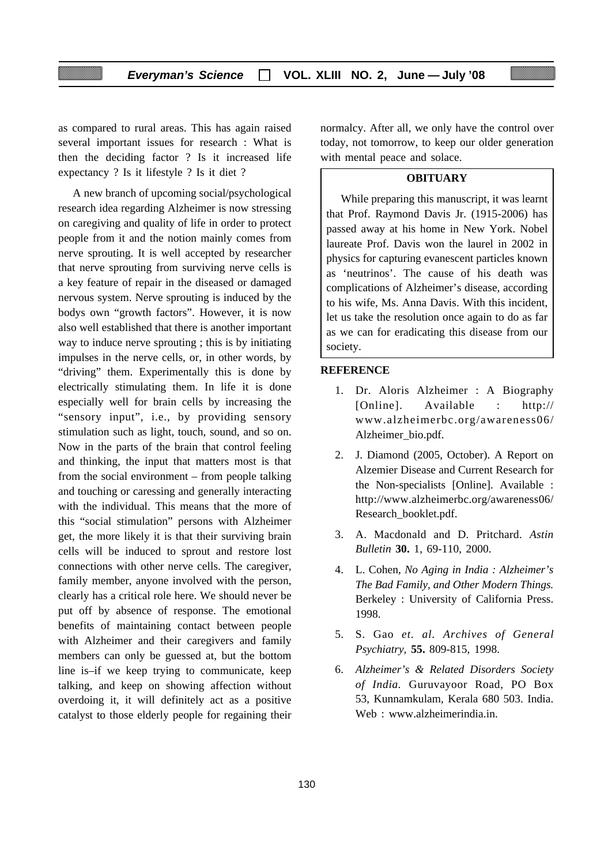as compared to rural areas. This has again raised several important issues for research : What is then the deciding factor ? Is it increased life expectancy ? Is it lifestyle ? Is it diet ?

A new branch of upcoming social/psychological research idea regarding Alzheimer is now stressing on caregiving and quality of life in order to protect people from it and the notion mainly comes from nerve sprouting. It is well accepted by researcher that nerve sprouting from surviving nerve cells is a key feature of repair in the diseased or damaged nervous system. Nerve sprouting is induced by the bodys own "growth factors". However, it is now also well established that there is another important way to induce nerve sprouting ; this is by initiating impulses in the nerve cells, or, in other words, by "driving" them. Experimentally this is done by electrically stimulating them. In life it is done especially well for brain cells by increasing the "sensory input", i.e., by providing sensory stimulation such as light, touch, sound, and so on. Now in the parts of the brain that control feeling and thinking, the input that matters most is that from the social environment – from people talking and touching or caressing and generally interacting with the individual. This means that the more of this "social stimulation" persons with Alzheimer get, the more likely it is that their surviving brain cells will be induced to sprout and restore lost connections with other nerve cells. The caregiver, family member, anyone involved with the person, clearly has a critical role here. We should never be put off by absence of response. The emotional benefits of maintaining contact between people with Alzheimer and their caregivers and family members can only be guessed at, but the bottom line is–if we keep trying to communicate, keep talking, and keep on showing affection without overdoing it, it will definitely act as a positive catalyst to those elderly people for regaining their normalcy. After all, we only have the control over today, not tomorrow, to keep our older generation with mental peace and solace.

#### **OBITUARY**

While preparing this manuscript, it was learnt that Prof. Raymond Davis Jr. (1915-2006) has passed away at his home in New York. Nobel laureate Prof. Davis won the laurel in 2002 in physics for capturing evanescent particles known as 'neutrinos'. The cause of his death was complications of Alzheimer's disease, according to his wife, Ms. Anna Davis. With this incident, let us take the resolution once again to do as far as we can for eradicating this disease from our society.

#### **REFERENCE**

- 1. Dr. Aloris Alzheimer : A Biography [Online]. Available : http:// www.alzheimerbc.org/awareness06/ Alzheimer\_bio.pdf.
- 2. J. Diamond (2005, October). A Report on Alzemier Disease and Current Research for the Non-specialists [Online]. Available : http://www.alzheimerbc.org/awareness06/ Research\_booklet.pdf.
- 3. A. Macdonald and D. Pritchard. *Astin Bulletin* **30.** 1, 69-110, 2000.
- 4. L. Cohen, *No Aging in India : Alzheimer's The Bad Family, and Other Modern Things.* Berkeley : University of California Press. 1998.
- 5. S. Gao *et. al. Archives of General Psychiatry,* **55.** 809-815, 1998.
- 6. *Alzheimer's & Related Disorders Society of India.* Guruvayoor Road, PO Box 53, Kunnamkulam, Kerala 680 503. India. Web : www.alzheimerindia.in.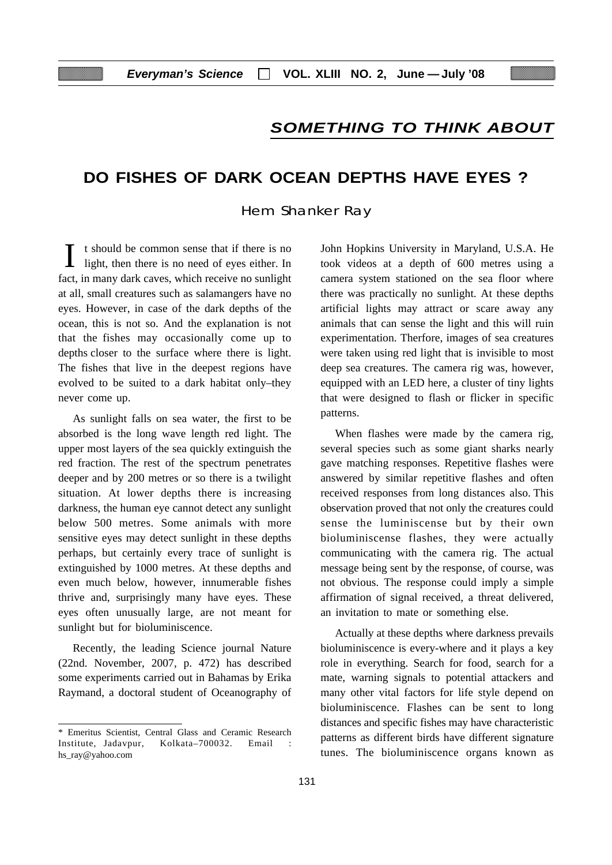# *SOMETHING TO THINK ABOUT*

# **DO FISHES OF DARK OCEAN DEPTHS HAVE EYES ?**

Hem Shanker Ray

t should be common sense that if there is no light, then there is no need of eyes either. In fact, in many dark caves, which receive no sunlight at all, small creatures such as salamangers have no eyes. However, in case of the dark depths of the ocean, this is not so. And the explanation is not that the fishes may occasionally come up to depths closer to the surface where there is light. The fishes that live in the deepest regions have evolved to be suited to a dark habitat only–they never come up.

As sunlight falls on sea water, the first to be absorbed is the long wave length red light. The upper most layers of the sea quickly extinguish the red fraction. The rest of the spectrum penetrates deeper and by 200 metres or so there is a twilight situation. At lower depths there is increasing darkness, the human eye cannot detect any sunlight below 500 metres. Some animals with more sensitive eyes may detect sunlight in these depths perhaps, but certainly every trace of sunlight is extinguished by 1000 metres. At these depths and even much below, however, innumerable fishes thrive and, surprisingly many have eyes. These eyes often unusually large, are not meant for sunlight but for bioluminiscence.

Recently, the leading Science journal Nature (22nd. November, 2007, p. 472) has described some experiments carried out in Bahamas by Erika Raymand, a doctoral student of Oceanography of John Hopkins University in Maryland, U.S.A. He took videos at a depth of 600 metres using a camera system stationed on the sea floor where there was practically no sunlight. At these depths artificial lights may attract or scare away any animals that can sense the light and this will ruin experimentation. Therfore, images of sea creatures were taken using red light that is invisible to most deep sea creatures. The camera rig was, however, equipped with an LED here, a cluster of tiny lights that were designed to flash or flicker in specific patterns.

When flashes were made by the camera rig, several species such as some giant sharks nearly gave matching responses. Repetitive flashes were answered by similar repetitive flashes and often received responses from long distances also. This observation proved that not only the creatures could sense the luminiscense but by their own bioluminiscense flashes, they were actually communicating with the camera rig. The actual message being sent by the response, of course, was not obvious. The response could imply a simple affirmation of signal received, a threat delivered, an invitation to mate or something else.

Actually at these depths where darkness prevails bioluminiscence is every-where and it plays a key role in everything. Search for food, search for a mate, warning signals to potential attackers and many other vital factors for life style depend on bioluminiscence. Flashes can be sent to long distances and specific fishes may have characteristic patterns as different birds have different signature tunes. The bioluminiscence organs known as

<sup>\*</sup> Emeritus Scientist, Central Glass and Ceramic Research Institute, Jadavpur, Kolkata–700032. Email : hs\_ray@yahoo.com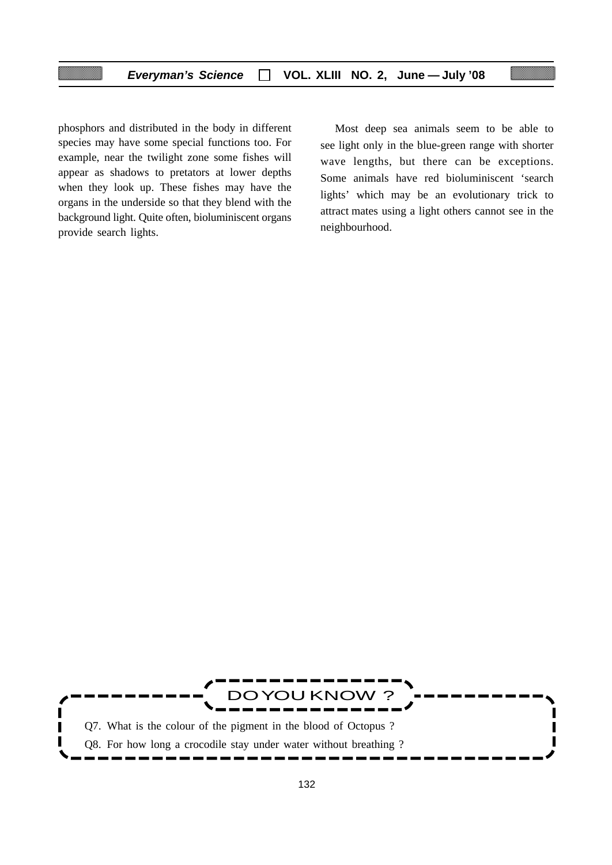phosphors and distributed in the body in different species may have some special functions too. For example, near the twilight zone some fishes will appear as shadows to pretators at lower depths when they look up. These fishes may have the organs in the underside so that they blend with the background light. Quite often, bioluminiscent organs provide search lights.

Most deep sea animals seem to be able to see light only in the blue-green range with shorter wave lengths, but there can be exceptions. Some animals have red bioluminiscent 'search lights' which may be an evolutionary trick to attract mates using a light others cannot see in the neighbourhood.

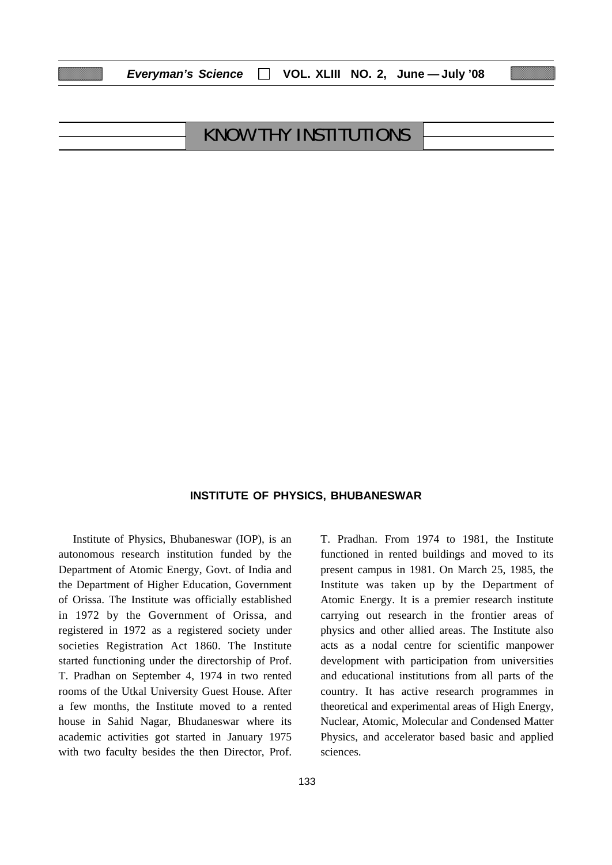| <b>KNOW THY INSTITUTIONS</b> |  |
|------------------------------|--|
|                              |  |

#### **INSTITUTE OF PHYSICS, BHUBANESWAR**

Institute of Physics, Bhubaneswar (IOP), is an autonomous research institution funded by the Department of Atomic Energy, Govt. of India and the Department of Higher Education, Government of Orissa. The Institute was officially established in 1972 by the Government of Orissa, and registered in 1972 as a registered society under societies Registration Act 1860. The Institute started functioning under the directorship of Prof. T. Pradhan on September 4, 1974 in two rented rooms of the Utkal University Guest House. After a few months, the Institute moved to a rented house in Sahid Nagar, Bhudaneswar where its academic activities got started in January 1975 with two faculty besides the then Director, Prof.

T. Pradhan. From 1974 to 1981, the Institute functioned in rented buildings and moved to its present campus in 1981. On March 25, 1985, the Institute was taken up by the Department of Atomic Energy. It is a premier research institute carrying out research in the frontier areas of physics and other allied areas. The Institute also acts as a nodal centre for scientific manpower development with participation from universities and educational institutions from all parts of the country. It has active research programmes in theoretical and experimental areas of High Energy, Nuclear, Atomic, Molecular and Condensed Matter Physics, and accelerator based basic and applied sciences.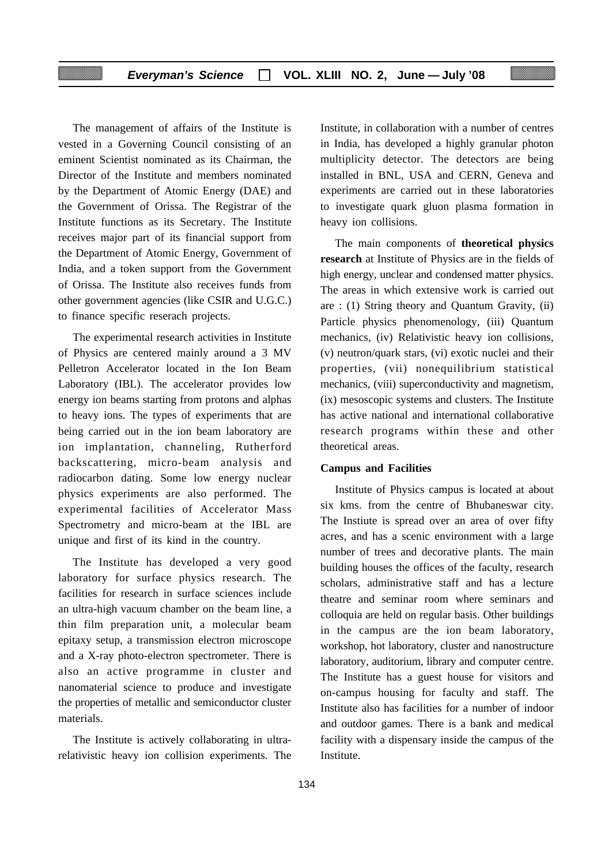The management of affairs of the Institute is vested in a Governing Council consisting of an eminent Scientist nominated as its Chairman, the Director of the Institute and members nominated by the Department of Atomic Energy (DAE) and the Government of Orissa. The Registrar of the Institute functions as its Secretary. The Institute receives major part of its financial support from the Department of Atomic Energy, Government of India, and a token support from the Government of Orissa. The Institute also receives funds from other government agencies (like CSIR and U.G.C.) to finance specific reserach projects.

The experimental research activities in Institute of Physics are centered mainly around a 3 MV Pelletron Accelerator located in the Ion Beam Laboratory (IBL). The accelerator provides low energy ion beams starting from protons and alphas to heavy ions. The types of experiments that are being carried out in the ion beam laboratory are ion implantation, channeling, Rutherford backscattering, micro-beam analysis and radiocarbon dating. Some low energy nuclear physics experiments are also performed. The experimental facilities of Accelerator Mass Spectrometry and micro-beam at the IBL are unique and first of its kind in the country.

The Institute has developed a very good laboratory for surface physics research. The facilities for research in surface sciences include an ultra-high vacuum chamber on the beam line, a thin film preparation unit, a molecular beam epitaxy setup, a transmission electron microscope and a X-ray photo-electron spectrometer. There is also an active programme in cluster and nanomaterial science to produce and investigate the properties of metallic and semiconductor cluster materials.

The Institute is actively collaborating in ultrarelativistic heavy ion collision experiments. The

Institute, in collaboration with a number of centres in India, has developed a highly granular photon multiplicity detector. The detectors are being installed in BNL, USA and CERN, Geneva and experiments are carried out in these laboratories to investigate quark gluon plasma formation in heavy ion collisions.

The main components of **theoretical physics research** at Institute of Physics are in the fields of high energy, unclear and condensed matter physics. The areas in which extensive work is carried out are : (1) String theory and Quantum Gravity, (ii) Particle physics phenomenology, (iii) Quantum mechanics, (iv) Relativistic heavy ion collisions, (v) neutron/quark stars, (vi) exotic nuclei and their properties, (vii) nonequilibrium statistical mechanics, (viii) superconductivity and magnetism, (ix) mesoscopic systems and clusters. The Institute has active national and international collaborative research programs within these and other theoretical areas.

#### **Campus and Facilities**

Institute of Physics campus is located at about six kms. from the centre of Bhubaneswar city. The Instiute is spread over an area of over fifty acres, and has a scenic environment with a large number of trees and decorative plants. The main building houses the offices of the faculty, research scholars, administrative staff and has a lecture theatre and seminar room where seminars and colloquia are held on regular basis. Other buildings in the campus are the ion beam laboratory, workshop, hot laboratory, cluster and nanostructure laboratory, auditorium, library and computer centre. The Institute has a guest house for visitors and on-campus housing for faculty and staff. The Institute also has facilities for a number of indoor and outdoor games. There is a bank and medical facility with a dispensary inside the campus of the Institute.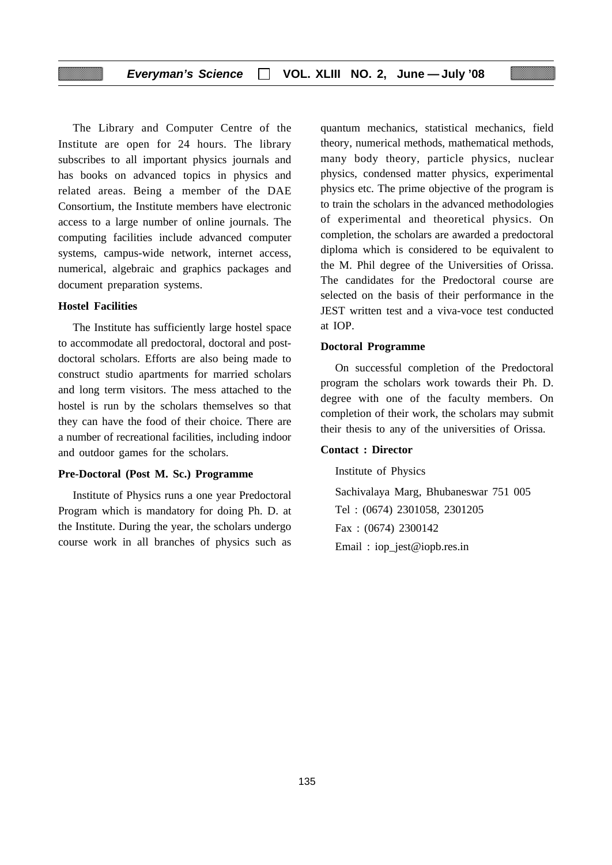The Library and Computer Centre of the Institute are open for 24 hours. The library subscribes to all important physics journals and has books on advanced topics in physics and related areas. Being a member of the DAE Consortium, the Institute members have electronic access to a large number of online journals. The computing facilities include advanced computer systems, campus-wide network, internet access, numerical, algebraic and graphics packages and document preparation systems.

#### **Hostel Facilities**

The Institute has sufficiently large hostel space to accommodate all predoctoral, doctoral and postdoctoral scholars. Efforts are also being made to construct studio apartments for married scholars and long term visitors. The mess attached to the hostel is run by the scholars themselves so that they can have the food of their choice. There are a number of recreational facilities, including indoor and outdoor games for the scholars.

#### **Pre-Doctoral (Post M. Sc.) Programme**

Institute of Physics runs a one year Predoctoral Program which is mandatory for doing Ph. D. at the Institute. During the year, the scholars undergo course work in all branches of physics such as

quantum mechanics, statistical mechanics, field theory, numerical methods, mathematical methods, many body theory, particle physics, nuclear physics, condensed matter physics, experimental physics etc. The prime objective of the program is to train the scholars in the advanced methodologies of experimental and theoretical physics. On completion, the scholars are awarded a predoctoral diploma which is considered to be equivalent to the M. Phil degree of the Universities of Orissa. The candidates for the Predoctoral course are selected on the basis of their performance in the JEST written test and a viva-voce test conducted at IOP.

#### **Doctoral Programme**

On successful completion of the Predoctoral program the scholars work towards their Ph. D. degree with one of the faculty members. On completion of their work, the scholars may submit their thesis to any of the universities of Orissa.

#### **Contact : Director**

Institute of Physics Sachivalaya Marg, Bhubaneswar 751 005 Tel : (0674) 2301058, 2301205 Fax : (0674) 2300142 Email : iop\_jest@iopb.res.in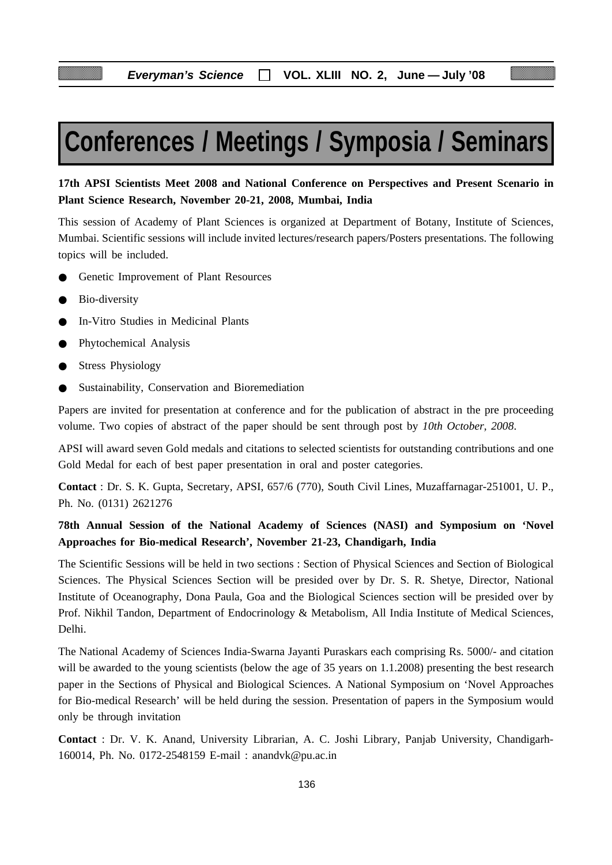# **Conferences / Meetings / Symposia / Seminars**

# **17th APSI Scientists Meet 2008 and National Conference on Perspectives and Present Scenario in Plant Science Research, November 20-21, 2008, Mumbai, India**

This session of Academy of Plant Sciences is organized at Department of Botany, Institute of Sciences, Mumbai. Scientific sessions will include invited lectures/research papers/Posters presentations. The following topics will be included.

- Genetic Improvement of Plant Resources
- Bio-diversity
- In-Vitro Studies in Medicinal Plants
- Phytochemical Analysis
- Stress Physiology
- Sustainability, Conservation and Bioremediation

Papers are invited for presentation at conference and for the publication of abstract in the pre proceeding volume. Two copies of abstract of the paper should be sent through post by *10th October, 2008*.

APSI will award seven Gold medals and citations to selected scientists for outstanding contributions and one Gold Medal for each of best paper presentation in oral and poster categories.

**Contact** : Dr. S. K. Gupta, Secretary, APSI, 657/6 (770), South Civil Lines, Muzaffarnagar-251001, U. P., Ph. No. (0131) 2621276

# **78th Annual Session of the National Academy of Sciences (NASI) and Symposium on 'Novel Approaches for Bio-medical Research', November 21-23, Chandigarh, India**

The Scientific Sessions will be held in two sections : Section of Physical Sciences and Section of Biological Sciences. The Physical Sciences Section will be presided over by Dr. S. R. Shetye, Director, National Institute of Oceanography, Dona Paula, Goa and the Biological Sciences section will be presided over by Prof. Nikhil Tandon, Department of Endocrinology & Metabolism, All India Institute of Medical Sciences, Delhi.

The National Academy of Sciences India-Swarna Jayanti Puraskars each comprising Rs. 5000/- and citation will be awarded to the young scientists (below the age of 35 years on 1.1.2008) presenting the best research paper in the Sections of Physical and Biological Sciences. A National Symposium on 'Novel Approaches for Bio-medical Research' will be held during the session. Presentation of papers in the Symposium would only be through invitation

**Contact** : Dr. V. K. Anand, University Librarian, A. C. Joshi Library, Panjab University, Chandigarh-160014, Ph. No. 0172-2548159 E-mail : anandvk@pu.ac.in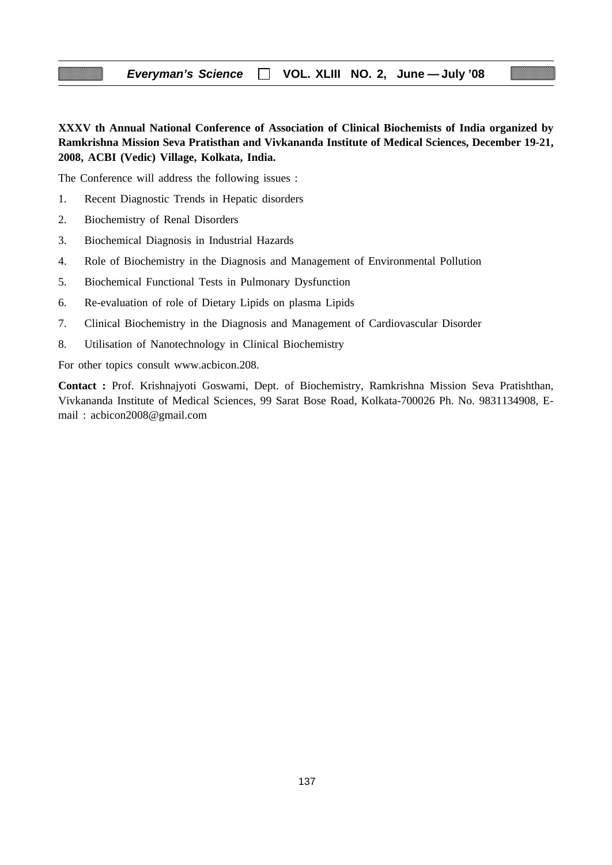# **XXXV th Annual National Conference of Association of Clinical Biochemists of India organized by Ramkrishna Mission Seva Pratisthan and Vivkananda Institute of Medical Sciences, December 19-21, 2008, ACBI (Vedic) Village, Kolkata, India.**

The Conference will address the following issues :

- 1. Recent Diagnostic Trends in Hepatic disorders
- 2. Biochemistry of Renal Disorders
- 3. Biochemical Diagnosis in Industrial Hazards
- 4. Role of Biochemistry in the Diagnosis and Management of Environmental Pollution
- 5. Biochemical Functional Tests in Pulmonary Dysfunction
- 6. Re-evaluation of role of Dietary Lipids on plasma Lipids
- 7. Clinical Biochemistry in the Diagnosis and Management of Cardiovascular Disorder
- 8. Utilisation of Nanotechnology in Clinical Biochemistry

For other topics consult www.acbicon.208.

**Contact :** Prof. Krishnajyoti Goswami, Dept. of Biochemistry, Ramkrishna Mission Seva Pratishthan, Vivkananda Institute of Medical Sciences, 99 Sarat Bose Road, Kolkata-700026 Ph. No. 9831134908, Email : acbicon2008@gmail.com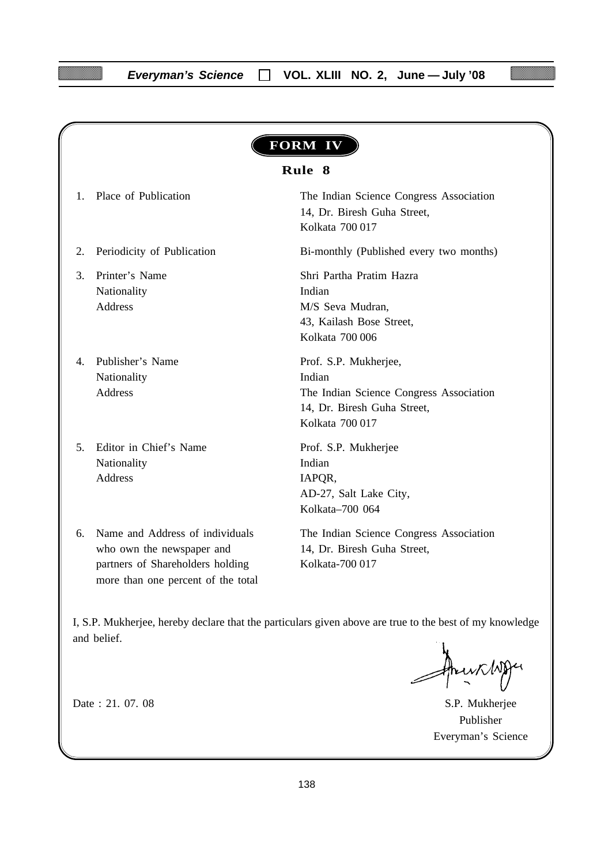|                                                                                                                                              | <b>FORM IV</b>                                                                                                               |
|----------------------------------------------------------------------------------------------------------------------------------------------|------------------------------------------------------------------------------------------------------------------------------|
|                                                                                                                                              | Rule 8                                                                                                                       |
| Place of Publication<br>$\mathbf{1}$                                                                                                         | The Indian Science Congress Association<br>14, Dr. Biresh Guha Street,<br>Kolkata 700 017                                    |
| 2.<br>Periodicity of Publication                                                                                                             | Bi-monthly (Published every two months)                                                                                      |
| Printer's Name<br>3.<br>Nationality<br>Address                                                                                               | Shri Partha Pratim Hazra<br>Indian<br>M/S Seva Mudran,<br>43, Kailash Bose Street,<br>Kolkata 700 006                        |
| Publisher's Name<br>4.<br>Nationality<br>Address                                                                                             | Prof. S.P. Mukherjee,<br>Indian<br>The Indian Science Congress Association<br>14, Dr. Biresh Guha Street,<br>Kolkata 700 017 |
| Editor in Chief's Name<br>5.<br>Nationality<br><b>Address</b>                                                                                | Prof. S.P. Mukherjee<br>Indian<br>IAPQR,<br>AD-27, Salt Lake City,<br>Kolkata-700 064                                        |
| Name and Address of individuals<br>6.<br>who own the newspaper and<br>partners of Shareholders holding<br>more than one percent of the total | The Indian Science Congress Association<br>14, Dr. Biresh Guha Street,<br>Kolkata-700 017                                    |

I, S.P. Mukherjee, hereby declare that the particulars given above are true to the best of my knowledge and belief.

 $\mathcal{L}_{\mathcal{N}}$ 

Date : 21. 07. 08 S.P. Mukherjee Publisher Everyman's Science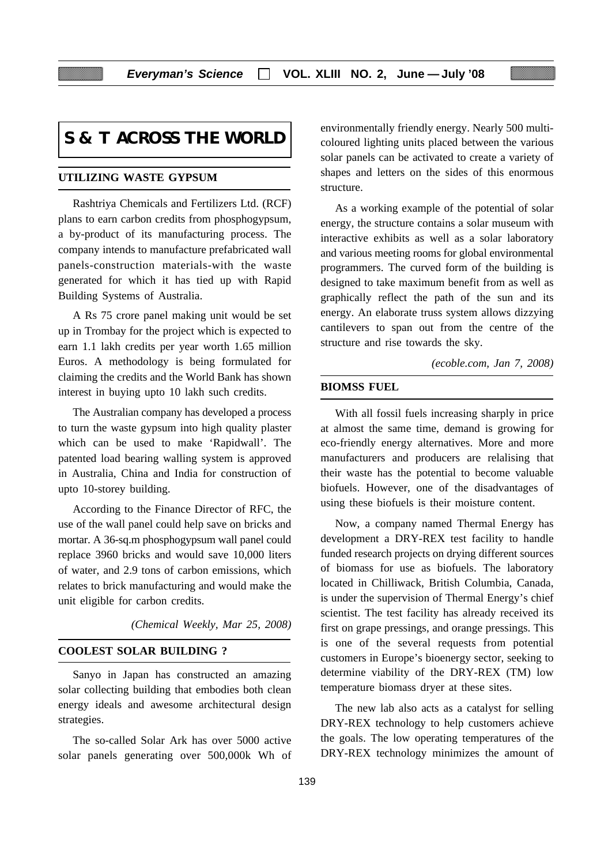# **S & T ACROSS THE WORLD**

#### **UTILIZING WASTE GYPSUM**

Rashtriya Chemicals and Fertilizers Ltd. (RCF) plans to earn carbon credits from phosphogypsum, a by-product of its manufacturing process. The company intends to manufacture prefabricated wall panels-construction materials-with the waste generated for which it has tied up with Rapid Building Systems of Australia.

A Rs 75 crore panel making unit would be set up in Trombay for the project which is expected to earn 1.1 lakh credits per year worth 1.65 million Euros. A methodology is being formulated for claiming the credits and the World Bank has shown interest in buying upto 10 lakh such credits.

The Australian company has developed a process to turn the waste gypsum into high quality plaster which can be used to make 'Rapidwall'. The patented load bearing walling system is approved in Australia, China and India for construction of upto 10-storey building.

According to the Finance Director of RFC, the use of the wall panel could help save on bricks and mortar. A 36-sq.m phosphogypsum wall panel could replace 3960 bricks and would save 10,000 liters of water, and 2.9 tons of carbon emissions, which relates to brick manufacturing and would make the unit eligible for carbon credits.

*(Chemical Weekly, Mar 25, 2008)*

#### **COOLEST SOLAR BUILDING ?**

Sanyo in Japan has constructed an amazing solar collecting building that embodies both clean energy ideals and awesome architectural design strategies.

The so-called Solar Ark has over 5000 active solar panels generating over 500,000k Wh of environmentally friendly energy. Nearly 500 multicoloured lighting units placed between the various solar panels can be activated to create a variety of shapes and letters on the sides of this enormous structure.

As a working example of the potential of solar energy, the structure contains a solar museum with interactive exhibits as well as a solar laboratory and various meeting rooms for global environmental programmers. The curved form of the building is designed to take maximum benefit from as well as graphically reflect the path of the sun and its energy. An elaborate truss system allows dizzying cantilevers to span out from the centre of the structure and rise towards the sky.

*(ecoble.com, Jan 7, 2008)*

# **BIOMSS FUEL**

With all fossil fuels increasing sharply in price at almost the same time, demand is growing for eco-friendly energy alternatives. More and more manufacturers and producers are relalising that their waste has the potential to become valuable biofuels. However, one of the disadvantages of using these biofuels is their moisture content.

Now, a company named Thermal Energy has development a DRY-REX test facility to handle funded research projects on drying different sources of biomass for use as biofuels. The laboratory located in Chilliwack, British Columbia, Canada, is under the supervision of Thermal Energy's chief scientist. The test facility has already received its first on grape pressings, and orange pressings. This is one of the several requests from potential customers in Europe's bioenergy sector, seeking to determine viability of the DRY-REX (TM) low temperature biomass dryer at these sites.

The new lab also acts as a catalyst for selling DRY-REX technology to help customers achieve the goals. The low operating temperatures of the DRY-REX technology minimizes the amount of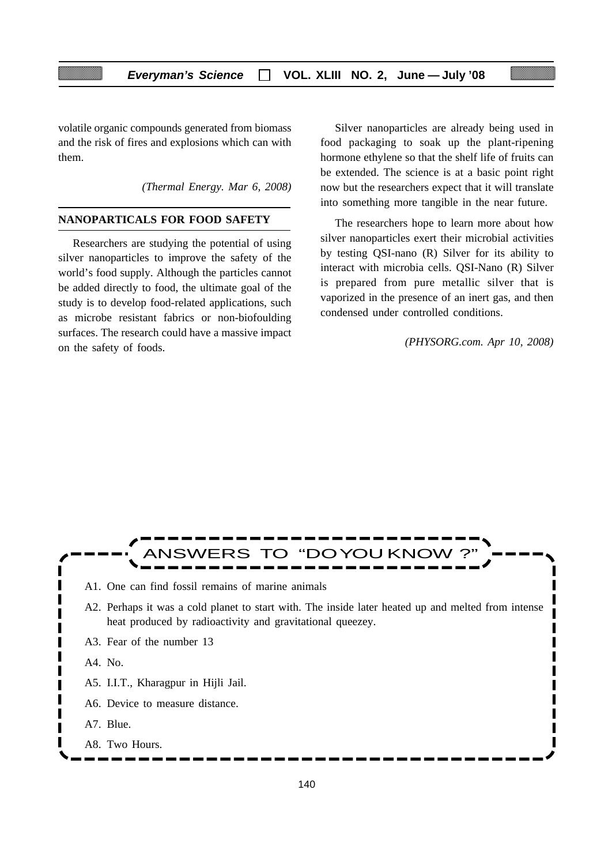volatile organic compounds generated from biomass and the risk of fires and explosions which can with them.

*(Thermal Energy. Mar 6, 2008)*

## **NANOPARTICALS FOR FOOD SAFETY**

Researchers are studying the potential of using silver nanoparticles to improve the safety of the world's food supply. Although the particles cannot be added directly to food, the ultimate goal of the study is to develop food-related applications, such as microbe resistant fabrics or non-biofoulding surfaces. The research could have a massive impact on the safety of foods.

Silver nanoparticles are already being used in food packaging to soak up the plant-ripening hormone ethylene so that the shelf life of fruits can be extended. The science is at a basic point right now but the researchers expect that it will translate into something more tangible in the near future.

The researchers hope to learn more about how silver nanoparticles exert their microbial activities by testing QSI-nano (R) Silver for its ability to interact with microbia cells. QSI-Nano (R) Silver is prepared from pure metallic silver that is vaporized in the presence of an inert gas, and then condensed under controlled conditions.

*(PHYSORG.com. Apr 10, 2008)*

I I Π

I П



- A1. One can find fossil remains of marine animals
- A2. Perhaps it was a cold planet to start with. The inside later heated up and melted from intense heat produced by radioactivity and gravitational queezey.
- A3. Fear of the number 13
- A4. No.

П

I I

- A5. I.I.T., Kharagpur in Hijli Jail.
- A6. Device to measure distance.
- A7. Blue.
- A8. Two Hours.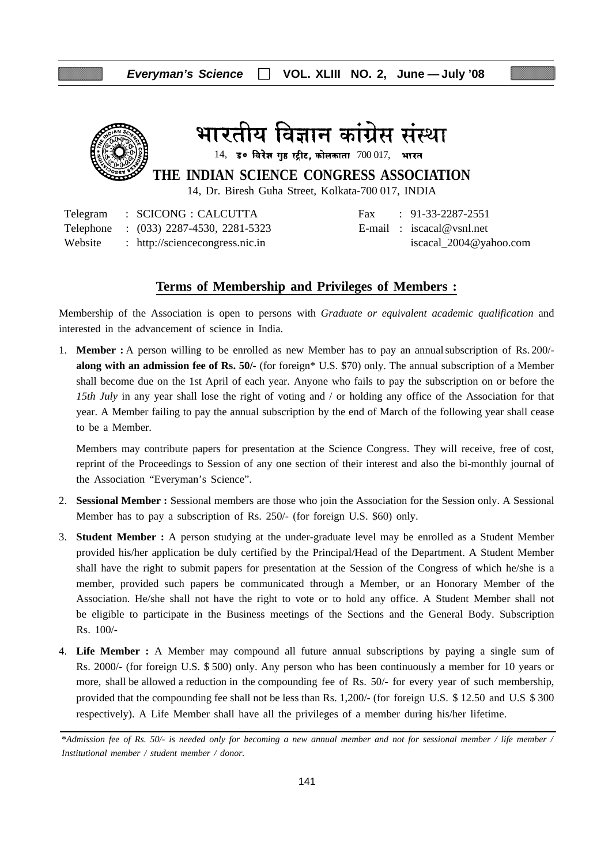

भारतीय विज्ञान कांग्रेस संस्था

 $14$ , उ० विरेश गुष्ठ स्ट्रीट, कोलकाता  $700017$ , भारत

**THE INDIAN SCIENCE CONGRESS ASSOCIATION**

14, Dr. Biresh Guha Street, Kolkata-700 017, INDIA

Telegram : SCICONG : CALCUTTA Fax : 91-33-2287-2551 Telephone : (033) 2287-4530, 2281-5323 E-mail : iscacal@vsnl.net Website : http://sciencecongress.nic.in iscacal\_2004@yahoo.com

# **Terms of Membership and Privileges of Members :**

Membership of the Association is open to persons with *Graduate or equivalent academic qualification* and interested in the advancement of science in India.

1. **Member :** A person willing to be enrolled as new Member has to pay an annualsubscription of Rs. 200/ **along with an admission fee of Rs. 50/-** (for foreign\* U.S. \$70) only. The annual subscription of a Member shall become due on the 1st April of each year. Anyone who fails to pay the subscription on or before the *15th July* in any year shall lose the right of voting and / or holding any office of the Association for that year. A Member failing to pay the annual subscription by the end of March of the following year shall cease to be a Member.

Members may contribute papers for presentation at the Science Congress. They will receive, free of cost, reprint of the Proceedings to Session of any one section of their interest and also the bi-monthly journal of the Association "Everyman's Science".

- 2. **Sessional Member :** Sessional members are those who join the Association for the Session only. A Sessional Member has to pay a subscription of Rs. 250/- (for foreign U.S. \$60) only.
- 3. **Student Member :** A person studying at the under-graduate level may be enrolled as a Student Member provided his/her application be duly certified by the Principal/Head of the Department. A Student Member shall have the right to submit papers for presentation at the Session of the Congress of which he/she is a member, provided such papers be communicated through a Member, or an Honorary Member of the Association. He/she shall not have the right to vote or to hold any office. A Student Member shall not be eligible to participate in the Business meetings of the Sections and the General Body. Subscription Rs. 100/-
- 4. **Life Member :** A Member may compound all future annual subscriptions by paying a single sum of Rs. 2000/- (for foreign U.S. \$ 500) only. Any person who has been continuously a member for 10 years or more, shall be allowed a reduction in the compounding fee of Rs. 50/- for every year of such membership, provided that the compounding fee shall not be less than Rs. 1,200/- (for foreign U.S. \$ 12.50 and U.S \$ 300 respectively). A Life Member shall have all the privileges of a member during his/her lifetime.

<sup>\*</sup>*Admission fee of Rs. 50/- is needed only for becoming a new annual member and not for sessional member / life member / Institutional member / student member / donor.*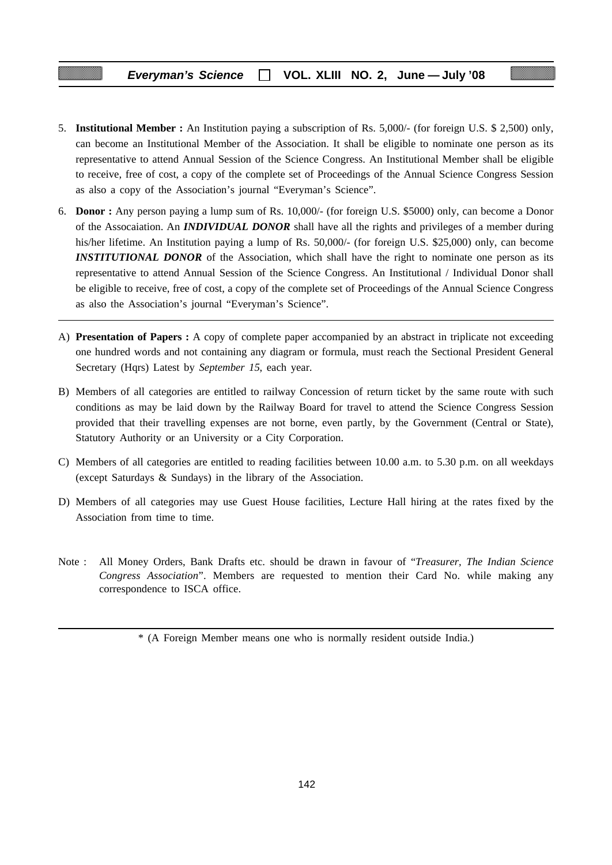- 5. **Institutional Member :** An Institution paying a subscription of Rs. 5,000/- (for foreign U.S. \$ 2,500) only, can become an Institutional Member of the Association. It shall be eligible to nominate one person as its representative to attend Annual Session of the Science Congress. An Institutional Member shall be eligible to receive, free of cost, a copy of the complete set of Proceedings of the Annual Science Congress Session as also a copy of the Association's journal "Everyman's Science".
- 6. **Donor :** Any person paying a lump sum of Rs. 10,000/- (for foreign U.S. \$5000) only, can become a Donor of the Assocaiation. An *INDIVIDUAL DONOR* shall have all the rights and privileges of a member during his/her lifetime. An Institution paying a lump of Rs. 50,000/- (for foreign U.S. \$25,000) only, can become **INSTITUTIONAL DONOR** of the Association, which shall have the right to nominate one person as its representative to attend Annual Session of the Science Congress. An Institutional / Individual Donor shall be eligible to receive, free of cost, a copy of the complete set of Proceedings of the Annual Science Congress as also the Association's journal "Everyman's Science".
- A) **Presentation of Papers :** A copy of complete paper accompanied by an abstract in triplicate not exceeding one hundred words and not containing any diagram or formula, must reach the Sectional President General Secretary (Hqrs) Latest by *September 15*, each year.
- B) Members of all categories are entitled to railway Concession of return ticket by the same route with such conditions as may be laid down by the Railway Board for travel to attend the Science Congress Session provided that their travelling expenses are not borne, even partly, by the Government (Central or State), Statutory Authority or an University or a City Corporation.
- C) Members of all categories are entitled to reading facilities between 10.00 a.m. to 5.30 p.m. on all weekdays (except Saturdays & Sundays) in the library of the Association.
- D) Members of all categories may use Guest House facilities, Lecture Hall hiring at the rates fixed by the Association from time to time.
- Note : All Money Orders, Bank Drafts etc. should be drawn in favour of "*Treasurer, The Indian Science Congress Association*". Members are requested to mention their Card No. while making any correspondence to ISCA office.

<sup>\* (</sup>A Foreign Member means one who is normally resident outside India.)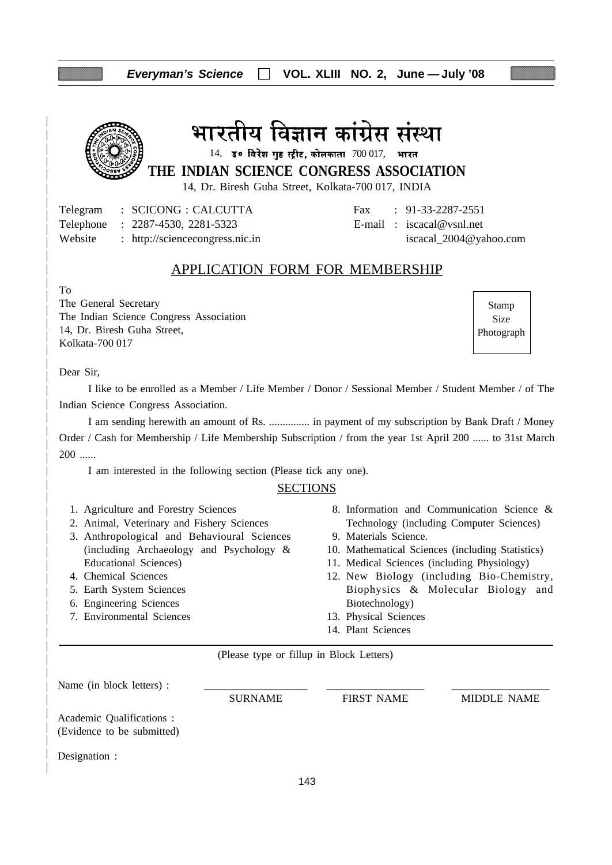

भारतीय विज्ञान कांग्रेस संस्था

**THE INDIAN SCIENCE CONGRESS ASSOCIATION**  $14$ , उ० विरेश गुह स्ट्रीट, कोलकाता  $700017$ , भारत

14, Dr. Biresh Guha Street, Kolkata-700 017, INDIA

Telegram : SCICONG : CALCUTTA Fax : 91-33-2287-2551 Telephone : 2287-4530, 2281-5323 E-mail : iscacal@vsnl.net Website : http://sciencecongress.nic.in iscacal\_2004@yahoo.com

# APPLICATION FORM FOR MEMBERSHIP

To

The General Secretary The Indian Science Congress Association 14, Dr. Biresh Guha Street, Kolkata-700 017

Stamp Size Photograph

Dear Sir,

I like to be enrolled as a Member / Life Member / Donor / Sessional Member / Student Member / of The Indian Science Congress Association.

I am sending herewith an amount of Rs. ............... in payment of my subscription by Bank Draft / Money Order / Cash for Membership / Life Membership Subscription / from the year 1st April 200 ...... to 31st March 200 ......

I am interested in the following section (Please tick any one).

# **SECTIONS**

- 1. Agriculture and Forestry Sciences
- 2. Animal, Veterinary and Fishery Sciences
- 3. Anthropological and Behavioural Sciences (including Archaeology and Psychology & Educational Sciences)
- 4. Chemical Sciences
- 5. Earth System Sciences
- 6. Engineering Sciences
- 7. Environmental Sciences
- 8. Information and Communication Science & Technology (including Computer Sciences)
- 9. Materials Science.
- 10. Mathematical Sciences (including Statistics)
- 11. Medical Sciences (including Physiology)
- 12. New Biology (including Bio-Chemistry, Biophysics & Molecular Biology and Biotechnology)
- 13. Physical Sciences
- 14. Plant Sciences

(Please type or fillup in Block Letters)

Name (in block letters) :

Academic Qualifications :

SURNAME FIRST NAME MIDDLE NAME

(Evidence to be submitted)

Designation :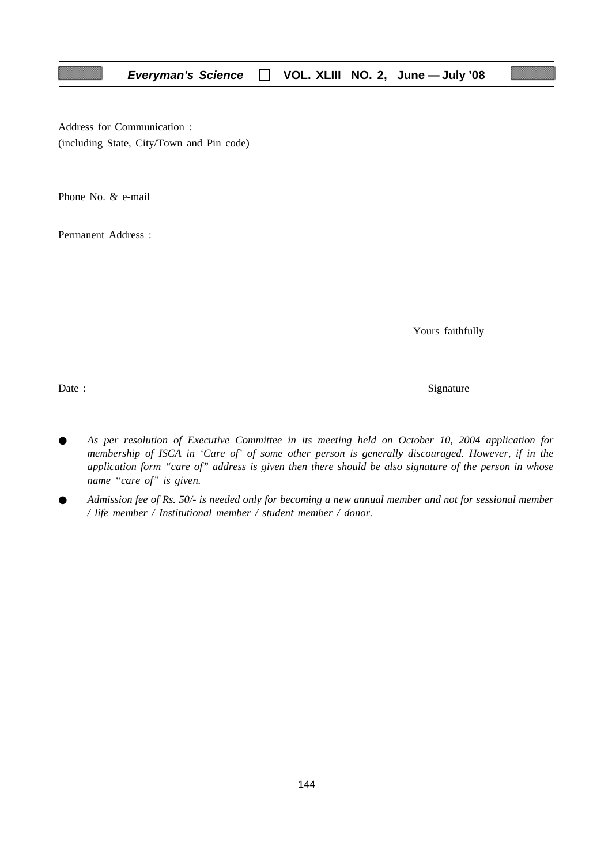Address for Communication : (including State, City/Town and Pin code)

Phone No. & e-mail

Permanent Address :

Yours faithfully

Date : Signature  $\Box$ 

- *As per resolution of Executive Committee in its meeting held on October 10, 2004 application for membership of ISCA in 'Care of' of some other person is generally discouraged. However, if in the application form "care of" address is given then there should be also signature of the person in whose name "care of" is given.*
- *Admission fee of Rs. 50/- is needed only for becoming a new annual member and not for sessional member / life member / Institutional member / student member / donor.*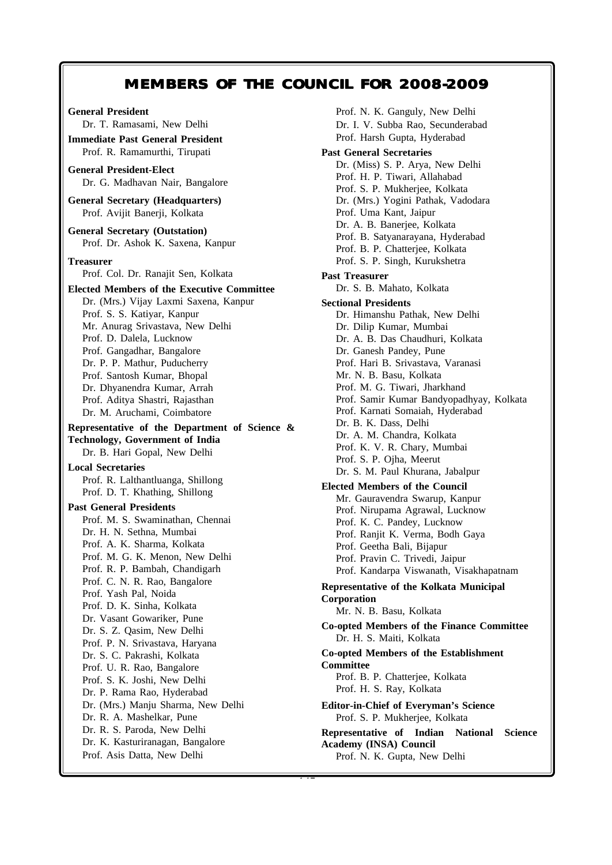#### *Everyman's Science* **VOL. XLIII NO. 2, June — July '08 MEMBERS OF THE COUNCIL FOR 2008-2009**

#### **General President**

Dr. T. Ramasami, New Delhi

**Immediate Past General President** Prof. R. Ramamurthi, Tirupati

- **General President-Elect** Dr. G. Madhavan Nair, Bangalore
- **General Secretary (Headquarters)** Prof. Avijit Banerji, Kolkata
- **General Secretary (Outstation)** Prof. Dr. Ashok K. Saxena, Kanpur

#### **Treasurer**

Prof. Col. Dr. Ranajit Sen, Kolkata

### **Elected Members of the Executive Committee** Dr. (Mrs.) Vijay Laxmi Saxena, Kanpur Prof. S. S. Katiyar, Kanpur

Mr. Anurag Srivastava, New Delhi Prof. D. Dalela, Lucknow Prof. Gangadhar, Bangalore Dr. P. P. Mathur, Puducherry Prof. Santosh Kumar, Bhopal Dr. Dhyanendra Kumar, Arrah Prof. Aditya Shastri, Rajasthan Dr. M. Aruchami, Coimbatore

**Representative of the Department of Science & Technology, Government of India** Dr. B. Hari Gopal, New Delhi

**Local Secretaries** Prof. R. Lalthantluanga, Shillong Prof. D. T. Khathing, Shillong

**Past General Presidents** Prof. M. S. Swaminathan, Chennai Dr. H. N. Sethna, Mumbai Prof. A. K. Sharma, Kolkata Prof. M. G. K. Menon, New Delhi Prof. R. P. Bambah, Chandigarh Prof. C. N. R. Rao, Bangalore Prof. Yash Pal, Noida Prof. D. K. Sinha, Kolkata Dr. Vasant Gowariker, Pune Dr. S. Z. Qasim, New Delhi Prof. P. N. Srivastava, Haryana Dr. S. C. Pakrashi, Kolkata Prof. U. R. Rao, Bangalore Prof. S. K. Joshi, New Delhi Dr. P. Rama Rao, Hyderabad Dr. (Mrs.) Manju Sharma, New Delhi Dr. R. A. Mashelkar, Pune Dr. R. S. Paroda, New Delhi Dr. K. Kasturiranagan, Bangalore Prof. Asis Datta, New Delhi

Prof. N. K. Ganguly, New Delhi Dr. I. V. Subba Rao, Secunderabad Prof. Harsh Gupta, Hyderabad **Past General Secretaries** Dr. (Miss) S. P. Arya, New Delhi Prof. H. P. Tiwari, Allahabad Prof. S. P. Mukherjee, Kolkata Dr. (Mrs.) Yogini Pathak, Vadodara Prof. Uma Kant, Jaipur Dr. A. B. Banerjee, Kolkata Prof. B. Satyanarayana, Hyderabad Prof. B. P. Chatterjee, Kolkata Prof. S. P. Singh, Kurukshetra **Past Treasurer** Dr. S. B. Mahato, Kolkata **Sectional Presidents** Dr. Himanshu Pathak, New Delhi Dr. Dilip Kumar, Mumbai Dr. A. B. Das Chaudhuri, Kolkata Dr. Ganesh Pandey, Pune Prof. Hari B. Srivastava, Varanasi Mr. N. B. Basu, Kolkata Prof. M. G. Tiwari, Jharkhand Prof. Samir Kumar Bandyopadhyay, Kolkata Prof. Karnati Somaiah, Hyderabad Dr. B. K. Dass, Delhi Dr. A. M. Chandra, Kolkata Prof. K. V. R. Chary, Mumbai Prof. S. P. Ojha, Meerut Dr. S. M. Paul Khurana, Jabalpur **Elected Members of the Council** Mr. Gauravendra Swarup, Kanpur Prof. Nirupama Agrawal, Lucknow Prof. K. C. Pandey, Lucknow Prof. Ranjit K. Verma, Bodh Gaya Prof. Geetha Bali, Bijapur Prof. Pravin C. Trivedi, Jaipur Prof. Kandarpa Viswanath, Visakhapatnam **Representative of the Kolkata Municipal Corporation** Mr. N. B. Basu, Kolkata **Co-opted Members of the Finance Committee** Dr. H. S. Maiti, Kolkata **Co-opted Members of the Establishment Committee** Prof. B. P. Chatterjee, Kolkata Prof. H. S. Ray, Kolkata **Editor-in-Chief of Everyman's Science** Prof. S. P. Mukherjee, Kolkata **Representative of Indian National Science Academy (INSA) Council**

Prof. N. K. Gupta, New Delhi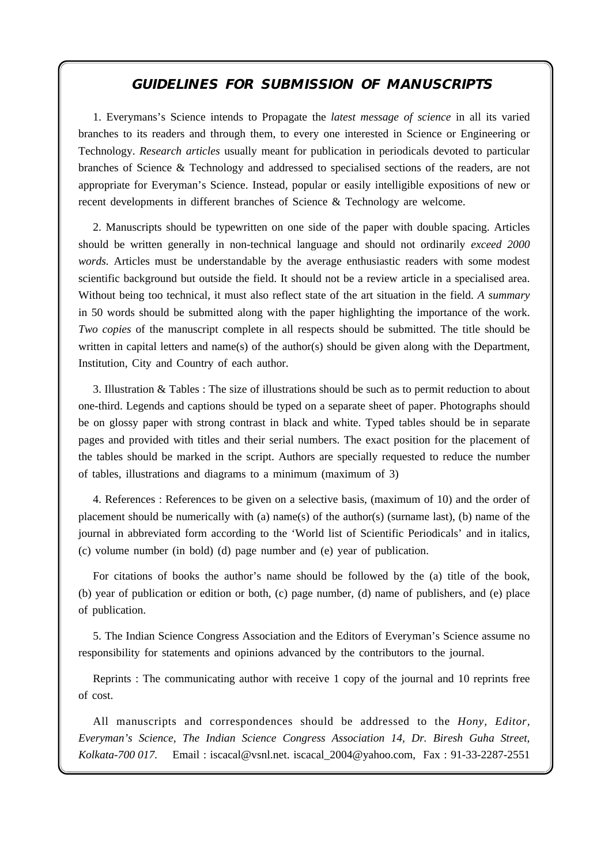# **GUIDELINES FOR SUBMISSION OF MANUSCRIPTS**

1. Everymans's Science intends to Propagate the *latest message of science* in all its varied branches to its readers and through them, to every one interested in Science or Engineering or Technology. *Research articles* usually meant for publication in periodicals devoted to particular branches of Science & Technology and addressed to specialised sections of the readers, are not appropriate for Everyman's Science. Instead, popular or easily intelligible expositions of new or recent developments in different branches of Science & Technology are welcome.

2. Manuscripts should be typewritten on one side of the paper with double spacing. Articles should be written generally in non-technical language and should not ordinarily *exceed 2000 words.* Articles must be understandable by the average enthusiastic readers with some modest scientific background but outside the field. It should not be a review article in a specialised area. Without being too technical, it must also reflect state of the art situation in the field. *A summary* in 50 words should be submitted along with the paper highlighting the importance of the work. *Two copies* of the manuscript complete in all respects should be submitted. The title should be written in capital letters and name(s) of the author(s) should be given along with the Department, Institution, City and Country of each author.

3. Illustration & Tables : The size of illustrations should be such as to permit reduction to about one-third. Legends and captions should be typed on a separate sheet of paper. Photographs should be on glossy paper with strong contrast in black and white. Typed tables should be in separate pages and provided with titles and their serial numbers. The exact position for the placement of the tables should be marked in the script. Authors are specially requested to reduce the number of tables, illustrations and diagrams to a minimum (maximum of 3)

4. References : References to be given on a selective basis, (maximum of 10) and the order of placement should be numerically with (a) name(s) of the author(s) (surname last), (b) name of the journal in abbreviated form according to the 'World list of Scientific Periodicals' and in italics, (c) volume number (in bold) (d) page number and (e) year of publication.

For citations of books the author's name should be followed by the (a) title of the book, (b) year of publication or edition or both, (c) page number, (d) name of publishers, and (e) place of publication.

5. The Indian Science Congress Association and the Editors of Everyman's Science assume no responsibility for statements and opinions advanced by the contributors to the journal.

Reprints : The communicating author with receive 1 copy of the journal and 10 reprints free of cost.

All manuscripts and correspondences should be addressed to the *Hony, Editor, Everyman's Science, The Indian Science Congress Association 14, Dr. Biresh Guha Street, Kolkata-700 017.* Email : iscacal@vsnl.net. iscacal\_2004@yahoo.com, Fax : 91-33-2287-2551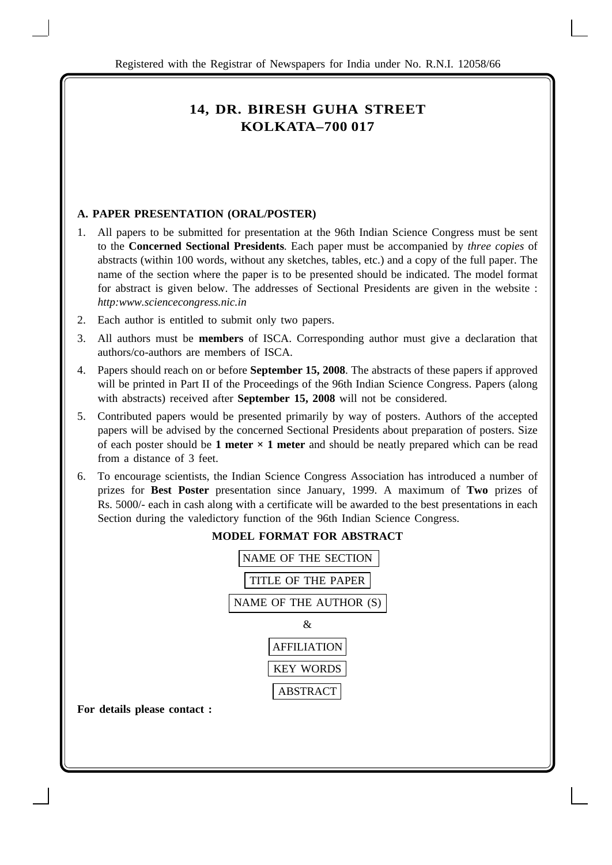### **14, DR. BIRESH GUHA STREET KOLKATA–700 017**

### **A. PAPER PRESENTATION (ORAL/POSTER)**

- 1. All papers to be submitted for presentation at the 96th Indian Science Congress must be sent to the **Concerned Sectional Presidents**. Each paper must be accompanied by *three copies* of abstracts (within 100 words, without any sketches, tables, etc.) and a copy of the full paper. The name of the section where the paper is to be presented should be indicated. The model format for abstract is given below. The addresses of Sectional Presidents are given in the website : *http:www.sciencecongress.nic.in*
- 2. Each author is entitled to submit only two papers.
- 3. All authors must be **members** of ISCA. Corresponding author must give a declaration that authors/co-authors are members of ISCA.
- 4. Papers should reach on or before **September 15, 2008**. The abstracts of these papers if approved will be printed in Part II of the Proceedings of the 96th Indian Science Congress. Papers (along with abstracts) received after **September 15, 2008** will not be considered.
- 5. Contributed papers would be presented primarily by way of posters. Authors of the accepted papers will be advised by the concerned Sectional Presidents about preparation of posters. Size of each poster should be **1 meter × 1 meter** and should be neatly prepared which can be read from a distance of 3 feet.
- 6. To encourage scientists, the Indian Science Congress Association has introduced a number of prizes for **Best Poster** presentation since January, 1999. A maximum of **Two** prizes of Rs. 5000/- each in cash along with a certificate will be awarded to the best presentations in each Section during the valedictory function of the 96th Indian Science Congress.



#### **MODEL FORMAT FOR ABSTRACT**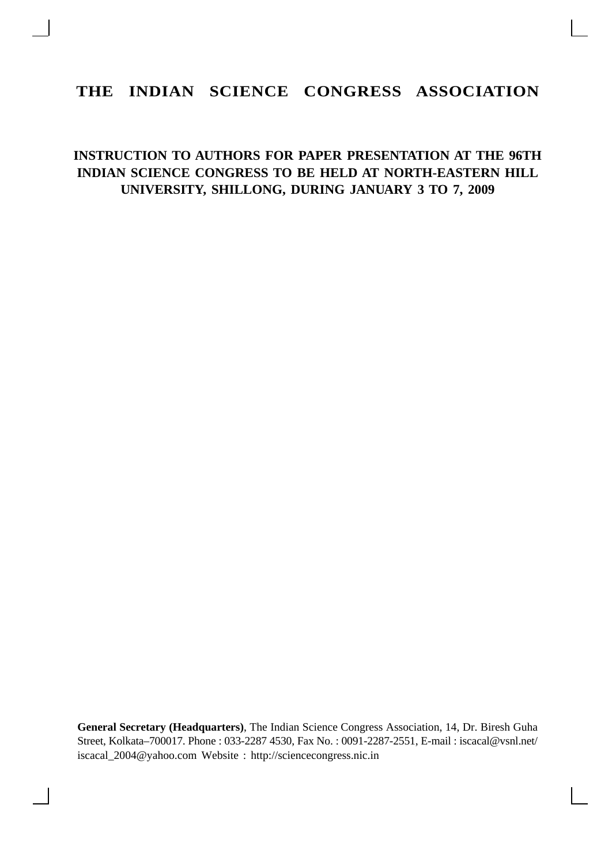# **THE INDIAN SCIENCE CONGRESS ASSOCIATION**

# **INSTRUCTION TO AUTHORS FOR PAPER PRESENTATION AT THE 96TH INDIAN SCIENCE CONGRESS TO BE HELD AT NORTH-EASTERN HILL UNIVERSITY, SHILLONG, DURING JANUARY 3 TO 7, 2009**

**General Secretary (Headquarters)**, The Indian Science Congress Association, 14, Dr. Biresh Guha Street, Kolkata–700017. Phone : 033-2287 4530, Fax No. : 0091-2287-2551, E-mail : iscacal@vsnl.net/ iscacal\_2004@yahoo.com Website : http://sciencecongress.nic.in